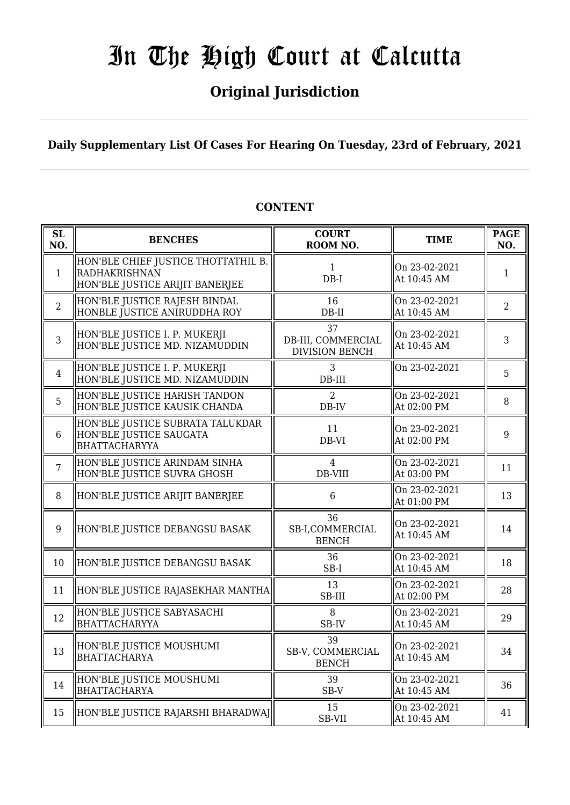## **Original Jurisdiction**

**Daily Supplementary List Of Cases For Hearing On Tuesday, 23rd of February, 2021**

#### **SL SL BENCHES COURT**<br> **NO. BENCHES COURT ROOM NO. TIME PAGE**<br>**ROOM NO. TIME ROOM NO.** 1 HON'BLE CHIEF JUSTICE THOTTATHIL B. RADHAKRISHNAN HON'BLE JUSTICE ARIJIT BANERJEE 1 DB-I On 23-02-2021 At  $10:45$  AM 1 2 HON'BLE JUSTICE RAJESH BINDAL HONBLE JUSTICE ANIRUDDHA ROY 16 DB-II On 23-02-2021 At 10:45 AM  $\begin{array}{|c|c|} \hline 2 & 2 \\ \hline \end{array}$ 3 HON'BLE JUSTICE I. P. MUKERJI HON'BLE JUSTICE MD. NIZAMUDDIN 37 DB-III, COMMERCIAL DIVISION BENCH On 23-02-2021  $\left[\begin{array}{ccc} \n\text{OH } 23 - 02 - 2021 \\
\text{At } 10:45 \text{ AM} \n\end{array}\right] \quad 3$ 4 HON'BLE JUSTICE I. P. MUKERJI HON'BLE JUSTICE MD. NIZAMUDDIN 3 DB-III On 23-02-2021  $\begin{array}{|c|c|} \hline 5 \\ \hline \end{array}$ 5 HON'BLE JUSTICE HARISH TANDON HON'BLE JUSTICE KAUSIK CHANDA  $\overline{2}$ DB-IV On 23-02-2021 At 02:00 PM  $\begin{array}{|l|} 8 \end{array}$ 6 HON'BLE JUSTICE SUBRATA TALUKDAR HON'BLE JUSTICE SAUGATA BHATTACHARYYA 11 DB-VI On 23-02-2021  $\left[\begin{array}{cc} 0 & 2.5 & 0.2 & -2.0 & 2 & 1 \\ 0 & 0 & 0 & 0 & 9 \\ 0 & 0 & 0 & 9 & 9 \end{array}\right]$  9 7 HON'BLE JUSTICE ARINDAM SINHA HON'BLE JUSTICE SUVRA GHOSH 4 DB-VIII On 23-02-2021 Of  $25 - 02 - 2021$ <br>At 03:00 PM 11 8 ||HON'BLE JUSTICE ARIJIT BANERJEE || 6 On 23-02-2021 At 01:00 PM  $\begin{array}{|c|c|} \hline 13 \end{array}$ 9 HON'BLE JUSTICE DEBANGSU BASAK 36 SB-I,COMMERCIAL BENCH On 23-02-2021  $\left\| \begin{array}{c} 14 \\ \text{At } 10:45 \text{ AM} \end{array} \right\|$  14 10 HON'BLE JUSTICE DEBANGSU BASAK 36 SB-I On 23-02-2021 At 10:45 AM  $\begin{array}{|c|c|} \hline 18 \end{array}$ 11  $\|$ HON'BLE JUSTICE RAJASEKHAR MANTHA $\|$  13 SB-III On 23-02-2021 Of  $25-02-2021$  28<br>At 02:00 PM 28 12 HON'BLE JUSTICE SABYASACHI **BHATTACHARYYA** 8 SB-IV On 23-02-2021  $\left\| \begin{array}{c} 29 \\ \text{At } 10:45 \text{ AM} \end{array} \right\| \left\| 29 \right\|$ <sup>13</sup> HON'BLE JUSTICE MOUSHUMI BHATTACHARYA 39 SB-V, COMMERCIAL BENCH On 23-02-2021 At 10:45 AM  $\begin{array}{|l|} \hline 34 \end{array}$  $14$  HON'BLE JUSTICE MOUSHUMI BHATTACHARYA 39 SB-V On 23-02-2021  $\left\| \begin{array}{c} 36 \\ \text{At } 10:45 \text{ AM} \end{array} \right\|$  36 15 HON'BLE JUSTICE RAJARSHI BHARADWAJ 15 SB-VII On 23-02-2021  $\left\| \begin{array}{c} 41 \\ 41 \end{array} \right\|$  41

### **CONTENT**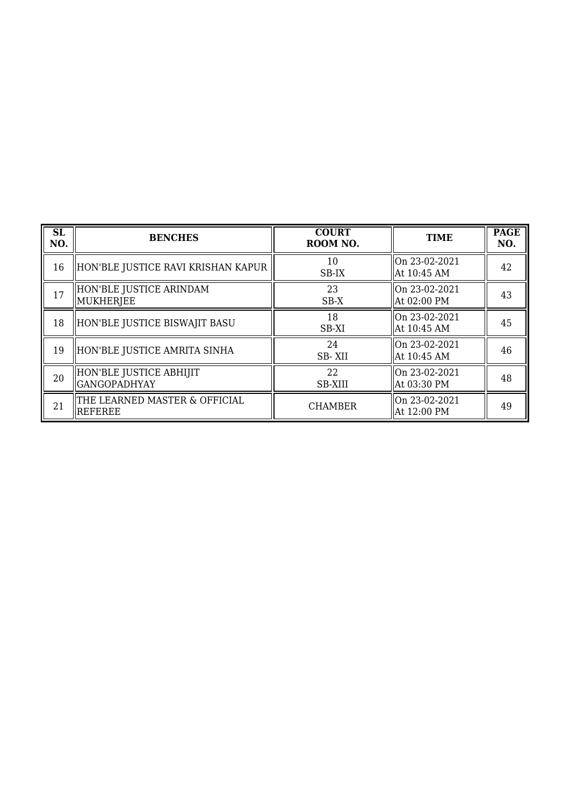| <b>SL</b><br>NO. | <b>BENCHES</b>                                  | <b>COURT</b><br>ROOM NO. | <b>TIME</b>                   | <b>PAGE</b><br>NO. |
|------------------|-------------------------------------------------|--------------------------|-------------------------------|--------------------|
| 16               | HON'BLE JUSTICE RAVI KRISHAN KAPUR              | 10<br>SB-IX              | lOn 23-02-2021<br>At 10:45 AM | 42                 |
| 17               | HON'BLE JUSTICE ARINDAM<br>MUKHERJEE            | 23<br>$SB-X$             | On 23-02-2021<br>At 02:00 PM  | 43                 |
| 18               | HON'BLE JUSTICE BISWAJIT BASU                   | 18<br>SB-XI              | On 23-02-2021<br>At 10:45 AM  | 45                 |
| 19               | HON'BLE JUSTICE AMRITA SINHA                    | 24<br>SB-XII             | On 23-02-2021<br>At 10:45 AM  | 46                 |
| 20               | HON'BLE JUSTICE ABHIJIT<br><b>GANGOPADHYAY</b>  | 22<br><b>SB-XIII</b>     | lOn 23-02-2021<br>At 03:30 PM | 48                 |
| 21               | THE LEARNED MASTER & OFFICIAL<br><b>REFEREE</b> | <b>CHAMBER</b>           | On 23-02-2021<br>At 12:00 PM  | 49                 |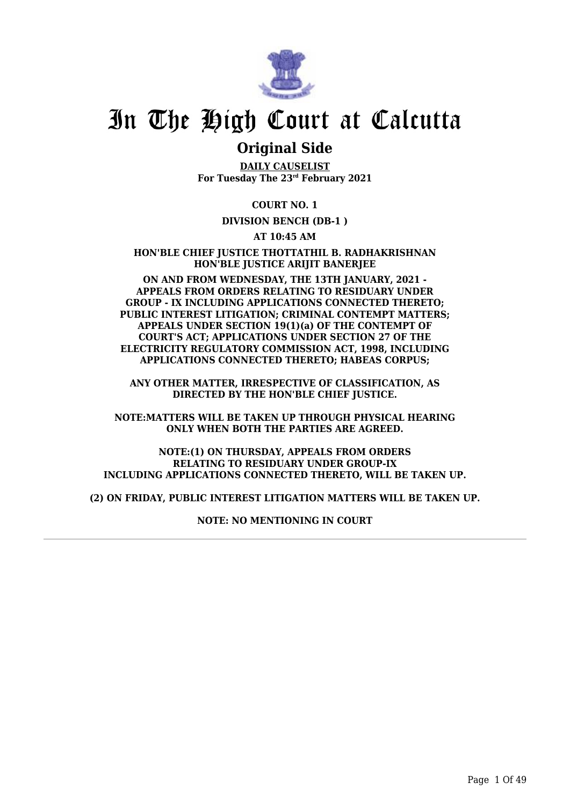

### **Original Side**

**DAILY CAUSELIST For Tuesday The 23rd February 2021**

**COURT NO. 1**

**DIVISION BENCH (DB-1 )**

**AT 10:45 AM**

**HON'BLE CHIEF JUSTICE THOTTATHIL B. RADHAKRISHNAN HON'BLE JUSTICE ARIJIT BANERJEE**

**ON AND FROM WEDNESDAY, THE 13TH JANUARY, 2021 - APPEALS FROM ORDERS RELATING TO RESIDUARY UNDER GROUP - IX INCLUDING APPLICATIONS CONNECTED THERETO; PUBLIC INTEREST LITIGATION; CRIMINAL CONTEMPT MATTERS; APPEALS UNDER SECTION 19(1)(a) OF THE CONTEMPT OF COURT'S ACT; APPLICATIONS UNDER SECTION 27 OF THE ELECTRICITY REGULATORY COMMISSION ACT, 1998, INCLUDING APPLICATIONS CONNECTED THERETO; HABEAS CORPUS;**

**ANY OTHER MATTER, IRRESPECTIVE OF CLASSIFICATION, AS DIRECTED BY THE HON'BLE CHIEF JUSTICE.**

**NOTE:MATTERS WILL BE TAKEN UP THROUGH PHYSICAL HEARING ONLY WHEN BOTH THE PARTIES ARE AGREED.**

**NOTE:(1) ON THURSDAY, APPEALS FROM ORDERS RELATING TO RESIDUARY UNDER GROUP-IX INCLUDING APPLICATIONS CONNECTED THERETO, WILL BE TAKEN UP.**

**(2) ON FRIDAY, PUBLIC INTEREST LITIGATION MATTERS WILL BE TAKEN UP.**

**NOTE: NO MENTIONING IN COURT**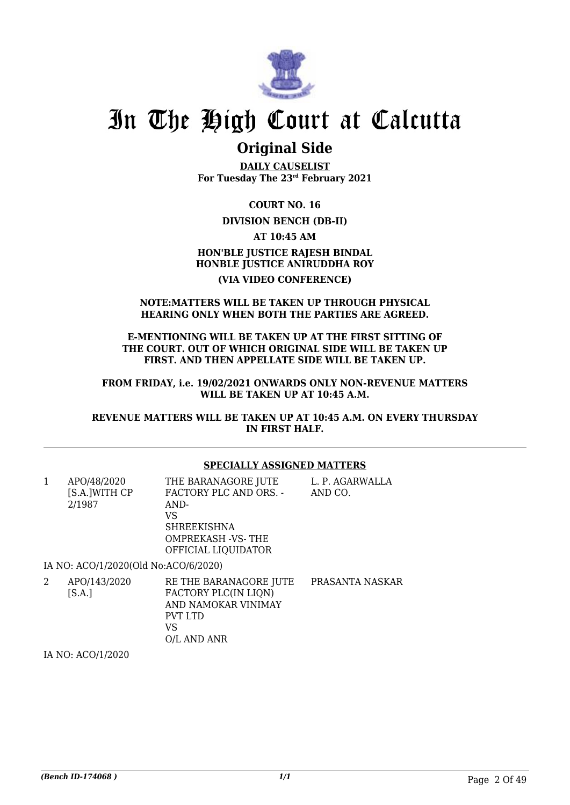

### **Original Side**

**DAILY CAUSELIST For Tuesday The 23rd February 2021**

**COURT NO. 16**

### **DIVISION BENCH (DB-II)**

**AT 10:45 AM**

**HON'BLE JUSTICE RAJESH BINDAL HONBLE JUSTICE ANIRUDDHA ROY**

### **(VIA VIDEO CONFERENCE)**

#### **NOTE:MATTERS WILL BE TAKEN UP THROUGH PHYSICAL HEARING ONLY WHEN BOTH THE PARTIES ARE AGREED.**

**E-MENTIONING WILL BE TAKEN UP AT THE FIRST SITTING OF THE COURT. OUT OF WHICH ORIGINAL SIDE WILL BE TAKEN UP FIRST. AND THEN APPELLATE SIDE WILL BE TAKEN UP.**

**FROM FRIDAY, i.e. 19/02/2021 ONWARDS ONLY NON-REVENUE MATTERS WILL BE TAKEN UP AT 10:45 A.M.**

**REVENUE MATTERS WILL BE TAKEN UP AT 10:45 A.M. ON EVERY THURSDAY IN FIRST HALF.**

### **SPECIALLY ASSIGNED MATTERS**

| 1 | APO/48/2020<br>[S.A.]WITH CP         | THE BARANAGORE JUTE<br>FACTORY PLC AND ORS. - | L. P. AGARWALLA<br>AND CO. |
|---|--------------------------------------|-----------------------------------------------|----------------------------|
|   | 2/1987                               | AND-                                          |                            |
|   |                                      | VS                                            |                            |
|   |                                      | <b>SHREEKISHNA</b>                            |                            |
|   |                                      | <b>OMPREKASH -VS-THE</b>                      |                            |
|   |                                      | OFFICIAL LIQUIDATOR                           |                            |
|   | IA NO: ACO/1/2020(Old No:ACO/6/2020) |                                               |                            |
| 2 | APO/143/2020                         | RE THE BARANAGORE JUTE                        | PRASANTA NASKAR            |

 $[S.A.]$ FACTORY PLC(IN LION) AND NAMOKAR VINIMAY PVT LTD VS O/L AND ANR

IA NO: ACO/1/2020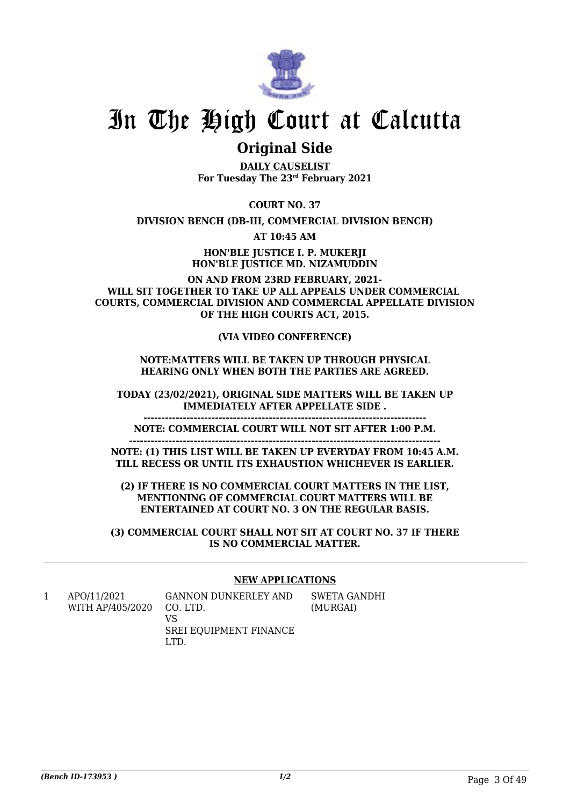

### **Original Side**

**DAILY CAUSELIST For Tuesday The 23rd February 2021**

**COURT NO. 37**

**DIVISION BENCH (DB-III, COMMERCIAL DIVISION BENCH)**

**AT 10:45 AM**

**HON'BLE JUSTICE I. P. MUKERJI HON'BLE JUSTICE MD. NIZAMUDDIN**

**ON AND FROM 23RD FEBRUARY, 2021- WILL SIT TOGETHER TO TAKE UP ALL APPEALS UNDER COMMERCIAL COURTS, COMMERCIAL DIVISION AND COMMERCIAL APPELLATE DIVISION OF THE HIGH COURTS ACT, 2015.**

**(VIA VIDEO CONFERENCE)**

### **NOTE:MATTERS WILL BE TAKEN UP THROUGH PHYSICAL HEARING ONLY WHEN BOTH THE PARTIES ARE AGREED.**

**TODAY (23/02/2021), ORIGINAL SIDE MATTERS WILL BE TAKEN UP IMMEDIATELY AFTER APPELLATE SIDE .**

**NOTE: COMMERCIAL COURT WILL NOT SIT AFTER 1:00 P.M.**

**-------------------------------------------------------------------------------**

**---------------------------------------------------------------------------------------**

**NOTE: (1) THIS LIST WILL BE TAKEN UP EVERYDAY FROM 10:45 A.M. TILL RECESS OR UNTIL ITS EXHAUSTION WHICHEVER IS EARLIER.**

**(2) IF THERE IS NO COMMERCIAL COURT MATTERS IN THE LIST, MENTIONING OF COMMERCIAL COURT MATTERS WILL BE ENTERTAINED AT COURT NO. 3 ON THE REGULAR BASIS.**

**(3) COMMERCIAL COURT SHALL NOT SIT AT COURT NO. 37 IF THERE IS NO COMMERCIAL MATTER.**

### **NEW APPLICATIONS**

| APO/11/2021<br>WITH AP/405/2020 | GANNON DUNKERLEY AND<br>CO. LTD. | SWETA GANDHI<br>(MURGAI) |
|---------------------------------|----------------------------------|--------------------------|
|                                 | VS                               |                          |
|                                 | SREI EQUIPMENT FINANCE           |                          |
|                                 |                                  |                          |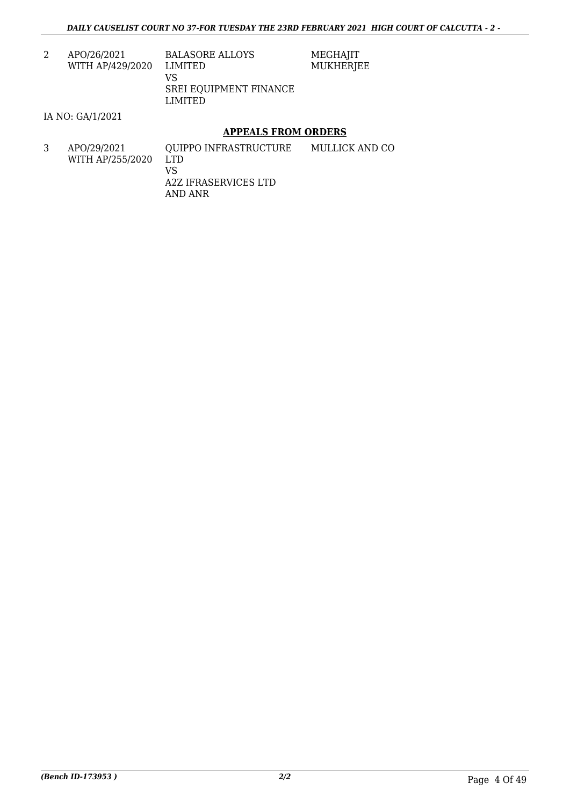MEGHAJIT MUKHERJEE

2 APO/26/2021 WITH AP/429/2020

BALASORE ALLOYS LIMITED VS SREI EQUIPMENT FINANCE LIMITED

IA NO: GA/1/2021

### **APPEALS FROM ORDERS**

3 APO/29/2021 WITH AP/255/2020 QUIPPO INFRASTRUCTURE LTD VS A2Z IFRASERVICES LTD AND ANR MULLICK AND CO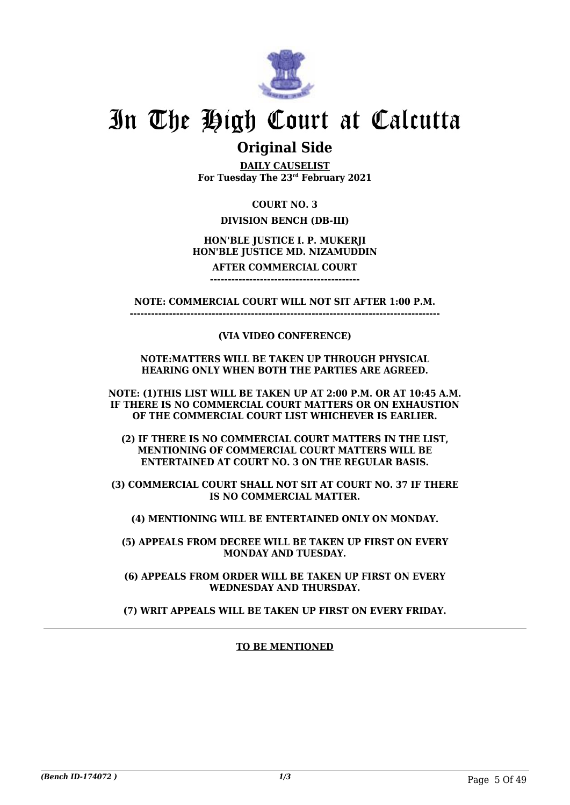

### **Original Side**

**DAILY CAUSELIST For Tuesday The 23rd February 2021**

### **COURT NO. 3**

### **DIVISION BENCH (DB-III)**

### **HON'BLE JUSTICE I. P. MUKERJI HON'BLE JUSTICE MD. NIZAMUDDIN**

#### **AFTER COMMERCIAL COURT ------------------------------------------**

**NOTE: COMMERCIAL COURT WILL NOT SIT AFTER 1:00 P.M. ---------------------------------------------------------------------------------------**

### **(VIA VIDEO CONFERENCE)**

#### **NOTE:MATTERS WILL BE TAKEN UP THROUGH PHYSICAL HEARING ONLY WHEN BOTH THE PARTIES ARE AGREED.**

**NOTE: (1)THIS LIST WILL BE TAKEN UP AT 2:00 P.M. OR AT 10:45 A.M. IF THERE IS NO COMMERCIAL COURT MATTERS OR ON EXHAUSTION OF THE COMMERCIAL COURT LIST WHICHEVER IS EARLIER.**

**(2) IF THERE IS NO COMMERCIAL COURT MATTERS IN THE LIST, MENTIONING OF COMMERCIAL COURT MATTERS WILL BE ENTERTAINED AT COURT NO. 3 ON THE REGULAR BASIS.**

**(3) COMMERCIAL COURT SHALL NOT SIT AT COURT NO. 37 IF THERE IS NO COMMERCIAL MATTER.**

**(4) MENTIONING WILL BE ENTERTAINED ONLY ON MONDAY.**

**(5) APPEALS FROM DECREE WILL BE TAKEN UP FIRST ON EVERY MONDAY AND TUESDAY.**

**(6) APPEALS FROM ORDER WILL BE TAKEN UP FIRST ON EVERY WEDNESDAY AND THURSDAY.**

**(7) WRIT APPEALS WILL BE TAKEN UP FIRST ON EVERY FRIDAY.**

### **TO BE MENTIONED**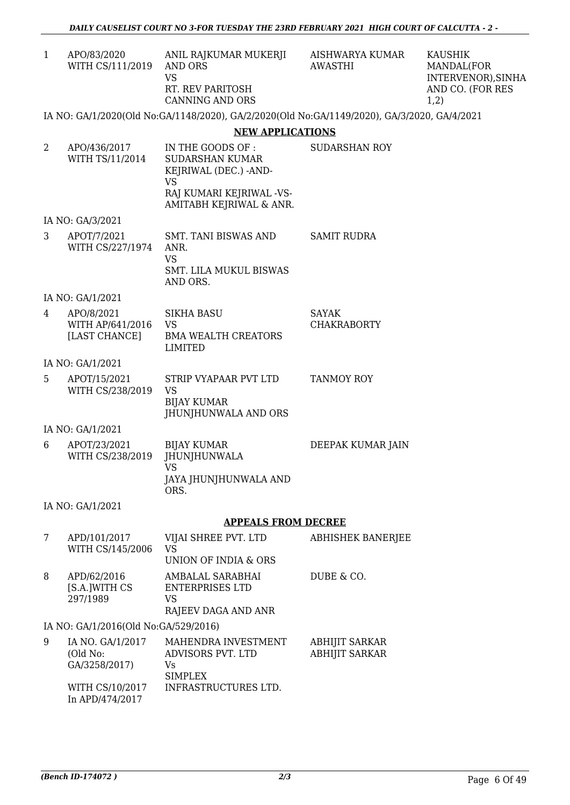| APO/83/2020<br>WITH CS/111/2019 | ANIL RAJKUMAR MUKERJI<br>AND ORS<br>VS<br>RT. REV PARITOSH<br><b>CANNING AND ORS</b> |
|---------------------------------|--------------------------------------------------------------------------------------|
|---------------------------------|--------------------------------------------------------------------------------------|

AISHWARYA KUMAR AWASTHI

KAUSHIK MANDAL(FOR INTERVENOR),SINHA AND CO. (FOR RES 1,2)

### IA NO: GA/1/2020(Old No:GA/1148/2020), GA/2/2020(Old No:GA/1149/2020), GA/3/2020, GA/4/2021

### **NEW APPLICATIONS**

| 2 | APO/436/2017<br>WITH TS/11/2014                 | IN THE GOODS OF:<br><b>SUDARSHAN KUMAR</b><br>KEJRIWAL (DEC.) -AND-<br><b>VS</b><br>RAJ KUMARI KEJRIWAL -VS-<br>AMITABH KEJRIWAL & ANR. | <b>SUDARSHAN ROY</b>                           |
|---|-------------------------------------------------|-----------------------------------------------------------------------------------------------------------------------------------------|------------------------------------------------|
|   | IA NO: GA/3/2021                                |                                                                                                                                         |                                                |
| 3 | APOT/7/2021<br>WITH CS/227/1974                 | <b>SMT. TANI BISWAS AND</b><br>ANR.<br><b>VS</b><br>SMT. LILA MUKUL BISWAS<br>AND ORS.                                                  | <b>SAMIT RUDRA</b>                             |
|   | IA NO: GA/1/2021                                |                                                                                                                                         |                                                |
| 4 | APO/8/2021<br>WITH AP/641/2016<br>[LAST CHANCE] | <b>SIKHA BASU</b><br><b>VS</b><br><b>BMA WEALTH CREATORS</b><br>LIMITED                                                                 | SAYAK<br><b>CHAKRABORTY</b>                    |
|   | IA NO: GA/1/2021                                |                                                                                                                                         |                                                |
| 5 | APOT/15/2021<br>WITH CS/238/2019                | STRIP VYAPAAR PVT LTD<br><b>VS</b><br><b>BIJAY KUMAR</b><br>JHUNJHUNWALA AND ORS                                                        | <b>TANMOY ROY</b>                              |
|   | IA NO: GA/1/2021                                |                                                                                                                                         |                                                |
| 6 | APOT/23/2021<br>WITH CS/238/2019                | <b>BIJAY KUMAR</b><br><b>JHUNJHUNWALA</b><br><b>VS</b><br>JAYA JHUNJHUNWALA AND<br>ORS.                                                 | DEEPAK KUMAR JAIN                              |
|   | IA NO: GA/1/2021                                |                                                                                                                                         |                                                |
|   |                                                 | <b>APPEALS FROM DECREE</b>                                                                                                              |                                                |
| 7 | APD/101/2017<br>WITH CS/145/2006                | VIJAI SHREE PVT. LTD<br><b>VS</b><br>UNION OF INDIA & ORS                                                                               | <b>ABHISHEK BANERJEE</b>                       |
| 8 | APD/62/2016<br>[S.A.]WITH CS<br>297/1989        | AMBALAL SARABHAI<br>ENTERPRISES LTD<br>VS<br>RAJEEV DAGA AND ANR                                                                        | DUBE & CO.                                     |
|   | IA NO: GA/1/2016(Old No:GA/529/2016)            |                                                                                                                                         |                                                |
| 9 | IA NO. GA/1/2017<br>(Old No:<br>GA/3258/2017)   | MAHENDRA INVESTMENT<br>ADVISORS PVT. LTD<br>Vs<br><b>SIMPLEX</b>                                                                        | <b>ABHIJIT SARKAR</b><br><b>ABHIJIT SARKAR</b> |
|   | WITH CS/10/2017<br>In APD/474/2017              | INFRASTRUCTURES LTD.                                                                                                                    |                                                |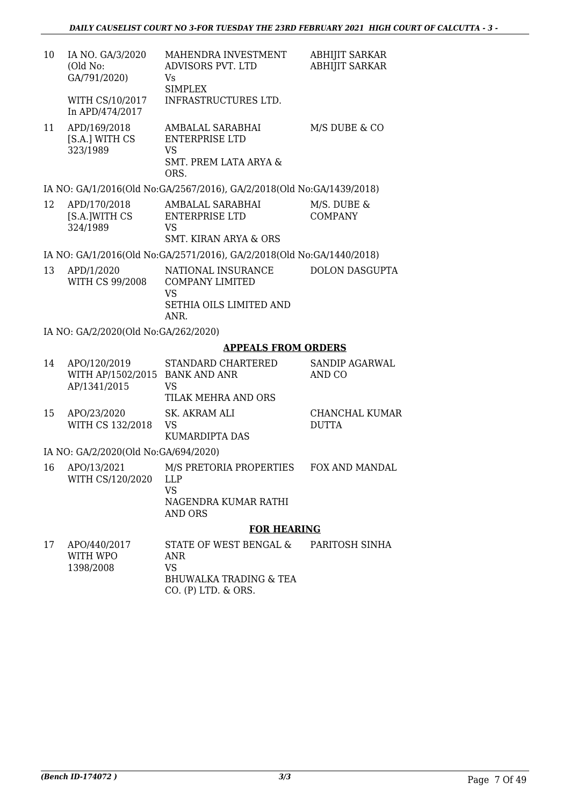| 10 | IA NO. GA/3/2020<br>(Old No:<br>GA/791/2020)      | MAHENDRA INVESTMENT<br>ADVISORS PVT. LTD<br>Vs<br><b>SIMPLEX</b>                                            | <b>ABHIJIT SARKAR</b><br><b>ABHIJIT SARKAR</b> |
|----|---------------------------------------------------|-------------------------------------------------------------------------------------------------------------|------------------------------------------------|
|    | WITH CS/10/2017<br>In APD/474/2017                | INFRASTRUCTURES LTD.                                                                                        |                                                |
| 11 | APD/169/2018<br>[S.A.] WITH CS<br>323/1989        | AMBALAL SARABHAI<br><b>ENTERPRISE LTD</b><br><b>VS</b><br><b>SMT. PREM LATA ARYA &amp;</b><br>ORS.          | M/S DUBE & CO                                  |
|    |                                                   | IA NO: GA/1/2016(Old No:GA/2567/2016), GA/2/2018(Old No:GA/1439/2018)                                       |                                                |
| 12 | APD/170/2018<br>[S.A.]WITH CS<br>324/1989         | AMBALAL SARABHAI<br><b>ENTERPRISE LTD</b><br><b>VS</b><br>SMT. KIRAN ARYA & ORS                             | M/S. DUBE &<br><b>COMPANY</b>                  |
|    |                                                   | IA NO: GA/1/2016(Old No:GA/2571/2016), GA/2/2018(Old No:GA/1440/2018)                                       |                                                |
| 13 | APD/1/2020<br><b>WITH CS 99/2008</b>              | NATIONAL INSURANCE<br><b>COMPANY LIMITED</b><br><b>VS</b><br>SETHIA OILS LIMITED AND<br>ANR.                | <b>DOLON DASGUPTA</b>                          |
|    | IA NO: GA/2/2020(Old No:GA/262/2020)              |                                                                                                             |                                                |
|    |                                                   | <b>APPEALS FROM ORDERS</b>                                                                                  |                                                |
| 14 | APO/120/2019<br>WITH AP/1502/2015<br>AP/1341/2015 | STANDARD CHARTERED<br><b>BANK AND ANR</b><br><b>VS</b><br>TILAK MEHRA AND ORS                               | SANDIP AGARWAL<br>AND CO                       |
| 15 | APO/23/2020<br>WITH CS 132/2018                   | SK. AKRAM ALI<br><b>VS</b><br>KUMARDIPTA DAS                                                                | CHANCHAL KUMAR<br><b>DUTTA</b>                 |
|    | IA NO: GA/2/2020(Old No:GA/694/2020)              |                                                                                                             |                                                |
|    | WITH CS/120/2020                                  | 16 APO/13/2021 M/S PRETORIA PROPERTIES<br><b>LLP</b><br><b>VS</b><br>NAGENDRA KUMAR RATHI<br><b>AND ORS</b> | FOX AND MANDAL                                 |
|    |                                                   | <b>FOR HEARING</b>                                                                                          |                                                |
| 17 | APO/440/2017<br>WITH WPO<br>1398/2008             | STATE OF WEST BENGAL &<br><b>ANR</b><br><b>VS</b><br><b>BHUWALKA TRADING &amp; TEA</b>                      | PARITOSH SINHA                                 |

CO. (P) LTD. & ORS.

*(Bench ID-174072 ) 3/3* Page 7 Of 49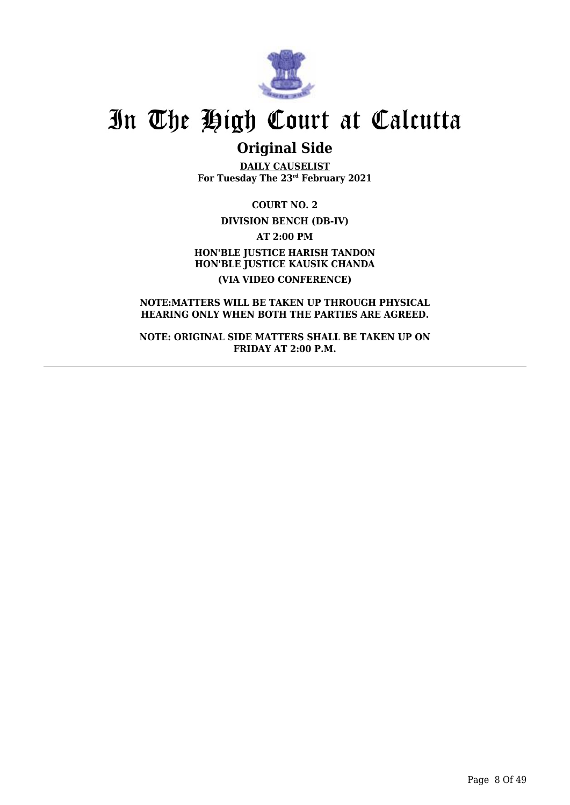

## **Original Side**

**DAILY CAUSELIST For Tuesday The 23rd February 2021**

**COURT NO. 2 DIVISION BENCH (DB-IV) AT 2:00 PM HON'BLE JUSTICE HARISH TANDON HON'BLE JUSTICE KAUSIK CHANDA (VIA VIDEO CONFERENCE)**

**NOTE:MATTERS WILL BE TAKEN UP THROUGH PHYSICAL HEARING ONLY WHEN BOTH THE PARTIES ARE AGREED.**

**NOTE: ORIGINAL SIDE MATTERS SHALL BE TAKEN UP ON FRIDAY AT 2:00 P.M.**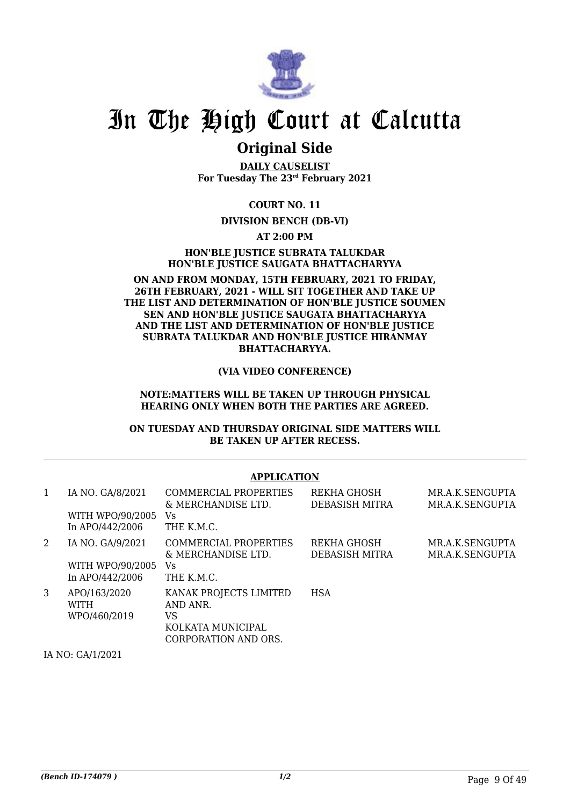

### **Original Side**

**DAILY CAUSELIST For Tuesday The 23rd February 2021**

**COURT NO. 11**

### **DIVISION BENCH (DB-VI)**

**AT 2:00 PM**

**HON'BLE JUSTICE SUBRATA TALUKDAR HON'BLE JUSTICE SAUGATA BHATTACHARYYA**

#### **ON AND FROM MONDAY, 15TH FEBRUARY, 2021 TO FRIDAY, 26TH FEBRUARY, 2021 - WILL SIT TOGETHER AND TAKE UP THE LIST AND DETERMINATION OF HON'BLE JUSTICE SOUMEN SEN AND HON'BLE JUSTICE SAUGATA BHATTACHARYYA AND THE LIST AND DETERMINATION OF HON'BLE JUSTICE SUBRATA TALUKDAR AND HON'BLE JUSTICE HIRANMAY BHATTACHARYYA.**

**(VIA VIDEO CONFERENCE)**

#### **NOTE:MATTERS WILL BE TAKEN UP THROUGH PHYSICAL HEARING ONLY WHEN BOTH THE PARTIES ARE AGREED.**

### **ON TUESDAY AND THURSDAY ORIGINAL SIDE MATTERS WILL BE TAKEN UP AFTER RECESS.**

### **APPLICATION**

| 1 | IA NO. GA/8/2021<br>WITH WPO/90/2005<br>In APO/442/2006 | COMMERCIAL PROPERTIES<br>& MERCHANDISE LTD.<br>Vs<br>THE K.M.C.                       | REKHA GHOSH<br>DEBASISH MITRA | MR.A.K.SENGUPTA<br>MR.A.K.SENGUPTA |
|---|---------------------------------------------------------|---------------------------------------------------------------------------------------|-------------------------------|------------------------------------|
| 2 | IA NO. GA/9/2021<br>WITH WPO/90/2005<br>In APO/442/2006 | COMMERCIAL PROPERTIES<br>& MERCHANDISE LTD.<br>Vs<br>THE K.M.C.                       | REKHA GHOSH<br>DEBASISH MITRA | MR.A.K.SENGUPTA<br>MR.A.K.SENGUPTA |
| 3 | APO/163/2020<br><b>WITH</b><br>WPO/460/2019             | KANAK PROJECTS LIMITED<br>AND ANR.<br>VS<br>KOLKATA MUNICIPAL<br>CORPORATION AND ORS. | <b>HSA</b>                    |                                    |

IA NO: GA/1/2021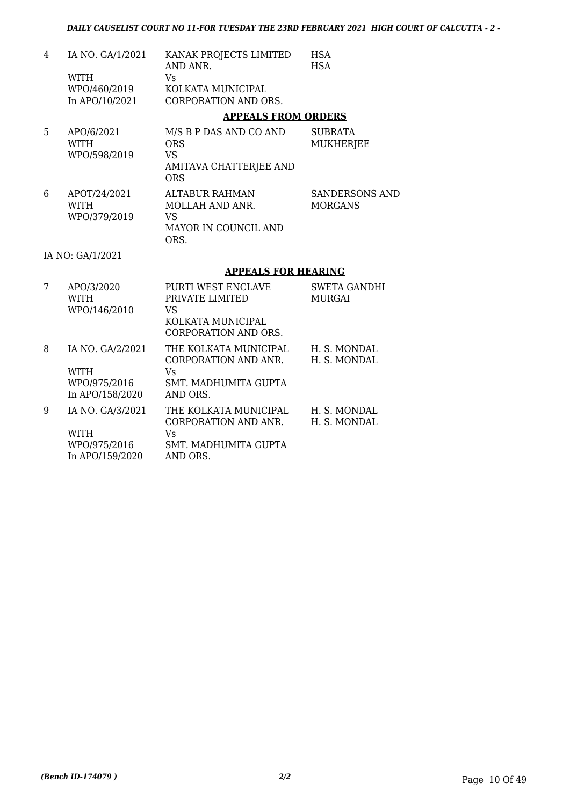| $\overline{4}$ | IA NO. GA/1/2021<br><b>WITH</b><br>WPO/460/2019<br>In APO/10/2021  | KANAK PROJECTS LIMITED<br>AND ANR.<br><b>Vs</b><br>KOLKATA MUNICIPAL<br><b>CORPORATION AND ORS.</b>    | <b>HSA</b><br><b>HSA</b>                |
|----------------|--------------------------------------------------------------------|--------------------------------------------------------------------------------------------------------|-----------------------------------------|
|                |                                                                    | <b>APPEALS FROM ORDERS</b>                                                                             |                                         |
| 5              | APO/6/2021<br><b>WITH</b><br>WPO/598/2019                          | M/S B P DAS AND CO AND<br><b>ORS</b><br><b>VS</b><br>AMITAVA CHATTERJEE AND<br><b>ORS</b>              | <b>SUBRATA</b><br><b>MUKHERJEE</b>      |
| 6              | APOT/24/2021<br><b>WITH</b><br>WPO/379/2019                        | <b>ALTABUR RAHMAN</b><br>MOLLAH AND ANR.<br><b>VS</b><br>MAYOR IN COUNCIL AND<br>ORS.                  | <b>SANDERSONS AND</b><br><b>MORGANS</b> |
|                | IA NO: GA/1/2021                                                   |                                                                                                        |                                         |
|                |                                                                    | <b>APPEALS FOR HEARING</b>                                                                             |                                         |
| 7              | APO/3/2020<br><b>WITH</b><br>WPO/146/2010                          | PURTI WEST ENCLAVE<br>PRIVATE LIMITED<br><b>VS</b><br>KOLKATA MUNICIPAL<br><b>CORPORATION AND ORS.</b> | <b>SWETA GANDHI</b><br><b>MURGAI</b>    |
| 8              | IA NO. GA/2/2021<br><b>WITH</b><br>WPO/975/2016<br>In APO/158/2020 | THE KOLKATA MUNICIPAL<br>CORPORATION AND ANR.<br><b>Vs</b><br>SMT. MADHUMITA GUPTA<br>AND ORS.         | H. S. MONDAL<br>H. S. MONDAL            |
| 9              | IA NO. GA/3/2021<br><b>WITH</b><br>WPO/975/2016<br>In APO/159/2020 | THE KOLKATA MUNICIPAL<br>CORPORATION AND ANR.<br><b>Vs</b><br>SMT. MADHUMITA GUPTA<br>AND ORS.         | H. S. MONDAL<br>H. S. MONDAL            |

In APO/159/2020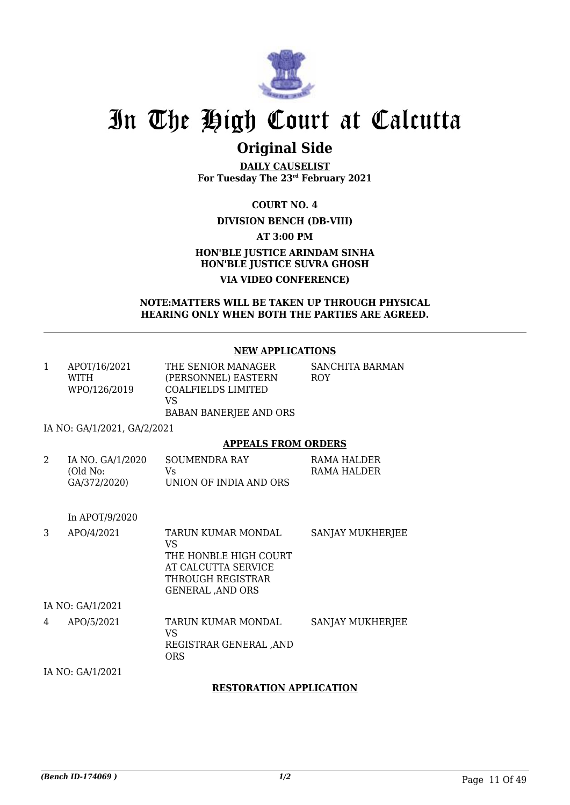

## **Original Side**

**DAILY CAUSELIST For Tuesday The 23rd February 2021**

**COURT NO. 4**

### **DIVISION BENCH (DB-VIII)**

**AT 3:00 PM**

### **HON'BLE JUSTICE ARINDAM SINHA HON'BLE JUSTICE SUVRA GHOSH VIA VIDEO CONFERENCE)**

#### **NOTE:MATTERS WILL BE TAKEN UP THROUGH PHYSICAL HEARING ONLY WHEN BOTH THE PARTIES ARE AGREED.**

### **NEW APPLICATIONS**

| 1             | APOT/16/2021<br><b>WITH</b><br>WPO/126/2019             | THE SENIOR MANAGER<br>(PERSONNEL) EASTERN<br><b>COALFIELDS LIMITED</b><br>VS<br><b>BABAN BANERJEE AND ORS</b>                    | SANCHITA BARMAN<br>ROY     |
|---------------|---------------------------------------------------------|----------------------------------------------------------------------------------------------------------------------------------|----------------------------|
|               | IA NO: GA/1/2021, GA/2/2021                             |                                                                                                                                  |                            |
|               |                                                         | <b>APPEALS FROM ORDERS</b>                                                                                                       |                            |
| $\mathcal{D}$ | IA NO. GA/1/2020<br>(Old No:<br>GA/372/2020)            | <b>SOUMENDRA RAY</b><br>Vs.<br>UNION OF INDIA AND ORS                                                                            | RAMA HALDER<br>RAMA HALDER |
|               | In APOT/9/2020                                          |                                                                                                                                  |                            |
| 3             | APO/4/2021                                              | TARUN KUMAR MONDAL<br><b>VS</b><br>THE HONBLE HIGH COURT<br>AT CALCUTTA SERVICE<br>THROUGH REGISTRAR<br><b>GENERAL , AND ORS</b> | SANJAY MUKHERJEE           |
|               | IA NO: GA/1/2021                                        |                                                                                                                                  |                            |
|               | $\lambda$ $\lambda$ $\Omega$ $\Omega$ $\Omega$ $\Omega$ | $\mathbf{m}$ a define them as $\mathbf{m}$ as $\mathbf{m}$ as $\mathbf{m}$                                                       |                            |

4 APO/5/2021 TARUN KUMAR MONDAL VS REGISTRAR GENERAL ,AND ORS SANJAY MUKHERJEE IA NO: GA/1/2021

### **RESTORATION APPLICATION**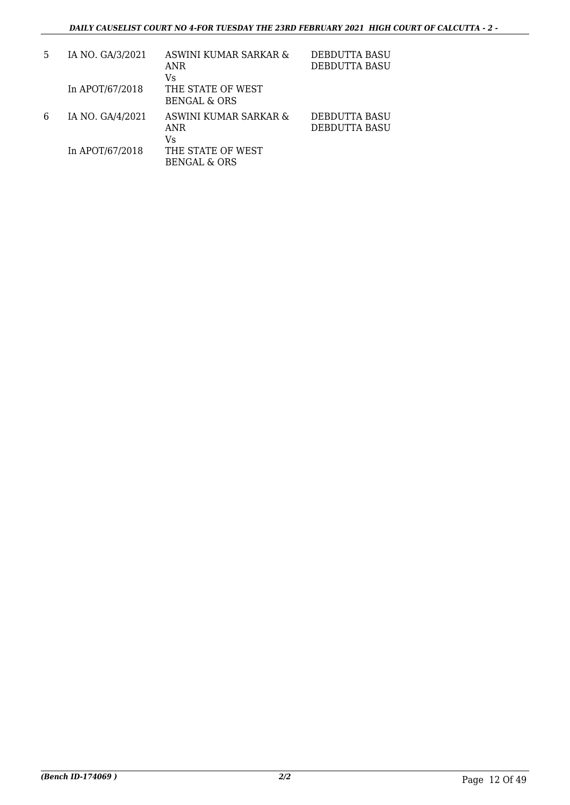| 5 | IA NO. GA/3/2021 | ASWINI KUMAR SARKAR &<br>ANR<br>Vs           | <b>DEBDUTTA BASU</b><br>DEBDUTTA BASU |
|---|------------------|----------------------------------------------|---------------------------------------|
|   | In APOT/67/2018  | THE STATE OF WEST<br><b>BENGAL &amp; ORS</b> |                                       |
| 6 | IA NO. GA/4/2021 | ASWINI KUMAR SARKAR &<br>ANR<br>Vs           | DEBDUTTA BASU<br>DEBDUTTA BASU        |
|   | In APOT/67/2018  | THE STATE OF WEST<br><b>BENGAL &amp; ORS</b> |                                       |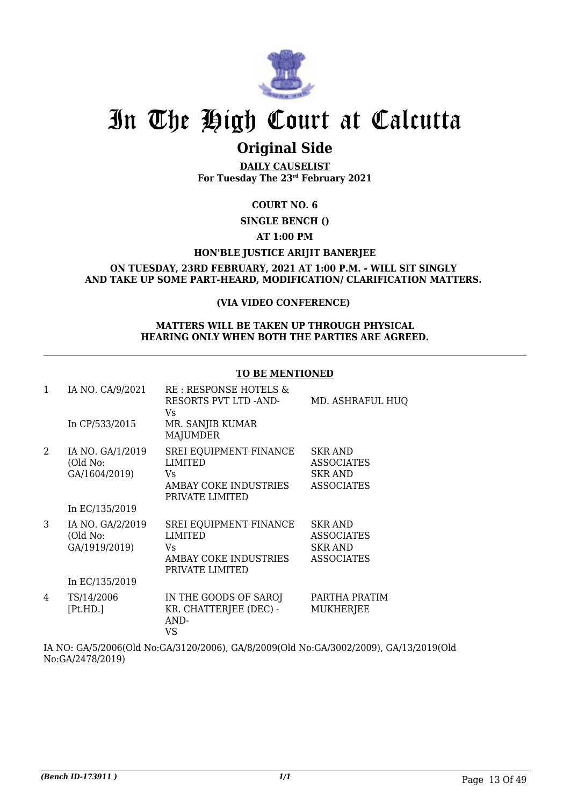

## **Original Side**

**DAILY CAUSELIST For Tuesday The 23rd February 2021**

### **COURT NO. 6**

**SINGLE BENCH ()**

### **AT 1:00 PM**

### **HON'BLE JUSTICE ARIJIT BANERJEE**

### **ON TUESDAY, 23RD FEBRUARY, 2021 AT 1:00 P.M. - WILL SIT SINGLY AND TAKE UP SOME PART-HEARD, MODIFICATION/ CLARIFICATION MATTERS.**

### **(VIA VIDEO CONFERENCE)**

### **MATTERS WILL BE TAKEN UP THROUGH PHYSICAL HEARING ONLY WHEN BOTH THE PARTIES ARE AGREED.**

### **TO BE MENTIONED**

| $\mathbf{1}$ | IA NO. CA/9/2021<br>In CP/533/2015                              | RE: RESPONSE HOTELS &<br>RESORTS PVT LTD -AND-<br>Vs.<br>MR. SANJIB KUMAR<br><b>MAJUMDER</b> | MD. ASHRAFUL HUQ                                                           |
|--------------|-----------------------------------------------------------------|----------------------------------------------------------------------------------------------|----------------------------------------------------------------------------|
| 2            | IA NO. GA/1/2019<br>(Old No:<br>GA/1604/2019)<br>In EC/135/2019 | SREI EQUIPMENT FINANCE<br><b>LIMITED</b><br>Vs.<br>AMBAY COKE INDUSTRIES<br>PRIVATE LIMITED  | <b>SKR AND</b><br><b>ASSOCIATES</b><br><b>SKR AND</b><br><b>ASSOCIATES</b> |
| 3            | IA NO. GA/2/2019<br>(Old No:<br>GA/1919/2019)<br>In EC/135/2019 | <b>SREI EQUIPMENT FINANCE</b><br>LIMITED<br>Vs.<br>AMBAY COKE INDUSTRIES<br>PRIVATE LIMITED  | <b>SKR AND</b><br><b>ASSOCIATES</b><br><b>SKR AND</b><br><b>ASSOCIATES</b> |
| 4            | TS/14/2006<br>[Pt.HD.]                                          | IN THE GOODS OF SAROJ<br>KR. CHATTERJEE (DEC) -<br>AND-<br><b>VS</b>                         | PARTHA PRATIM<br>MUKHERJEE                                                 |

IA NO: GA/5/2006(Old No:GA/3120/2006), GA/8/2009(Old No:GA/3002/2009), GA/13/2019(Old No:GA/2478/2019)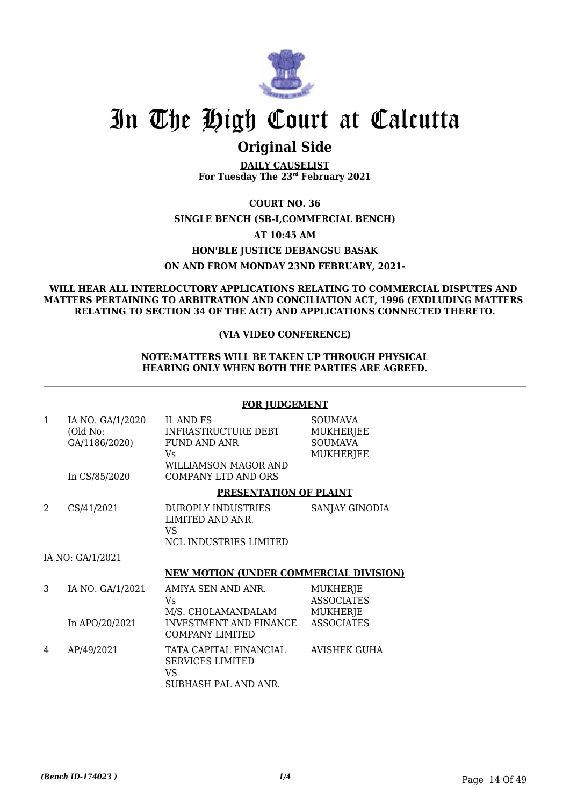

### **Original Side**

**DAILY CAUSELIST For Tuesday The 23rd February 2021**

**COURT NO. 36**

### **SINGLE BENCH (SB-I,COMMERCIAL BENCH)**

### **AT 10:45 AM**

### **HON'BLE JUSTICE DEBANGSU BASAK**

### **ON AND FROM MONDAY 23ND FEBRUARY, 2021-**

#### **WILL HEAR ALL INTERLOCUTORY APPLICATIONS RELATING TO COMMERCIAL DISPUTES AND MATTERS PERTAINING TO ARBITRATION AND CONCILIATION ACT, 1996 (EXDLUDING MATTERS RELATING TO SECTION 34 OF THE ACT) AND APPLICATIONS CONNECTED THERETO.**

### **(VIA VIDEO CONFERENCE)**

### **NOTE:MATTERS WILL BE TAKEN UP THROUGH PHYSICAL HEARING ONLY WHEN BOTH THE PARTIES ARE AGREED.**

### **FOR JUDGEMENT**

| 1 | IA NO. GA/1/2020<br>(Old No:<br>GA/1186/2020)<br>In CS/85/2020 | <b>IL AND FS</b><br><b>INFRASTRUCTURE DEBT</b><br><b>FUND AND ANR</b><br>Vs.<br>WILLIAMSON MAGOR AND<br><b>COMPANY LTD AND ORS</b> | <b>SOUMAVA</b><br><b>MUKHERJEE</b><br><b>SOUMAVA</b><br><b>MUKHERJEE</b> |
|---|----------------------------------------------------------------|------------------------------------------------------------------------------------------------------------------------------------|--------------------------------------------------------------------------|
|   |                                                                | PRESENTATION OF PLAINT                                                                                                             |                                                                          |
| 2 | CS/41/2021                                                     | <b>DUROPLY INDUSTRIES</b><br>LIMITED AND ANR.<br>VS<br><b>NCL INDUSTRIES LIMITED</b>                                               | SANJAY GINODIA                                                           |
|   | IA NO: GA/1/2021                                               |                                                                                                                                    |                                                                          |
|   |                                                                | <b>NEW MOTION (UNDER COMMERCIAL DIVISION)</b>                                                                                      |                                                                          |
| 3 | IA NO. GA/1/2021                                               | AMIYA SEN AND ANR.<br>Vs.<br>M/S. CHOLAMANDALAM                                                                                    | MUKHERJE<br><b>ASSOCIATES</b><br><b>MUKHERIE</b>                         |

| 3 | IA NO. GA/1/2021 | AMIYA SEN AND ANR.      | MUKHERJE          |
|---|------------------|-------------------------|-------------------|
|   |                  | Vs                      | <b>ASSOCIATES</b> |
|   |                  | M/S. CHOLAMANDALAM      | MUKHERJE          |
|   | In APO/20/2021   | INVESTMENT AND FINANCE  | <b>ASSOCIATES</b> |
|   |                  | COMPANY LIMITED         |                   |
| 4 | AP/49/2021       | TATA CAPITAL FINANCIAL  | AVISHEK GUHA      |
|   |                  | <b>SERVICES LIMITED</b> |                   |
|   |                  | VS                      |                   |
|   |                  | SUBHASH PAL AND ANR.    |                   |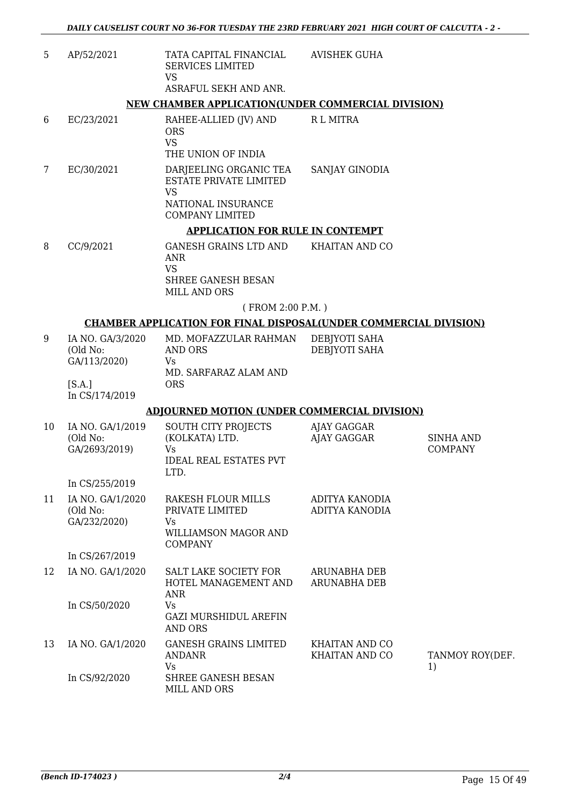| 5  | AP/52/2021                                    | TATA CAPITAL FINANCIAL<br><b>SERVICES LIMITED</b><br><b>VS</b>                                                       | <b>AVISHEK GUHA</b>                     |                                    |
|----|-----------------------------------------------|----------------------------------------------------------------------------------------------------------------------|-----------------------------------------|------------------------------------|
|    |                                               | ASRAFUL SEKH AND ANR.                                                                                                |                                         |                                    |
|    |                                               | NEW CHAMBER APPLICATION(UNDER COMMERCIAL DIVISION)                                                                   |                                         |                                    |
| 6  | EC/23/2021                                    | RAHEE-ALLIED (JV) AND<br><b>ORS</b><br><b>VS</b>                                                                     | R L MITRA                               |                                    |
|    |                                               | THE UNION OF INDIA                                                                                                   |                                         |                                    |
| 7  | EC/30/2021                                    | DARJEELING ORGANIC TEA<br><b>ESTATE PRIVATE LIMITED</b><br><b>VS</b><br>NATIONAL INSURANCE<br><b>COMPANY LIMITED</b> | SANJAY GINODIA                          |                                    |
|    |                                               | <b>APPLICATION FOR RULE IN CONTEMPT</b>                                                                              |                                         |                                    |
| 8  | CC/9/2021                                     | <b>GANESH GRAINS LTD AND</b>                                                                                         | KHAITAN AND CO                          |                                    |
|    |                                               | <b>ANR</b><br><b>VS</b>                                                                                              |                                         |                                    |
|    |                                               | SHREE GANESH BESAN<br>MILL AND ORS                                                                                   |                                         |                                    |
|    |                                               | (FROM 2:00 P.M.)                                                                                                     |                                         |                                    |
|    |                                               | <b>CHAMBER APPLICATION FOR FINAL DISPOSAL(UNDER COMMERCIAL DIVISION)</b>                                             |                                         |                                    |
| 9  | IA NO. GA/3/2020<br>(Old No:<br>GA/113/2020)  | MD. MOFAZZULAR RAHMAN<br><b>AND ORS</b><br>Vs                                                                        | DEBJYOTI SAHA<br>DEBJYOTI SAHA          |                                    |
|    | [S.A.]<br>In CS/174/2019                      | MD. SARFARAZ ALAM AND<br><b>ORS</b>                                                                                  |                                         |                                    |
|    |                                               | <b>ADJOURNED MOTION (UNDER COMMERCIAL DIVISION)</b>                                                                  |                                         |                                    |
| 10 | IA NO. GA/1/2019<br>(Old No:<br>GA/2693/2019) | SOUTH CITY PROJECTS<br>(KOLKATA) LTD.<br>Vs<br><b>IDEAL REAL ESTATES PVT</b>                                         | AJAY GAGGAR<br>AJAY GAGGAR              | <b>SINHA AND</b><br><b>COMPANY</b> |
|    | In CS/255/2019                                | LTD.                                                                                                                 |                                         |                                    |
| 11 | IA NO. GA/1/2020<br>(Old No:<br>GA/232/2020)  | RAKESH FLOUR MILLS<br>PRIVATE LIMITED<br>Vs<br>WILLIAMSON MAGOR AND<br><b>COMPANY</b>                                | ADITYA KANODIA<br>ADITYA KANODIA        |                                    |
|    | In CS/267/2019                                |                                                                                                                      |                                         |                                    |
| 12 | IA NO. GA/1/2020                              | SALT LAKE SOCIETY FOR<br>HOTEL MANAGEMENT AND<br>ANR                                                                 | ARUNABHA DEB<br><b>ARUNABHA DEB</b>     |                                    |
|    | In CS/50/2020                                 | Vs<br><b>GAZI MURSHIDUL AREFIN</b><br><b>AND ORS</b>                                                                 |                                         |                                    |
| 13 | IA NO. GA/1/2020                              | <b>GANESH GRAINS LIMITED</b><br><b>ANDANR</b><br>Vs                                                                  | <b>KHAITAN AND CO</b><br>KHAITAN AND CO | TANMOY ROY(DEF.<br>1)              |
|    | In CS/92/2020                                 | SHREE GANESH BESAN<br>MILL AND ORS                                                                                   |                                         |                                    |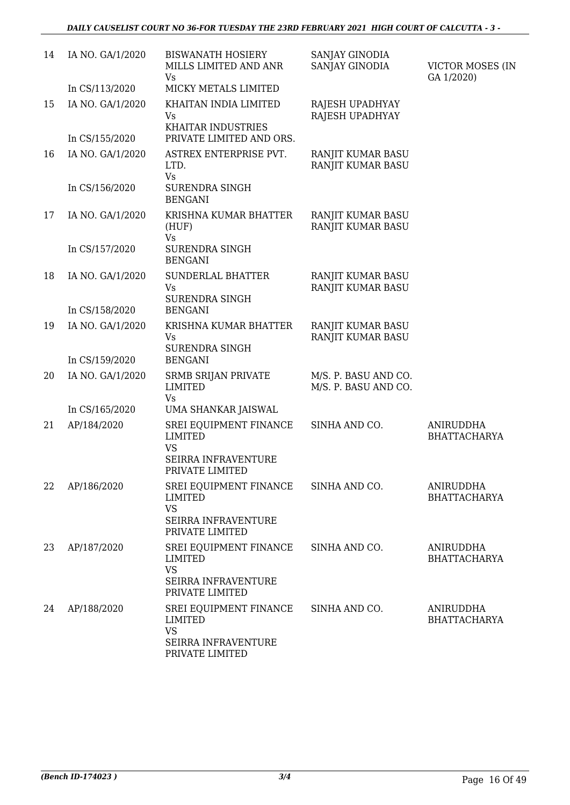| 14 | IA NO. GA/1/2020 | <b>BISWANATH HOSIERY</b><br>MILLS LIMITED AND ANR<br>Vs                                         | SANJAY GINODIA<br>SANJAY GINODIA             | VICTOR MOSES (IN<br>GA 1/2020)          |
|----|------------------|-------------------------------------------------------------------------------------------------|----------------------------------------------|-----------------------------------------|
|    | In CS/113/2020   | MICKY METALS LIMITED                                                                            |                                              |                                         |
| 15 | IA NO. GA/1/2020 | KHAITAN INDIA LIMITED<br>Vs<br>KHAITAR INDUSTRIES                                               | RAJESH UPADHYAY<br>RAJESH UPADHYAY           |                                         |
|    | In CS/155/2020   | PRIVATE LIMITED AND ORS.                                                                        |                                              |                                         |
| 16 | IA NO. GA/1/2020 | ASTREX ENTERPRISE PVT.<br>LTD.<br>Vs                                                            | RANJIT KUMAR BASU<br>RANJIT KUMAR BASU       |                                         |
|    | In CS/156/2020   | SURENDRA SINGH<br><b>BENGANI</b>                                                                |                                              |                                         |
| 17 | IA NO. GA/1/2020 | KRISHNA KUMAR BHATTER<br>(HUF)<br>Vs                                                            | RANJIT KUMAR BASU<br>RANJIT KUMAR BASU       |                                         |
|    | In CS/157/2020   | <b>SURENDRA SINGH</b><br><b>BENGANI</b>                                                         |                                              |                                         |
| 18 | IA NO. GA/1/2020 | SUNDERLAL BHATTER<br>Vs<br><b>SURENDRA SINGH</b>                                                | RANJIT KUMAR BASU<br>RANJIT KUMAR BASU       |                                         |
|    | In CS/158/2020   | <b>BENGANI</b>                                                                                  |                                              |                                         |
| 19 | IA NO. GA/1/2020 | KRISHNA KUMAR BHATTER<br>Vs<br><b>SURENDRA SINGH</b>                                            | RANJIT KUMAR BASU<br>RANJIT KUMAR BASU       |                                         |
|    | In CS/159/2020   | <b>BENGANI</b>                                                                                  |                                              |                                         |
| 20 | IA NO. GA/1/2020 | <b>SRMB SRIJAN PRIVATE</b><br><b>LIMITED</b><br>Vs                                              | M/S. P. BASU AND CO.<br>M/S. P. BASU AND CO. |                                         |
|    | In CS/165/2020   | UMA SHANKAR JAISWAL                                                                             |                                              |                                         |
| 21 | AP/184/2020      | SREI EQUIPMENT FINANCE<br><b>LIMITED</b><br><b>VS</b><br>SEIRRA INFRAVENTURE<br>PRIVATE LIMITED | SINHA AND CO.                                | <b>ANIRUDDHA</b><br><b>BHATTACHARYA</b> |
| 22 | AP/186/2020      | <b>SREI EQUIPMENT FINANCE</b><br>LIMITED<br><b>VS</b><br>SEIRRA INFRAVENTURE<br>PRIVATE LIMITED | SINHA AND CO.                                | <b>ANIRUDDHA</b><br><b>BHATTACHARYA</b> |
| 23 | AP/187/2020      | SREI EQUIPMENT FINANCE<br><b>LIMITED</b><br><b>VS</b>                                           | SINHA AND CO.                                | ANIRUDDHA<br><b>BHATTACHARYA</b>        |
|    |                  | SEIRRA INFRAVENTURE<br>PRIVATE LIMITED                                                          |                                              |                                         |
| 24 | AP/188/2020      | SREI EQUIPMENT FINANCE<br>LIMITED<br><b>VS</b><br>SEIRRA INFRAVENTURE<br>PRIVATE LIMITED        | SINHA AND CO.                                | <b>ANIRUDDHA</b><br><b>BHATTACHARYA</b> |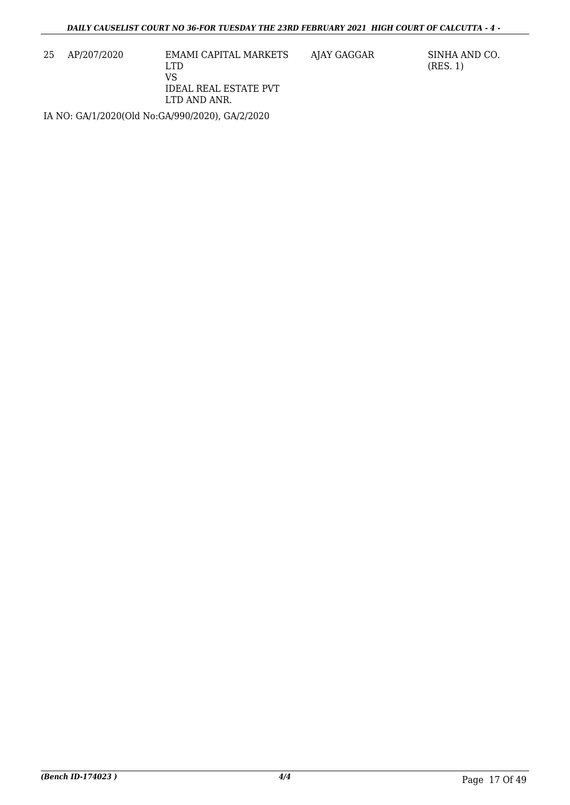25 AP/207/2020 EMAMI CAPITAL MARKETS LTD VS IDEAL REAL ESTATE PVT LTD AND ANR.

AJAY GAGGAR SINHA AND CO. (RES. 1)

IA NO: GA/1/2020(Old No:GA/990/2020), GA/2/2020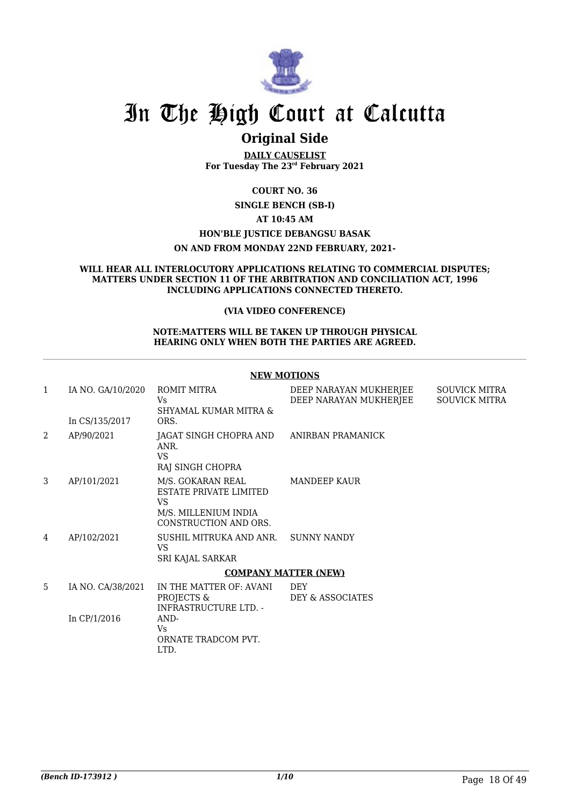

### **Original Side**

**DAILY CAUSELIST For Tuesday The 23rd February 2021**

**COURT NO. 36**

**SINGLE BENCH (SB-I)**

### **AT 10:45 AM**

**HON'BLE JUSTICE DEBANGSU BASAK**

**ON AND FROM MONDAY 22ND FEBRUARY, 2021-**

#### **WILL HEAR ALL INTERLOCUTORY APPLICATIONS RELATING TO COMMERCIAL DISPUTES; MATTERS UNDER SECTION 11 OF THE ARBITRATION AND CONCILIATION ACT, 1996 INCLUDING APPLICATIONS CONNECTED THERETO.**

### **(VIA VIDEO CONFERENCE)**

#### **NOTE:MATTERS WILL BE TAKEN UP THROUGH PHYSICAL HEARING ONLY WHEN BOTH THE PARTIES ARE AGREED.**

|   | <b>NEW MOTIONS</b>                  |                                                                                                            |                                                  |                                              |  |  |
|---|-------------------------------------|------------------------------------------------------------------------------------------------------------|--------------------------------------------------|----------------------------------------------|--|--|
| 1 | IA NO. GA/10/2020<br>In CS/135/2017 | <b>ROMIT MITRA</b><br>Vs.<br>SHYAMAL KUMAR MITRA &<br>ORS.                                                 | DEEP NARAYAN MUKHERJEE<br>DEEP NARAYAN MUKHERJEE | <b>SOUVICK MITRA</b><br><b>SOUVICK MITRA</b> |  |  |
| 2 | AP/90/2021                          | JAGAT SINGH CHOPRA AND ANIRBAN PRAMANICK<br>ANR.<br><b>VS</b><br>RAJ SINGH CHOPRA                          |                                                  |                                              |  |  |
| 3 | AP/101/2021                         | M/S. GOKARAN REAL<br><b>ESTATE PRIVATE LIMITED</b><br>VS.<br>M/S. MILLENIUM INDIA<br>CONSTRUCTION AND ORS. | MANDEEP KAUR                                     |                                              |  |  |
| 4 | AP/102/2021                         | SUSHIL MITRUKA AND ANR.<br>VS.<br>SRI KAJAL SARKAR                                                         | <b>SUNNY NANDY</b>                               |                                              |  |  |
|   |                                     | <b>COMPANY MATTER (NEW)</b>                                                                                |                                                  |                                              |  |  |
| 5 | IA NO. CA/38/2021<br>In $CP/1/2016$ | IN THE MATTER OF: AVANI<br>PROJECTS &<br><b>INFRASTRUCTURE LTD. -</b><br>AND-                              | <b>DEY</b><br>DEY & ASSOCIATES                   |                                              |  |  |
|   |                                     | Vs.<br>ORNATE TRADCOM PVT.<br>LTD.                                                                         |                                                  |                                              |  |  |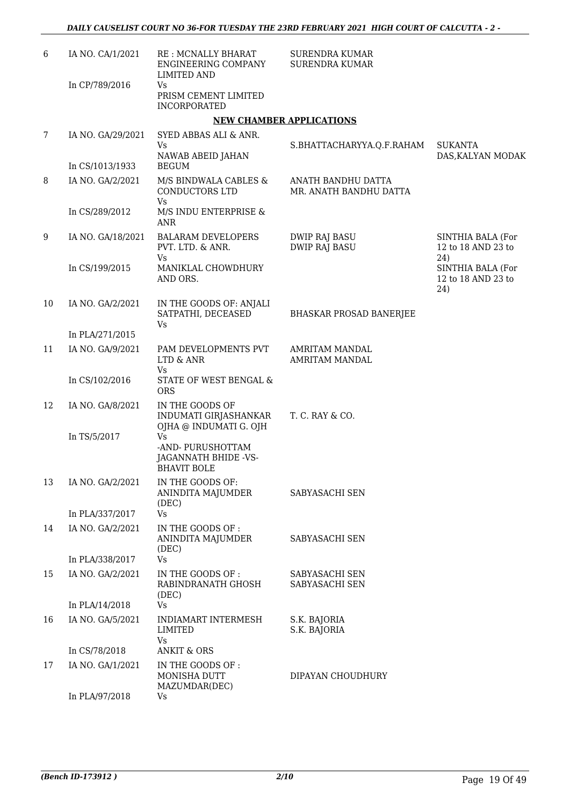| 6  | IA NO. CA/1/2021  | <b>RE: MCNALLY BHARAT</b><br><b>ENGINEERING COMPANY</b><br>LIMITED AND | <b>SURENDRA KUMAR</b><br><b>SURENDRA KUMAR</b> |                                                |
|----|-------------------|------------------------------------------------------------------------|------------------------------------------------|------------------------------------------------|
|    | In CP/789/2016    | Vs<br>PRISM CEMENT LIMITED<br><b>INCORPORATED</b>                      |                                                |                                                |
|    |                   |                                                                        | <b>NEW CHAMBER APPLICATIONS</b>                |                                                |
| 7  | IA NO. GA/29/2021 | SYED ABBAS ALI & ANR.                                                  |                                                |                                                |
|    | In CS/1013/1933   | Vs<br>NAWAB ABEID JAHAN<br><b>BEGUM</b>                                | S.BHATTACHARYYA.Q.F.RAHAM                      | <b>SUKANTA</b><br>DAS, KALYAN MODAK            |
| 8  | IA NO. GA/2/2021  | M/S BINDWALA CABLES &<br>CONDUCTORS LTD<br><b>Vs</b>                   | ANATH BANDHU DATTA<br>MR. ANATH BANDHU DATTA   |                                                |
|    | In CS/289/2012    | M/S INDU ENTERPRISE &<br>ANR                                           |                                                |                                                |
| 9  | IA NO. GA/18/2021 | <b>BALARAM DEVELOPERS</b><br>PVT. LTD. & ANR.<br>Vs                    | <b>DWIP RAJ BASU</b><br><b>DWIP RAJ BASU</b>   | SINTHIA BALA (For<br>12 to 18 AND 23 to<br>24) |
|    | In CS/199/2015    | MANIKLAL CHOWDHURY<br>AND ORS.                                         |                                                | SINTHIA BALA (For<br>12 to 18 AND 23 to<br>24) |
| 10 | IA NO. GA/2/2021  | IN THE GOODS OF: ANJALI<br>SATPATHI, DECEASED<br>Vs                    | <b>BHASKAR PROSAD BANERJEE</b>                 |                                                |
|    | In PLA/271/2015   |                                                                        |                                                |                                                |
| 11 | IA NO. GA/9/2021  | PAM DEVELOPMENTS PVT<br>LTD & ANR<br>Vs                                | <b>AMRITAM MANDAL</b><br><b>AMRITAM MANDAL</b> |                                                |
|    | In CS/102/2016    | STATE OF WEST BENGAL &<br><b>ORS</b>                                   |                                                |                                                |
| 12 | IA NO. GA/8/2021  | IN THE GOODS OF<br>INDUMATI GIRJASHANKAR<br>OJHA @ INDUMATI G. OJH     | T. C. RAY & CO.                                |                                                |
|    | In TS/5/2017      | Vs.<br>-AND- PURUSHOTTAM<br>JAGANNATH BHIDE -VS-<br><b>BHAVIT BOLE</b> |                                                |                                                |
| 13 | IA NO. GA/2/2021  | IN THE GOODS OF:<br>ANINDITA MAJUMDER<br>(DEC)                         | SABYASACHI SEN                                 |                                                |
|    | In PLA/337/2017   | Vs                                                                     |                                                |                                                |
| 14 | IA NO. GA/2/2021  | IN THE GOODS OF:<br>ANINDITA MAJUMDER<br>(DEC)                         | SABYASACHI SEN                                 |                                                |
|    | In PLA/338/2017   | Vs                                                                     |                                                |                                                |
| 15 | IA NO. GA/2/2021  | IN THE GOODS OF :<br>RABINDRANATH GHOSH<br>(DEC)                       | SABYASACHI SEN<br>SABYASACHI SEN               |                                                |
|    | In PLA/14/2018    | Vs                                                                     |                                                |                                                |
| 16 | IA NO. GA/5/2021  | INDIAMART INTERMESH<br><b>LIMITED</b><br>Vs                            | S.K. BAJORIA<br>S.K. BAJORIA                   |                                                |
|    | In CS/78/2018     | <b>ANKIT &amp; ORS</b>                                                 |                                                |                                                |
| 17 | IA NO. GA/1/2021  | IN THE GOODS OF:<br>MONISHA DUTT<br>MAZUMDAR(DEC)                      | DIPAYAN CHOUDHURY                              |                                                |
|    | In PLA/97/2018    | Vs                                                                     |                                                |                                                |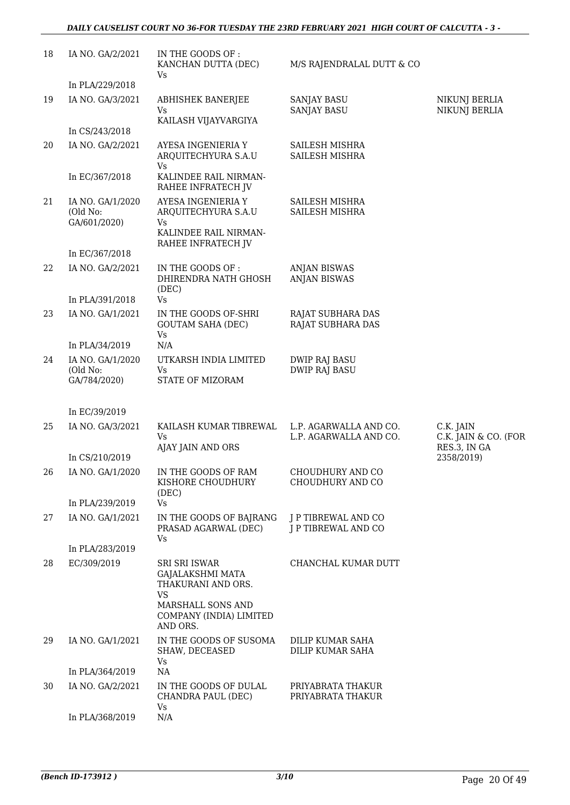| 18 | IA NO. GA/2/2021                             | IN THE GOODS OF:<br>KANCHAN DUTTA (DEC)<br>Vs                                                  | M/S RAJENDRALAL DUTT & CO                        |                                                   |
|----|----------------------------------------------|------------------------------------------------------------------------------------------------|--------------------------------------------------|---------------------------------------------------|
|    | In PLA/229/2018                              |                                                                                                |                                                  |                                                   |
| 19 | IA NO. GA/3/2021                             | <b>ABHISHEK BANERJEE</b><br>Vs<br>KAILASH VIJAYVARGIYA                                         | <b>SANJAY BASU</b><br><b>SANJAY BASU</b>         | NIKUNJ BERLIA<br>NIKUNJ BERLIA                    |
|    | In CS/243/2018                               |                                                                                                |                                                  |                                                   |
| 20 | IA NO. GA/2/2021                             | AYESA INGENIERIA Y<br>ARQUITECHYURA S.A.U<br>Vs                                                | SAILESH MISHRA<br>SAILESH MISHRA                 |                                                   |
|    | In EC/367/2018                               | KALINDEE RAIL NIRMAN-<br>RAHEE INFRATECH JV                                                    |                                                  |                                                   |
| 21 | IA NO. GA/1/2020<br>(Old No:<br>GA/601/2020) | AYESA INGENIERIA Y<br>ARQUITECHYURA S.A.U<br>Vs<br>KALINDEE RAIL NIRMAN-<br>RAHEE INFRATECH JV | SAILESH MISHRA<br>SAILESH MISHRA                 |                                                   |
|    | In EC/367/2018                               |                                                                                                |                                                  |                                                   |
| 22 | IA NO. GA/2/2021                             | IN THE GOODS OF:<br>DHIRENDRA NATH GHOSH<br>(DEC)                                              | <b>ANJAN BISWAS</b><br><b>ANJAN BISWAS</b>       |                                                   |
|    | In PLA/391/2018                              | Vs                                                                                             |                                                  |                                                   |
| 23 | IA NO. GA/1/2021                             | IN THE GOODS OF-SHRI<br><b>GOUTAM SAHA (DEC)</b><br>Vs                                         | RAJAT SUBHARA DAS<br>RAJAT SUBHARA DAS           |                                                   |
|    | In PLA/34/2019                               | N/A                                                                                            |                                                  |                                                   |
| 24 | IA NO. GA/1/2020<br>(Old No:<br>GA/784/2020) | UTKARSH INDIA LIMITED<br>Vs<br>STATE OF MIZORAM                                                | <b>DWIP RAJ BASU</b><br><b>DWIP RAJ BASU</b>     |                                                   |
|    | In EC/39/2019                                |                                                                                                |                                                  |                                                   |
| 25 | IA NO. GA/3/2021                             | KAILASH KUMAR TIBREWAL<br>Vs<br>AJAY JAIN AND ORS                                              | L.P. AGARWALLA AND CO.<br>L.P. AGARWALLA AND CO. | C.K. JAIN<br>C.K. JAIN & CO. (FOR<br>RES.3, IN GA |
|    | In CS/210/2019                               |                                                                                                |                                                  | 2358/2019)                                        |
| 26 | IA NO. GA/1/2020                             | IN THE GOODS OF RAM<br>KISHORE CHOUDHURY<br>(DEC)                                              | CHOUDHURY AND CO<br>CHOUDHURY AND CO             |                                                   |
|    | In PLA/239/2019                              | Vs                                                                                             |                                                  |                                                   |
| 27 | IA NO. GA/1/2021                             | IN THE GOODS OF BAJRANG<br>PRASAD AGARWAL (DEC)<br>Vs                                          | J P TIBREWAL AND CO<br>J P TIBREWAL AND CO       |                                                   |
|    | In PLA/283/2019                              |                                                                                                |                                                  |                                                   |
| 28 | EC/309/2019                                  | SRI SRI ISWAR<br>GAJALAKSHMI MATA<br>THAKURANI AND ORS.<br><b>VS</b><br>MARSHALL SONS AND      | CHANCHAL KUMAR DUTT                              |                                                   |
|    |                                              | COMPANY (INDIA) LIMITED<br>AND ORS.                                                            |                                                  |                                                   |
| 29 | IA NO. GA/1/2021                             | IN THE GOODS OF SUSOMA<br>SHAW, DECEASED<br>Vs                                                 | DILIP KUMAR SAHA<br>DILIP KUMAR SAHA             |                                                   |
|    | In PLA/364/2019                              | NA                                                                                             |                                                  |                                                   |
| 30 | IA NO. GA/2/2021                             | IN THE GOODS OF DULAL<br>CHANDRA PAUL (DEC)<br>Vs                                              | PRIYABRATA THAKUR<br>PRIYABRATA THAKUR           |                                                   |
|    | In PLA/368/2019                              | N/A                                                                                            |                                                  |                                                   |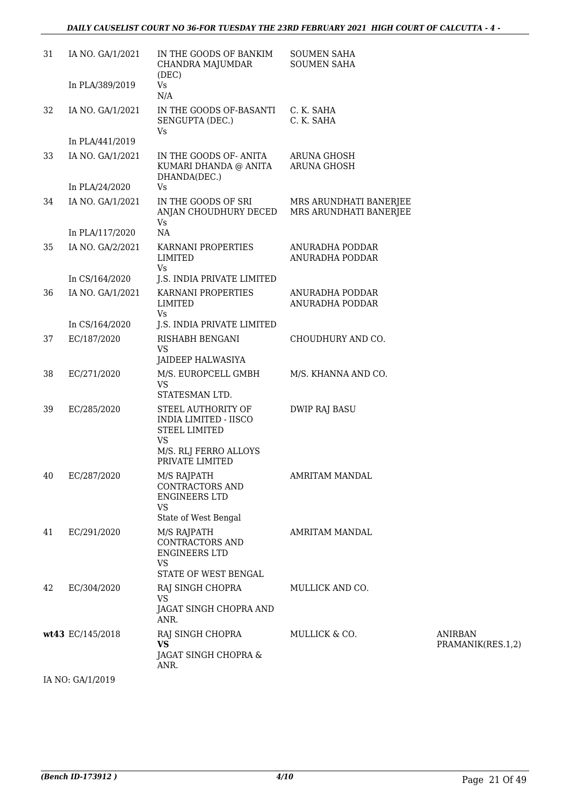| 31 | IA NO. GA/1/2021 | IN THE GOODS OF BANKIM<br>CHANDRA MAJUMDAR<br>(DEC)                                                | <b>SOUMEN SAHA</b><br><b>SOUMEN SAHA</b> |                                     |
|----|------------------|----------------------------------------------------------------------------------------------------|------------------------------------------|-------------------------------------|
|    | In PLA/389/2019  | Vs<br>N/A                                                                                          |                                          |                                     |
| 32 | IA NO. GA/1/2021 | IN THE GOODS OF-BASANTI<br>SENGUPTA (DEC.)<br>Vs                                                   | C. K. SAHA<br>C. K. SAHA                 |                                     |
|    | In PLA/441/2019  |                                                                                                    |                                          |                                     |
| 33 | IA NO. GA/1/2021 | IN THE GOODS OF- ANITA<br>KUMARI DHANDA @ ANITA<br>DHANDA(DEC.)                                    | <b>ARUNA GHOSH</b><br>ARUNA GHOSH        |                                     |
|    | In PLA/24/2020   | Vs                                                                                                 |                                          |                                     |
| 34 | IA NO. GA/1/2021 | IN THE GOODS OF SRI<br>ANJAN CHOUDHURY DECED MRS ARUNDHATI BANERJEE<br>Vs                          | MRS ARUNDHATI BANERJEE                   |                                     |
|    | In PLA/117/2020  | <b>NA</b>                                                                                          |                                          |                                     |
| 35 | IA NO. GA/2/2021 | KARNANI PROPERTIES<br>LIMITED<br>Vs                                                                | ANURADHA PODDAR<br>ANURADHA PODDAR       |                                     |
|    | In CS/164/2020   | J.S. INDIA PRIVATE LIMITED                                                                         |                                          |                                     |
| 36 | IA NO. GA/1/2021 | KARNANI PROPERTIES<br>LIMITED<br>Vs                                                                | ANURADHA PODDAR<br>ANURADHA PODDAR       |                                     |
|    | In CS/164/2020   | J.S. INDIA PRIVATE LIMITED                                                                         |                                          |                                     |
| 37 | EC/187/2020      | RISHABH BENGANI<br><b>VS</b>                                                                       | CHOUDHURY AND CO.                        |                                     |
|    |                  | JAIDEEP HALWASIYA                                                                                  |                                          |                                     |
| 38 | EC/271/2020      | M/S. EUROPCELL GMBH<br><b>VS</b><br>STATESMAN LTD.                                                 | M/S. KHANNA AND CO.                      |                                     |
| 39 | EC/285/2020      | STEEL AUTHORITY OF<br><b>INDIA LIMITED - IISCO</b><br><b>STEEL LIMITED</b><br><b>VS</b>            | <b>DWIP RAJ BASU</b>                     |                                     |
|    |                  | M/S. RLJ FERRO ALLOYS<br>PRIVATE LIMITED                                                           |                                          |                                     |
| 40 | EC/287/2020      | M/S RAJPATH<br><b>CONTRACTORS AND</b><br><b>ENGINEERS LTD</b><br><b>VS</b>                         | AMRITAM MANDAL                           |                                     |
|    |                  | State of West Bengal                                                                               |                                          |                                     |
| 41 | EC/291/2020      | M/S RAJPATH<br><b>CONTRACTORS AND</b><br><b>ENGINEERS LTD</b><br><b>VS</b><br>STATE OF WEST BENGAL | AMRITAM MANDAL                           |                                     |
| 42 | EC/304/2020      | RAJ SINGH CHOPRA                                                                                   | MULLICK AND CO.                          |                                     |
|    |                  | <b>VS</b><br>JAGAT SINGH CHOPRA AND<br>ANR.                                                        |                                          |                                     |
|    | wt43 EC/145/2018 | RAJ SINGH CHOPRA<br><b>VS</b><br>JAGAT SINGH CHOPRA &                                              | MULLICK & CO.                            | <b>ANIRBAN</b><br>PRAMANIK(RES.1,2) |
|    |                  | ANR.                                                                                               |                                          |                                     |
|    |                  |                                                                                                    |                                          |                                     |

IA NO: GA/1/2019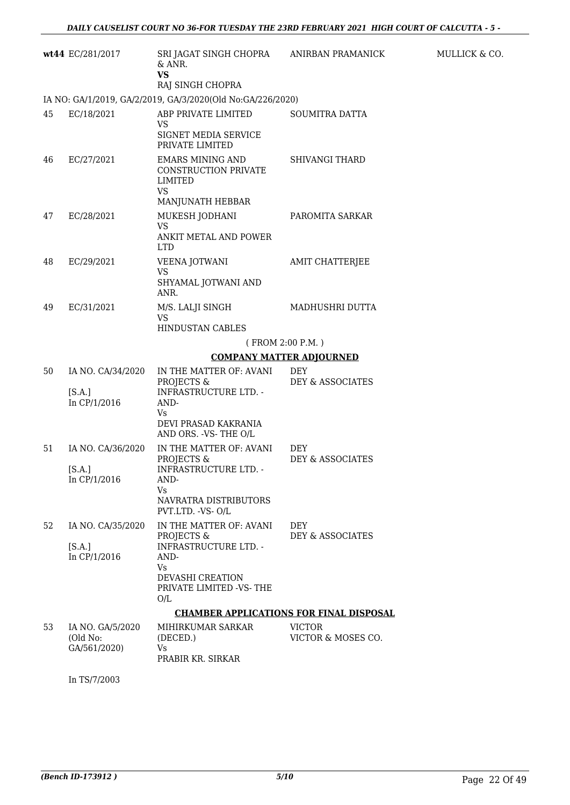|    | wt44 EC/281/2017                             | SRI JAGAT SINGH CHOPRA ANIRBAN PRAMANICK<br>& ANR.<br><b>VS</b><br>RAJ SINGH CHOPRA                                                               |                                     |
|----|----------------------------------------------|---------------------------------------------------------------------------------------------------------------------------------------------------|-------------------------------------|
|    |                                              | IA NO: GA/1/2019, GA/2/2019, GA/3/2020(Old No:GA/226/2020)                                                                                        |                                     |
| 45 | EC/18/2021                                   | ABP PRIVATE LIMITED<br>VS<br>SIGNET MEDIA SERVICE<br>PRIVATE LIMITED                                                                              | <b>SOUMITRA DATTA</b>               |
| 46 | EC/27/2021                                   | EMARS MINING AND<br>CONSTRUCTION PRIVATE<br><b>LIMITED</b><br><b>VS</b>                                                                           | <b>SHIVANGI THARD</b>               |
| 47 | EC/28/2021                                   | MANJUNATH HEBBAR<br>MUKESH JODHANI<br><b>VS</b><br>ANKIT METAL AND POWER<br><b>LTD</b>                                                            | PAROMITA SARKAR                     |
| 48 | EC/29/2021                                   | VEENA JOTWANI<br><b>VS</b><br>SHYAMAL JOTWANI AND<br>ANR.                                                                                         | AMIT CHATTERJEE                     |
| 49 | EC/31/2021                                   | M/S. LALJI SINGH<br><b>VS</b><br><b>HINDUSTAN CABLES</b>                                                                                          | MADHUSHRI DUTTA                     |
|    |                                              | (FROM 2:00 P.M.)                                                                                                                                  |                                     |
|    |                                              | <b>COMPANY MATTER ADJOURNED</b>                                                                                                                   |                                     |
| 50 | IA NO. CA/34/2020<br>[S.A.]<br>In CP/1/2016  | IN THE MATTER OF: AVANI<br>PROJECTS &<br><b>INFRASTRUCTURE LTD. -</b><br>AND-<br>Vs<br>DEVI PRASAD KAKRANIA<br>AND ORS. - VS- THE O/L             | <b>DEY</b><br>DEY & ASSOCIATES      |
| 51 | IA NO. CA/36/2020<br>[S.A.]<br>In CP/1/2016  | IN THE MATTER OF: AVANI<br>PROJECTS &<br><b>INFRASTRUCTURE LTD. -</b><br>AND-<br>Vs.<br>NAVRATRA DISTRIBUTORS<br>PVT.LTD. -VS- O/L                | <b>DEY</b><br>DEY & ASSOCIATES      |
| 52 | IA NO. CA/35/2020<br>[S.A.]<br>In CP/1/2016  | IN THE MATTER OF: AVANI<br>PROJECTS &<br><b>INFRASTRUCTURE LTD. -</b><br>AND-<br>Vs.<br><b>DEVASHI CREATION</b><br>PRIVATE LIMITED -VS-THE<br>O/L | <b>DEY</b><br>DEY & ASSOCIATES      |
|    |                                              | <b>CHAMBER APPLICATIONS FOR FINAL DISPOSAL</b>                                                                                                    |                                     |
| 53 | IA NO. GA/5/2020<br>(Old No:<br>GA/561/2020) | MIHIRKUMAR SARKAR<br>(DECED.)<br>Vs<br>PRABIR KR. SIRKAR                                                                                          | <b>VICTOR</b><br>VICTOR & MOSES CO. |

In TS/7/2003

MULLICK  $\&$  CO.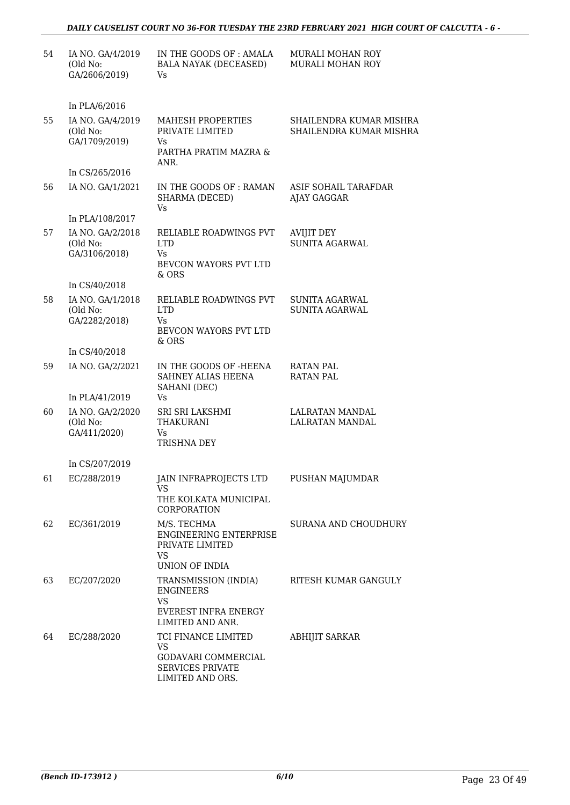### *DAILY CAUSELIST COURT NO 36-FOR TUESDAY THE 23RD FEBRUARY 2021 HIGH COURT OF CALCUTTA - 6 -*

| 54 | IA NO. GA/4/2019<br>(Old No:<br>GA/2606/2019) | IN THE GOODS OF: AMALA<br><b>BALA NAYAK (DECEASED)</b><br>Vs                                                  | MURALI MOHAN ROY<br>MURALI MOHAN ROY               |
|----|-----------------------------------------------|---------------------------------------------------------------------------------------------------------------|----------------------------------------------------|
|    | In PLA/6/2016                                 |                                                                                                               |                                                    |
| 55 | IA NO. GA/4/2019<br>(Old No:<br>GA/1709/2019) | MAHESH PROPERTIES<br>PRIVATE LIMITED<br>Vs.<br>PARTHA PRATIM MAZRA &                                          | SHAILENDRA KUMAR MISHRA<br>SHAILENDRA KUMAR MISHRA |
|    | In CS/265/2016                                | ANR.                                                                                                          |                                                    |
| 56 | IA NO. GA/1/2021                              | IN THE GOODS OF: RAMAN<br>SHARMA (DECED)<br>Vs                                                                | ASIF SOHAIL TARAFDAR<br>AJAY GAGGAR                |
|    | In PLA/108/2017                               |                                                                                                               |                                                    |
| 57 | IA NO. GA/2/2018<br>(Old No:<br>GA/3106/2018) | RELIABLE ROADWINGS PVT<br><b>LTD</b><br>Vs<br>BEVCON WAYORS PVT LTD<br>$&$ ORS                                | <b>AVIJIT DEY</b><br>SUNITA AGARWAL                |
|    | In CS/40/2018                                 |                                                                                                               |                                                    |
| 58 | IA NO. GA/1/2018<br>(Old No:<br>GA/2282/2018) | RELIABLE ROADWINGS PVT<br><b>LTD</b><br>Vs<br>BEVCON WAYORS PVT LTD<br>$&$ ORS                                | <b>SUNITA AGARWAL</b><br>SUNITA AGARWAL            |
|    | In CS/40/2018                                 |                                                                                                               |                                                    |
| 59 | IA NO. GA/2/2021                              | IN THE GOODS OF -HEENA<br>SAHNEY ALIAS HEENA<br>SAHANI (DEC)                                                  | <b>RATAN PAL</b><br><b>RATAN PAL</b>               |
|    | In PLA/41/2019                                | Vs                                                                                                            |                                                    |
| 60 | IA NO. GA/2/2020<br>(Old No:<br>GA/411/2020)  | SRI SRI LAKSHMI<br>THAKURANI<br>Vs<br>TRISHNA DEY                                                             | LALRATAN MANDAL<br>LALRATAN MANDAL                 |
|    | In CS/207/2019                                |                                                                                                               |                                                    |
| 61 | EC/288/2019                                   | JAIN INFRAPROJECTS LTD<br>VS<br>THE KOLKATA MUNICIPAL<br>CORPORATION                                          | PUSHAN MAJUMDAR                                    |
| 62 | EC/361/2019                                   | M/S. TECHMA<br><b>ENGINEERING ENTERPRISE</b><br>PRIVATE LIMITED<br>VS<br>UNION OF INDIA                       | SURANA AND CHOUDHURY                               |
| 63 | EC/207/2020                                   | TRANSMISSION (INDIA)<br><b>ENGINEERS</b><br><b>VS</b><br>EVEREST INFRA ENERGY<br>LIMITED AND ANR.             | RITESH KUMAR GANGULY                               |
| 64 | EC/288/2020                                   | TCI FINANCE LIMITED<br><b>VS</b><br><b>GODAVARI COMMERCIAL</b><br><b>SERVICES PRIVATE</b><br>LIMITED AND ORS. | <b>ABHIJIT SARKAR</b>                              |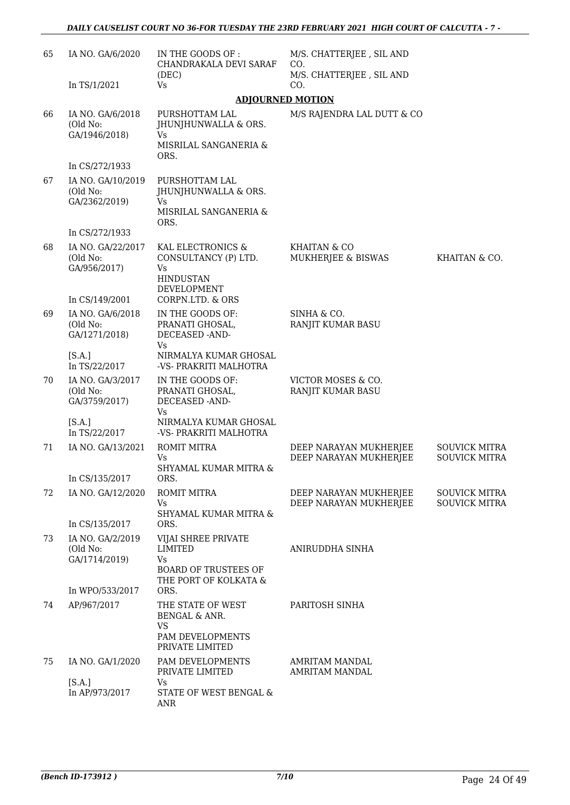| 65 | IA NO. GA/6/2020                                                | IN THE GOODS OF :<br>CHANDRAKALA DEVI SARAF                                                                | M/S. CHATTERJEE, SIL AND<br>CO.                  |                                              |
|----|-----------------------------------------------------------------|------------------------------------------------------------------------------------------------------------|--------------------------------------------------|----------------------------------------------|
|    | In TS/1/2021                                                    | (DEC)<br>Vs                                                                                                | M/S. CHATTERJEE, SIL AND<br>CO.                  |                                              |
|    |                                                                 |                                                                                                            | <b>ADJOURNED MOTION</b>                          |                                              |
| 66 | IA NO. GA/6/2018<br>(Old No:<br>GA/1946/2018)                   | PURSHOTTAM LAL<br>JHUNJHUNWALLA & ORS.<br>Vs<br>MISRILAL SANGANERIA &<br>ORS.                              | M/S RAJENDRA LAL DUTT & CO                       |                                              |
|    | In CS/272/1933                                                  |                                                                                                            |                                                  |                                              |
| 67 | IA NO. GA/10/2019<br>(Old No:<br>GA/2362/2019)                  | PURSHOTTAM LAL<br>JHUNJHUNWALLA & ORS.<br>Vs<br>MISRILAL SANGANERIA &<br>ORS.                              |                                                  |                                              |
|    | In CS/272/1933                                                  |                                                                                                            |                                                  |                                              |
| 68 | IA NO. GA/22/2017<br>(Old No:<br>GA/956/2017)<br>In CS/149/2001 | KAL ELECTRONICS &<br>CONSULTANCY (P) LTD.<br>Vs<br><b>HINDUSTAN</b><br>DEVELOPMENT<br>CORPN.LTD. & ORS     | KHAITAN & CO<br>MUKHERJEE & BISWAS               | KHAITAN & CO.                                |
| 69 | IA NO. GA/6/2018<br>(Old No:<br>GA/1271/2018)                   | IN THE GOODS OF:<br>PRANATI GHOSAL,<br>DECEASED -AND-<br>Vs.                                               | SINHA & CO.<br>RANJIT KUMAR BASU                 |                                              |
|    | [S.A.]<br>In TS/22/2017                                         | NIRMALYA KUMAR GHOSAL<br>-VS- PRAKRITI MALHOTRA                                                            |                                                  |                                              |
| 70 | IA NO. GA/3/2017<br>(Old No:<br>GA/3759/2017)                   | IN THE GOODS OF:<br>PRANATI GHOSAL,<br>DECEASED -AND-<br>Vs                                                | VICTOR MOSES & CO.<br>RANJIT KUMAR BASU          |                                              |
|    | [S.A.]<br>In TS/22/2017                                         | NIRMALYA KUMAR GHOSAL<br>-VS- PRAKRITI MALHOTRA                                                            |                                                  |                                              |
| 71 | IA NO. GA/13/2021                                               | <b>ROMIT MITRA</b><br>Vs<br>SHYAMAL KUMAR MITRA &                                                          | DEEP NARAYAN MUKHERJEE<br>DEEP NARAYAN MUKHERJEE | <b>SOUVICK MITRA</b><br><b>SOUVICK MITRA</b> |
|    | In CS/135/2017                                                  | ORS.                                                                                                       |                                                  |                                              |
| 72 | IA NO. GA/12/2020<br>In CS/135/2017                             | ROMIT MITRA<br>Vs<br>SHYAMAL KUMAR MITRA &<br>ORS.                                                         | DEEP NARAYAN MUKHERJEE<br>DEEP NARAYAN MUKHERJEE | <b>SOUVICK MITRA</b><br><b>SOUVICK MITRA</b> |
| 73 | IA NO. GA/2/2019<br>(Old No:<br>GA/1714/2019)                   | VIJAI SHREE PRIVATE<br><b>LIMITED</b><br><b>Vs</b><br><b>BOARD OF TRUSTEES OF</b><br>THE PORT OF KOLKATA & | ANIRUDDHA SINHA                                  |                                              |
|    | In WPO/533/2017                                                 | ORS.                                                                                                       |                                                  |                                              |
| 74 | AP/967/2017                                                     | THE STATE OF WEST<br>BENGAL & ANR.<br>VS<br>PAM DEVELOPMENTS<br>PRIVATE LIMITED                            | PARITOSH SINHA                                   |                                              |
| 75 | IA NO. GA/1/2020                                                | PAM DEVELOPMENTS<br>PRIVATE LIMITED                                                                        | <b>AMRITAM MANDAL</b><br><b>AMRITAM MANDAL</b>   |                                              |
|    | [S.A.]<br>In AP/973/2017                                        | Vs<br>STATE OF WEST BENGAL &<br>ANR                                                                        |                                                  |                                              |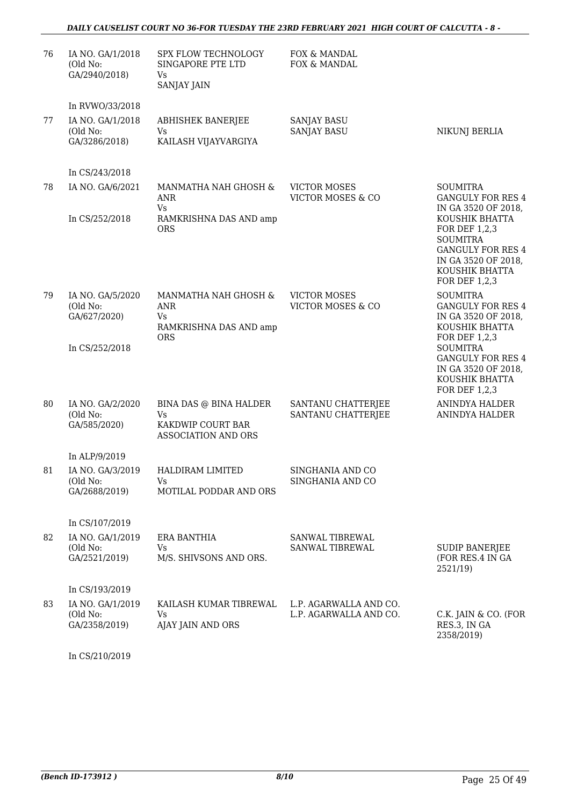### *DAILY CAUSELIST COURT NO 36-FOR TUESDAY THE 23RD FEBRUARY 2021 HIGH COURT OF CALCUTTA - 8 -*

| 76  | IA NO. GA/1/2018<br>(Old No:<br>GA/2940/2018) | SPX FLOW TECHNOLOGY<br>SINGAPORE PTE LTD<br>Vs<br><b>SANJAY JAIN</b>             | FOX & MANDAL<br>FOX & MANDAL                        |                                                                                                                                          |
|-----|-----------------------------------------------|----------------------------------------------------------------------------------|-----------------------------------------------------|------------------------------------------------------------------------------------------------------------------------------------------|
|     | In RVWO/33/2018                               |                                                                                  |                                                     |                                                                                                                                          |
| 77  | IA NO. GA/1/2018<br>(Old No:<br>GA/3286/2018) | <b>ABHISHEK BANERJEE</b><br>Vs<br>KAILASH VIJAYVARGIYA                           | <b>SANJAY BASU</b><br><b>SANJAY BASU</b>            | NIKUNJ BERLIA                                                                                                                            |
|     | In CS/243/2018                                |                                                                                  |                                                     |                                                                                                                                          |
| 78  | IA NO. GA/6/2021                              | MANMATHA NAH GHOSH &<br>ANR<br>Vs                                                | <b>VICTOR MOSES</b><br><b>VICTOR MOSES &amp; CO</b> | <b>SOUMITRA</b><br><b>GANGULY FOR RES 4</b><br>IN GA 3520 OF 2018,                                                                       |
|     | In CS/252/2018                                | RAMKRISHNA DAS AND amp<br><b>ORS</b>                                             |                                                     | KOUSHIK BHATTA<br>FOR DEF 1,2,3<br><b>SOUMITRA</b><br><b>GANGULY FOR RES 4</b><br>IN GA 3520 OF 2018,<br>KOUSHIK BHATTA<br>FOR DEF 1,2,3 |
| 79  | IA NO. GA/5/2020<br>(Old No:<br>GA/627/2020)  | MANMATHA NAH GHOSH &<br><b>ANR</b><br>Vs<br>RAMKRISHNA DAS AND amp<br><b>ORS</b> | <b>VICTOR MOSES</b><br><b>VICTOR MOSES &amp; CO</b> | <b>SOUMITRA</b><br><b>GANGULY FOR RES 4</b><br>IN GA 3520 OF 2018,<br>KOUSHIK BHATTA<br>FOR DEF 1,2,3                                    |
|     | In CS/252/2018                                |                                                                                  |                                                     | <b>SOUMITRA</b><br><b>GANGULY FOR RES 4</b><br>IN GA 3520 OF 2018,<br>KOUSHIK BHATTA<br>FOR DEF 1,2,3                                    |
| 80  | IA NO. GA/2/2020<br>(Old No:<br>GA/585/2020)  | BINA DAS @ BINA HALDER<br>Vs<br>KAKDWIP COURT BAR<br><b>ASSOCIATION AND ORS</b>  | SANTANU CHATTERJEE<br>SANTANU CHATTERJEE            | ANINDYA HALDER<br>ANINDYA HALDER                                                                                                         |
|     | In ALP/9/2019                                 |                                                                                  |                                                     |                                                                                                                                          |
| 81. | IA NO. GA/3/2019<br>(Old No:<br>GA/2688/2019) | HALDIRAM LIMITED<br>Vs.<br>MOTILAL PODDAR AND ORS                                | SINGHANIA AND CO<br>SINGHANIA AND CO                |                                                                                                                                          |
|     | In CS/107/2019                                |                                                                                  |                                                     |                                                                                                                                          |
| 82  | IA NO. GA/1/2019<br>(Old No:<br>GA/2521/2019) | ERA BANTHIA<br>Vs<br>M/S. SHIVSONS AND ORS.                                      | SANWAL TIBREWAL<br>SANWAL TIBREWAL                  | <b>SUDIP BANERJEE</b><br>(FOR RES.4 IN GA<br>2521/19)                                                                                    |
|     | In CS/193/2019                                |                                                                                  |                                                     |                                                                                                                                          |
| 83  | IA NO. GA/1/2019<br>(Old No:<br>GA/2358/2019) | KAILASH KUMAR TIBREWAL<br>Vs<br>AJAY JAIN AND ORS                                | L.P. AGARWALLA AND CO.<br>L.P. AGARWALLA AND CO.    | C.K. JAIN & CO. (FOR<br>RES.3, IN GA<br>2358/2019)                                                                                       |

In CS/210/2019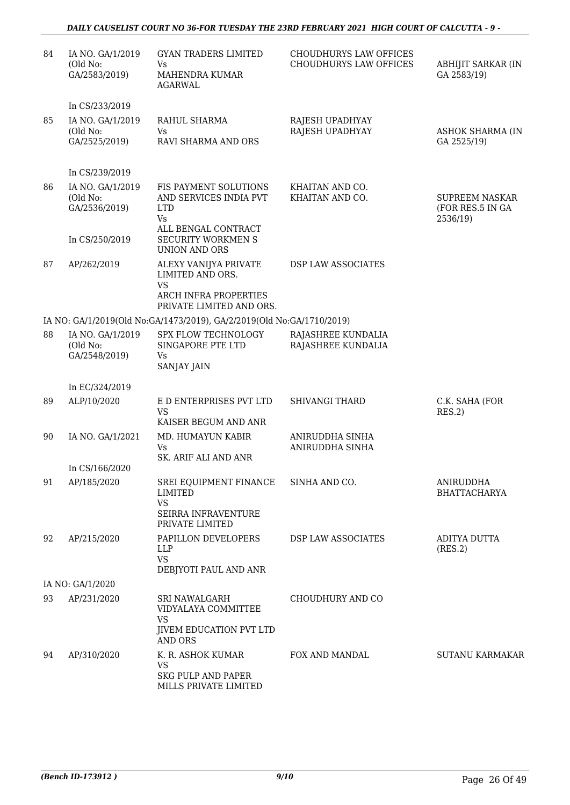### *DAILY CAUSELIST COURT NO 36-FOR TUESDAY THE 23RD FEBRUARY 2021 HIGH COURT OF CALCUTTA - 9 -*

| 84 | IA NO. GA/1/2019<br>(Old No:<br>GA/2583/2019)                   | <b>GYAN TRADERS LIMITED</b><br>Vs<br><b>MAHENDRA KUMAR</b><br>AGARWAL                                                   | <b>CHOUDHURYS LAW OFFICES</b><br>CHOUDHURYS LAW OFFICES | ABHIJIT SARKAR (IN<br>GA 2583/19)                     |
|----|-----------------------------------------------------------------|-------------------------------------------------------------------------------------------------------------------------|---------------------------------------------------------|-------------------------------------------------------|
|    | In CS/233/2019                                                  |                                                                                                                         |                                                         |                                                       |
| 85 | IA NO. GA/1/2019<br>(Old No:<br>GA/2525/2019)                   | RAHUL SHARMA<br>Vs.<br>RAVI SHARMA AND ORS                                                                              | RAJESH UPADHYAY<br>RAJESH UPADHYAY                      | <b>ASHOK SHARMA (IN</b><br>GA 2525/19)                |
|    | In CS/239/2019                                                  |                                                                                                                         |                                                         |                                                       |
| 86 | IA NO. GA/1/2019<br>(Old No:<br>GA/2536/2019)<br>In CS/250/2019 | FIS PAYMENT SOLUTIONS<br>AND SERVICES INDIA PVT<br><b>LTD</b><br>Vs<br>ALL BENGAL CONTRACT<br><b>SECURITY WORKMEN S</b> | KHAITAN AND CO.<br>KHAITAN AND CO.                      | <b>SUPREEM NASKAR</b><br>(FOR RES.5 IN GA<br>2536/19) |
| 87 | AP/262/2019                                                     | <b>UNION AND ORS</b><br>ALEXY VANIJYA PRIVATE<br>LIMITED AND ORS.                                                       | DSP LAW ASSOCIATES                                      |                                                       |
|    |                                                                 | <b>VS</b><br>ARCH INFRA PROPERTIES<br>PRIVATE LIMITED AND ORS.                                                          |                                                         |                                                       |
|    |                                                                 | IA NO: GA/1/2019(Old No:GA/1473/2019), GA/2/2019(Old No:GA/1710/2019)                                                   |                                                         |                                                       |
| 88 | IA NO. GA/1/2019<br>(Old No:<br>GA/2548/2019)                   | SPX FLOW TECHNOLOGY<br>SINGAPORE PTE LTD<br>Vs<br><b>SANJAY JAIN</b>                                                    | RAJASHREE KUNDALIA<br>RAJASHREE KUNDALIA                |                                                       |
|    | In EC/324/2019                                                  |                                                                                                                         |                                                         |                                                       |
| 89 | ALP/10/2020                                                     | E D ENTERPRISES PVT LTD<br><b>VS</b><br>KAISER BEGUM AND ANR                                                            | <b>SHIVANGI THARD</b>                                   | C.K. SAHA (FOR<br>RES.2)                              |
| 90 | IA NO. GA/1/2021                                                | MD. HUMAYUN KABIR<br>Vs<br>SK. ARIF ALI AND ANR                                                                         | ANIRUDDHA SINHA<br>ANIRUDDHA SINHA                      |                                                       |
|    | In CS/166/2020                                                  |                                                                                                                         |                                                         |                                                       |
| 91 | AP/185/2020                                                     | SREI EQUIPMENT FINANCE<br>LIMITED<br><b>VS</b><br>SEIRRA INFRAVENTURE<br>PRIVATE LIMITED                                | SINHA AND CO.                                           | ANIRUDDHA<br><b>BHATTACHARYA</b>                      |
| 92 | AP/215/2020                                                     | PAPILLON DEVELOPERS<br><b>LLP</b><br><b>VS</b><br>DEBJYOTI PAUL AND ANR                                                 | <b>DSP LAW ASSOCIATES</b>                               | ADITYA DUTTA<br>(RES.2)                               |
|    | IA NO: GA/1/2020                                                |                                                                                                                         |                                                         |                                                       |
| 93 | AP/231/2020                                                     | SRI NAWALGARH<br>VIDYALAYA COMMITTEE<br><b>VS</b><br><b>JIVEM EDUCATION PVT LTD</b><br>AND ORS                          | CHOUDHURY AND CO                                        |                                                       |
| 94 | AP/310/2020                                                     | K. R. ASHOK KUMAR<br>VS<br><b>SKG PULP AND PAPER</b><br>MILLS PRIVATE LIMITED                                           | FOX AND MANDAL                                          | <b>SUTANU KARMAKAR</b>                                |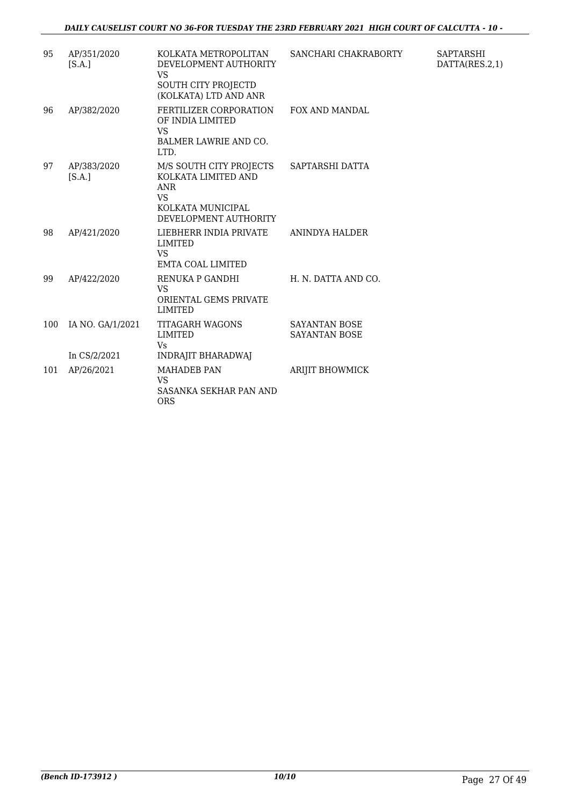| 95  | AP/351/2020<br>[S.A.] | KOLKATA METROPOLITAN<br>DEVELOPMENT AUTHORITY<br><b>VS</b><br>SOUTH CITY PROJECTD<br>(KOLKATA) LTD AND ANR                              | SANCHARI CHAKRABORTY                         |
|-----|-----------------------|-----------------------------------------------------------------------------------------------------------------------------------------|----------------------------------------------|
| 96  | AP/382/2020           | FERTILIZER CORPORATION<br>OF INDIA LIMITED<br><b>VS</b><br><b>BALMER LAWRIE AND CO.</b><br>LTD.                                         | <b>FOX AND MANDAL</b>                        |
| 97  | AP/383/2020<br>[S.A.] | M/S SOUTH CITY PROJECTS SAPTARSHI DATTA<br>KOLKATA LIMITED AND<br><b>ANR</b><br><b>VS</b><br>KOLKATA MUNICIPAL<br>DEVELOPMENT AUTHORITY |                                              |
| 98  | AP/421/2020           | LIEBHERR INDIA PRIVATE<br><b>LIMITED</b><br><b>VS</b><br>EMTA COAL LIMITED                                                              | ANINDYA HALDER                               |
| 99  | AP/422/2020           | RENUKA P GANDHI<br><b>VS</b><br>ORIENTAL GEMS PRIVATE<br><b>LIMITED</b>                                                                 | H. N. DATTA AND CO.                          |
| 100 | IA NO. GA/1/2021      | <b>TITAGARH WAGONS</b><br><b>LIMITED</b><br>Vs                                                                                          | <b>SAYANTAN BOSE</b><br><b>SAYANTAN BOSE</b> |
|     | In CS/2/2021          | <b>INDRAJIT BHARADWAJ</b>                                                                                                               |                                              |
| 101 | AP/26/2021            | <b>MAHADEB PAN</b><br>VS.<br>SASANKA SEKHAR PAN AND<br><b>ORS</b>                                                                       | <b>ARIJIT BHOWMICK</b>                       |

SAPTARSHI DATTA(RES.2,1)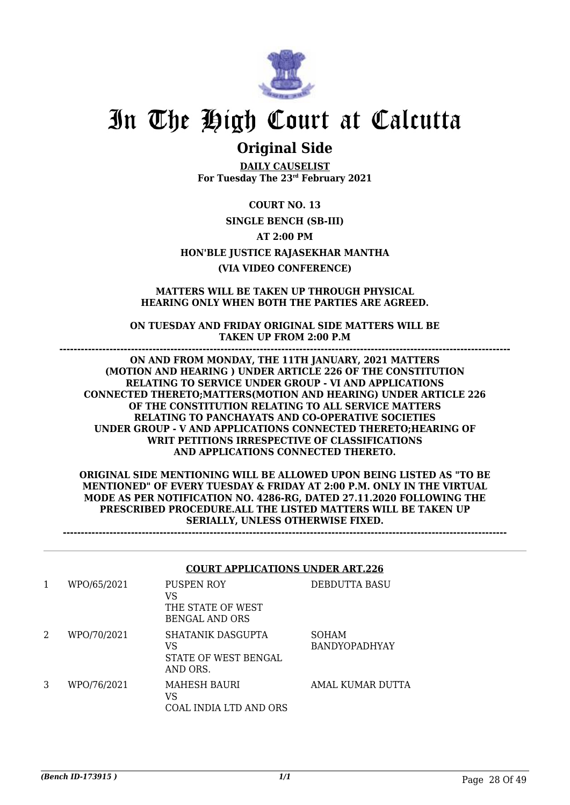

## **Original Side**

**DAILY CAUSELIST For Tuesday The 23rd February 2021**

**COURT NO. 13 SINGLE BENCH (SB-III) AT 2:00 PM HON'BLE JUSTICE RAJASEKHAR MANTHA (VIA VIDEO CONFERENCE)**

### **MATTERS WILL BE TAKEN UP THROUGH PHYSICAL HEARING ONLY WHEN BOTH THE PARTIES ARE AGREED.**

**ON TUESDAY AND FRIDAY ORIGINAL SIDE MATTERS WILL BE TAKEN UP FROM 2:00 P.M ------------------------------------------------------------------------------------------------------------------------------**

**ON AND FROM MONDAY, THE 11TH JANUARY, 2021 MATTERS (MOTION AND HEARING ) UNDER ARTICLE 226 OF THE CONSTITUTION RELATING TO SERVICE UNDER GROUP - VI AND APPLICATIONS CONNECTED THERETO;MATTERS(MOTION AND HEARING) UNDER ARTICLE 226 OF THE CONSTITUTION RELATING TO ALL SERVICE MATTERS RELATING TO PANCHAYATS AND CO-OPERATIVE SOCIETIES UNDER GROUP - V AND APPLICATIONS CONNECTED THERETO;HEARING OF WRIT PETITIONS IRRESPECTIVE OF CLASSIFICATIONS AND APPLICATIONS CONNECTED THERETO.**

**ORIGINAL SIDE MENTIONING WILL BE ALLOWED UPON BEING LISTED AS "TO BE MENTIONED" OF EVERY TUESDAY & FRIDAY AT 2:00 P.M. ONLY IN THE VIRTUAL MODE AS PER NOTIFICATION NO. 4286-RG, DATED 27.11.2020 FOLLOWING THE PRESCRIBED PROCEDURE.ALL THE LISTED MATTERS WILL BE TAKEN UP SERIALLY, UNLESS OTHERWISE FIXED.**

**----------------------------------------------------------------------------------------------------------------------------**

### **COURT APPLICATIONS UNDER ART.226**

| 1 | WPO/65/2021 | PUSPEN ROY<br>VS<br>THE STATE OF WEST<br>BENGAL AND ORS            | DEBDUTTA BASU                        |
|---|-------------|--------------------------------------------------------------------|--------------------------------------|
| 2 | WPO/70/2021 | <b>SHATANIK DASGUPTA</b><br>VS<br>STATE OF WEST BENGAL<br>AND ORS. | <b>SOHAM</b><br><b>BANDYOPADHYAY</b> |
| 3 | WPO/76/2021 | <b>MAHESH BAURI</b><br>VS<br>COAL INDIA LTD AND ORS                | AMAL KUMAR DUTTA                     |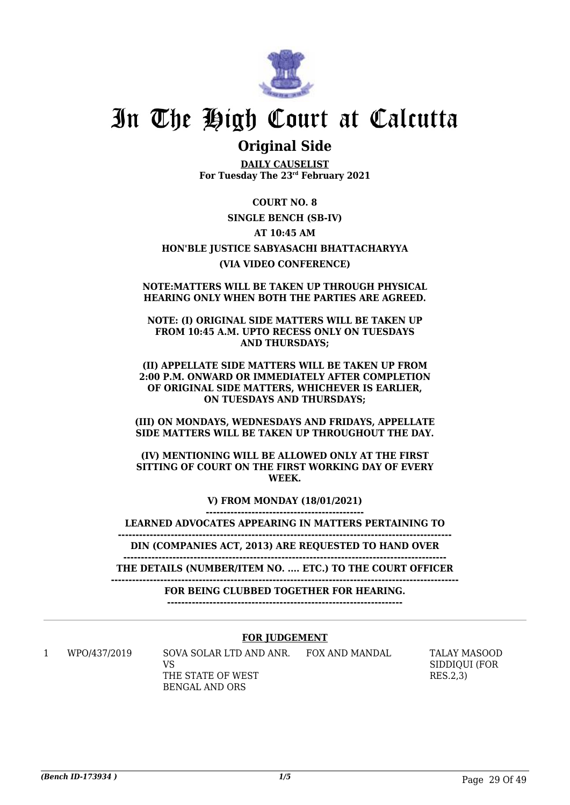

### **Original Side**

**DAILY CAUSELIST For Tuesday The 23rd February 2021**

### **COURT NO. 8**

### **SINGLE BENCH (SB-IV)**

### **AT 10:45 AM**

### **HON'BLE JUSTICE SABYASACHI BHATTACHARYYA (VIA VIDEO CONFERENCE)**

#### **NOTE:MATTERS WILL BE TAKEN UP THROUGH PHYSICAL HEARING ONLY WHEN BOTH THE PARTIES ARE AGREED.**

#### **NOTE: (I) ORIGINAL SIDE MATTERS WILL BE TAKEN UP FROM 10:45 A.M. UPTO RECESS ONLY ON TUESDAYS AND THURSDAYS;**

#### **(II) APPELLATE SIDE MATTERS WILL BE TAKEN UP FROM 2:00 P.M. ONWARD OR IMMEDIATELY AFTER COMPLETION OF ORIGINAL SIDE MATTERS, WHICHEVER IS EARLIER, ON TUESDAYS AND THURSDAYS;**

### **(III) ON MONDAYS, WEDNESDAYS AND FRIDAYS, APPELLATE SIDE MATTERS WILL BE TAKEN UP THROUGHOUT THE DAY.**

#### **(IV) MENTIONING WILL BE ALLOWED ONLY AT THE FIRST SITTING OF COURT ON THE FIRST WORKING DAY OF EVERY WEEK.**

**V) FROM MONDAY (18/01/2021)**

**---------------------------------------------**

**LEARNED ADVOCATES APPEARING IN MATTERS PERTAINING TO -----------------------------------------------------------------------------------------------**

**DIN (COMPANIES ACT, 2013) ARE REQUESTED TO HAND OVER**

**-------------------------------------------------------------------------------------------- THE DETAILS (NUMBER/ITEM NO. .... ETC.) TO THE COURT OFFICER**

**---------------------------------------------------------------------------------------------------**

**FOR BEING CLUBBED TOGETHER FOR HEARING.**

**-------------------------------------------------------------------**

### **FOR JUDGEMENT**

1 WPO/437/2019 SOVA SOLAR LTD AND ANR. FOX AND MANDAL TALAY MASOOD VS THE STATE OF WEST BENGAL AND ORS

SIDDIQUI (FOR RES.2,3)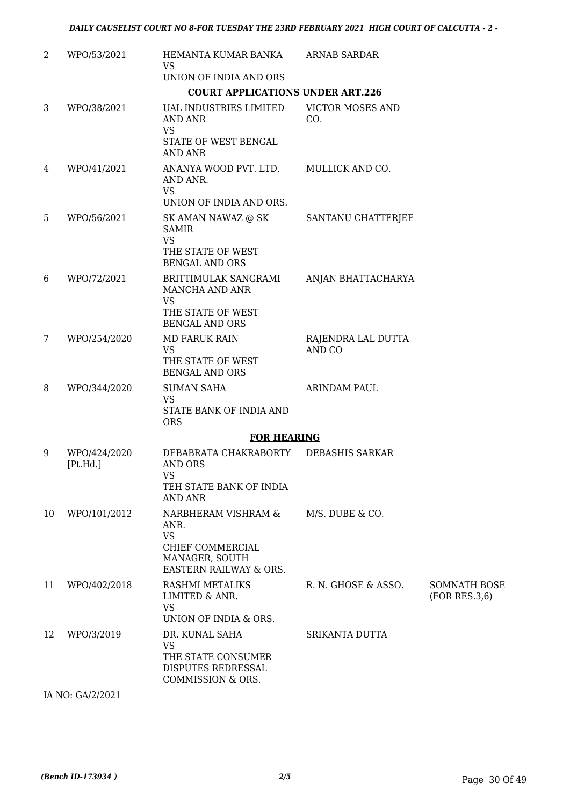| 2  | WPO/53/2021              | HEMANTA KUMAR BANKA<br><b>VS</b>                                                                                    | <b>ARNAB SARDAR</b>            |                                       |
|----|--------------------------|---------------------------------------------------------------------------------------------------------------------|--------------------------------|---------------------------------------|
|    |                          | UNION OF INDIA AND ORS                                                                                              |                                |                                       |
|    |                          | <b>COURT APPLICATIONS UNDER ART.226</b>                                                                             |                                |                                       |
| 3  | WPO/38/2021              | <b>UAL INDUSTRIES LIMITED</b><br><b>AND ANR</b><br><b>VS</b><br>STATE OF WEST BENGAL<br><b>AND ANR</b>              | <b>VICTOR MOSES AND</b><br>CO. |                                       |
| 4  | WPO/41/2021              | ANANYA WOOD PVT. LTD.<br>AND ANR.<br><b>VS</b><br>UNION OF INDIA AND ORS.                                           | MULLICK AND CO.                |                                       |
| 5  | WPO/56/2021              | SK AMAN NAWAZ @ SK<br><b>SAMIR</b><br><b>VS</b><br>THE STATE OF WEST<br><b>BENGAL AND ORS</b>                       | SANTANU CHATTERJEE             |                                       |
| 6  | WPO/72/2021              | BRITTIMULAK SANGRAMI<br>MANCHA AND ANR<br><b>VS</b><br>THE STATE OF WEST<br><b>BENGAL AND ORS</b>                   | ANJAN BHATTACHARYA             |                                       |
| 7  | WPO/254/2020             | <b>MD FARUK RAIN</b><br><b>VS</b><br>THE STATE OF WEST<br><b>BENGAL AND ORS</b>                                     | RAJENDRA LAL DUTTA<br>AND CO   |                                       |
| 8  | WPO/344/2020             | <b>SUMAN SAHA</b><br><b>VS</b><br>STATE BANK OF INDIA AND<br><b>ORS</b>                                             | <b>ARINDAM PAUL</b>            |                                       |
|    |                          | <b>FOR HEARING</b>                                                                                                  |                                |                                       |
| 9  | WPO/424/2020<br>[Pt.Hd.] | DEBABRATA CHAKRABORTY<br><b>AND ORS</b><br><b>VS</b><br>TEH STATE BANK OF INDIA<br>AND ANR                          | <b>DEBASHIS SARKAR</b>         |                                       |
| 10 | WPO/101/2012             | NARBHERAM VISHRAM &<br>ANR.<br><b>VS</b><br>CHIEF COMMERCIAL<br>MANAGER, SOUTH<br><b>EASTERN RAILWAY &amp; ORS.</b> | M/S. DUBE & CO.                |                                       |
| 11 | WPO/402/2018             | RASHMI METALIKS<br>LIMITED & ANR.<br><b>VS</b><br>UNION OF INDIA & ORS.                                             | R. N. GHOSE & ASSO.            | <b>SOMNATH BOSE</b><br>(FOR RES.3, 6) |
| 12 | WPO/3/2019               | DR. KUNAL SAHA<br><b>VS</b><br>THE STATE CONSUMER<br>DISPUTES REDRESSAL<br>COMMISSION & ORS.                        | SRIKANTA DUTTA                 |                                       |
|    | IA NO: GA/2/2021         |                                                                                                                     |                                |                                       |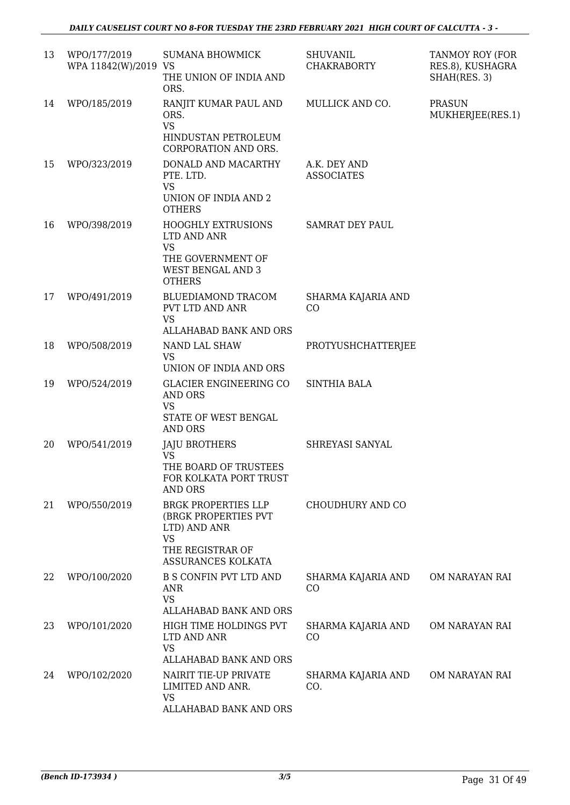| 13 | WPO/177/2019<br>WPA 11842(W)/2019 VS | <b>SUMANA BHOWMICK</b><br>THE UNION OF INDIA AND<br>ORS.                                                                  | <b>SHUVANIL</b><br><b>CHAKRABORTY</b> | TANMOY ROY (FOR<br>RES.8), KUSHAGRA<br>SHAH(RES. 3) |
|----|--------------------------------------|---------------------------------------------------------------------------------------------------------------------------|---------------------------------------|-----------------------------------------------------|
| 14 | WPO/185/2019                         | RANJIT KUMAR PAUL AND<br>ORS.<br><b>VS</b><br>HINDUSTAN PETROLEUM                                                         | MULLICK AND CO.                       | <b>PRASUN</b><br>MUKHERJEE(RES.1)                   |
| 15 | WPO/323/2019                         | CORPORATION AND ORS.<br>DONALD AND MACARTHY<br>PTE. LTD.<br><b>VS</b><br>UNION OF INDIA AND 2<br><b>OTHERS</b>            | A.K. DEY AND<br><b>ASSOCIATES</b>     |                                                     |
| 16 | WPO/398/2019                         | <b>HOOGHLY EXTRUSIONS</b><br>LTD AND ANR<br><b>VS</b><br>THE GOVERNMENT OF<br><b>WEST BENGAL AND 3</b><br><b>OTHERS</b>   | <b>SAMRAT DEY PAUL</b>                |                                                     |
| 17 | WPO/491/2019                         | BLUEDIAMOND TRACOM<br>PVT LTD AND ANR<br><b>VS</b><br>ALLAHABAD BANK AND ORS                                              | SHARMA KAJARIA AND<br>CO              |                                                     |
| 18 | WPO/508/2019                         | NAND LAL SHAW<br><b>VS</b><br>UNION OF INDIA AND ORS                                                                      | PROTYUSHCHATTERJEE                    |                                                     |
| 19 | WPO/524/2019                         | GLACIER ENGINEERING CO<br><b>AND ORS</b><br><b>VS</b><br>STATE OF WEST BENGAL<br><b>AND ORS</b>                           | <b>SINTHIA BALA</b>                   |                                                     |
| 20 | WPO/541/2019                         | JAJU BROTHERS<br><b>VS</b><br>THE BOARD OF TRUSTEES<br>FOR KOLKATA PORT TRUST<br>AND ORS                                  | SHREYASI SANYAL                       |                                                     |
| 21 | WPO/550/2019                         | <b>BRGK PROPERTIES LLP</b><br>(BRGK PROPERTIES PVT<br>LTD) AND ANR<br><b>VS</b><br>THE REGISTRAR OF<br>ASSURANCES KOLKATA | CHOUDHURY AND CO                      |                                                     |
| 22 | WPO/100/2020                         | <b>B S CONFIN PVT LTD AND</b><br>ANR<br><b>VS</b><br>ALLAHABAD BANK AND ORS                                               | SHARMA KAJARIA AND<br>CO              | OM NARAYAN RAI                                      |
| 23 | WPO/101/2020                         | HIGH TIME HOLDINGS PVT<br>LTD AND ANR<br><b>VS</b><br>ALLAHABAD BANK AND ORS                                              | SHARMA KAJARIA AND<br>CO              | OM NARAYAN RAI                                      |
| 24 | WPO/102/2020                         | NAIRIT TIE-UP PRIVATE<br>LIMITED AND ANR.<br><b>VS</b><br>ALLAHABAD BANK AND ORS                                          | SHARMA KAJARIA AND<br>CO.             | OM NARAYAN RAI                                      |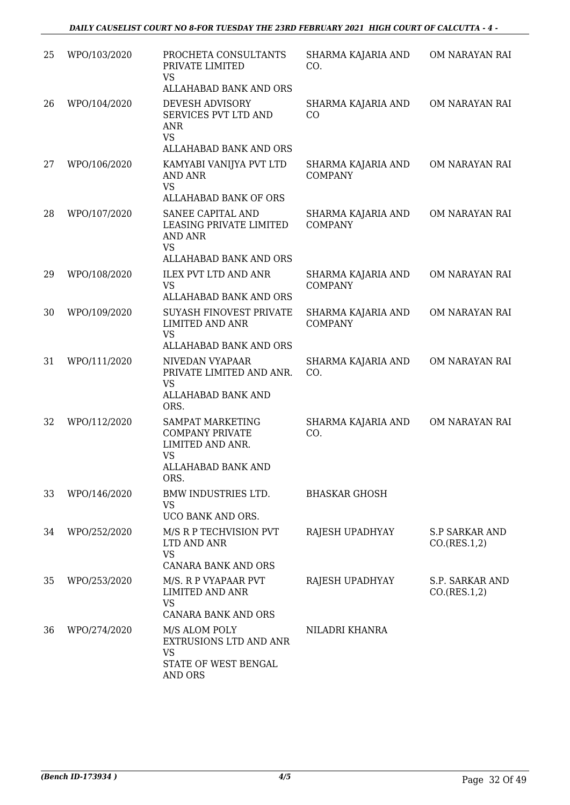| 25 | WPO/103/2020 | PROCHETA CONSULTANTS<br>PRIVATE LIMITED<br><b>VS</b><br>ALLAHABAD BANK AND ORS                                                 | SHARMA KAJARIA AND<br>CO.            | OM NARAYAN RAI                        |
|----|--------------|--------------------------------------------------------------------------------------------------------------------------------|--------------------------------------|---------------------------------------|
| 26 | WPO/104/2020 | DEVESH ADVISORY<br>SERVICES PVT LTD AND<br>ANR<br><b>VS</b><br>ALLAHABAD BANK AND ORS                                          | SHARMA KAJARIA AND<br>CO             | OM NARAYAN RAI                        |
| 27 | WPO/106/2020 | KAMYABI VANIJYA PVT LTD<br><b>AND ANR</b><br><b>VS</b>                                                                         | SHARMA KAJARIA AND<br><b>COMPANY</b> | OM NARAYAN RAI                        |
| 28 | WPO/107/2020 | <b>ALLAHABAD BANK OF ORS</b><br>SANEE CAPITAL AND<br>LEASING PRIVATE LIMITED<br>AND ANR<br><b>VS</b><br>ALLAHABAD BANK AND ORS | SHARMA KAJARIA AND<br><b>COMPANY</b> | OM NARAYAN RAI                        |
| 29 | WPO/108/2020 | <b>ILEX PVT LTD AND ANR</b><br><b>VS</b><br>ALLAHABAD BANK AND ORS                                                             | SHARMA KAJARIA AND<br><b>COMPANY</b> | OM NARAYAN RAI                        |
| 30 | WPO/109/2020 | <b>SUYASH FINOVEST PRIVATE</b><br><b>LIMITED AND ANR</b><br><b>VS</b>                                                          | SHARMA KAJARIA AND<br><b>COMPANY</b> | OM NARAYAN RAI                        |
| 31 | WPO/111/2020 | ALLAHABAD BANK AND ORS<br>NIVEDAN VYAPAAR<br>PRIVATE LIMITED AND ANR.<br><b>VS</b><br>ALLAHABAD BANK AND<br>ORS.               | SHARMA KAJARIA AND<br>CO.            | OM NARAYAN RAI                        |
| 32 | WPO/112/2020 | SAMPAT MARKETING<br><b>COMPANY PRIVATE</b><br>LIMITED AND ANR.<br><b>VS</b><br>ALLAHABAD BANK AND<br>ORS.                      | SHARMA KAJARIA AND<br>CO.            | OM NARAYAN RAI                        |
| 33 | WPO/146/2020 | BMW INDUSTRIES LTD.<br><b>VS</b><br>UCO BANK AND ORS.                                                                          | <b>BHASKAR GHOSH</b>                 |                                       |
| 34 | WPO/252/2020 | M/S R P TECHVISION PVT<br>LTD AND ANR<br><b>VS</b><br><b>CANARA BANK AND ORS</b>                                               | RAJESH UPADHYAY                      | <b>S.P SARKAR AND</b><br>CO.(RES.1,2) |
| 35 | WPO/253/2020 | M/S. R P VYAPAAR PVT<br><b>LIMITED AND ANR</b><br><b>VS</b><br>CANARA BANK AND ORS                                             | RAJESH UPADHYAY                      | S.P. SARKAR AND<br>CO.(RES.1,2)       |
| 36 | WPO/274/2020 | M/S ALOM POLY<br>EXTRUSIONS LTD AND ANR<br><b>VS</b><br>STATE OF WEST BENGAL<br>AND ORS                                        | NILADRI KHANRA                       |                                       |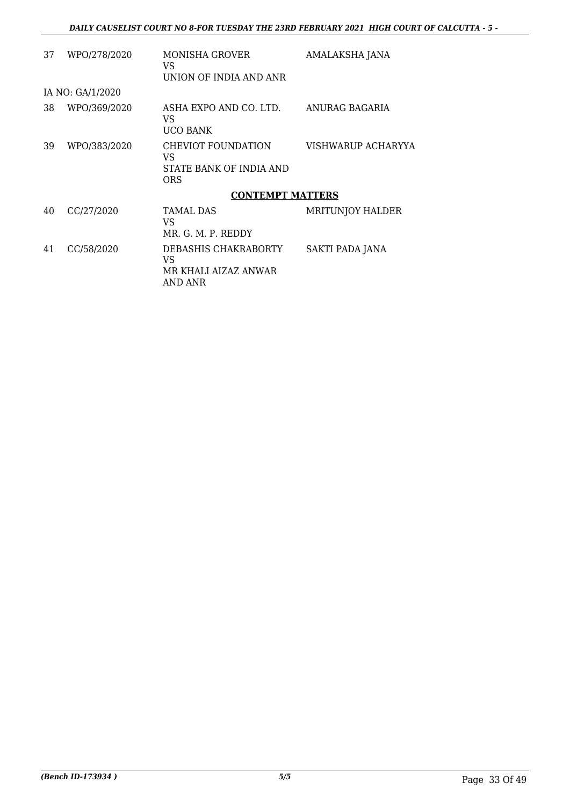| 37 | WPO/278/2020     | <b>MONISHA GROVER</b><br>VS.<br>UNION OF INDIA AND ANR             | AMALAKSHA JANA          |
|----|------------------|--------------------------------------------------------------------|-------------------------|
|    | IA NO: GA/1/2020 |                                                                    |                         |
| 38 | WPO/369/2020     | ASHA EXPO AND CO. LTD.<br>VS.<br>UCO BANK                          | ANURAG BAGARIA          |
| 39 | WPO/383/2020     | CHEVIOT FOUNDATION<br>VS.<br>STATE BANK OF INDIA AND<br><b>ORS</b> | VISHWARUP ACHARYYA      |
|    |                  | <b>CONTEMPT MATTERS</b>                                            |                         |
| 40 | CC/27/2020       | <b>TAMAL DAS</b><br>VS.<br>MR. G. M. P. REDDY                      | <b>MRITUNJOY HALDER</b> |
| 41 | CC/58/2020       | DEBASHIS CHAKRABORTY<br>VS<br>MR KHALI AIZAZ ANWAR<br>AND ANR      | SAKTI PADA JANA         |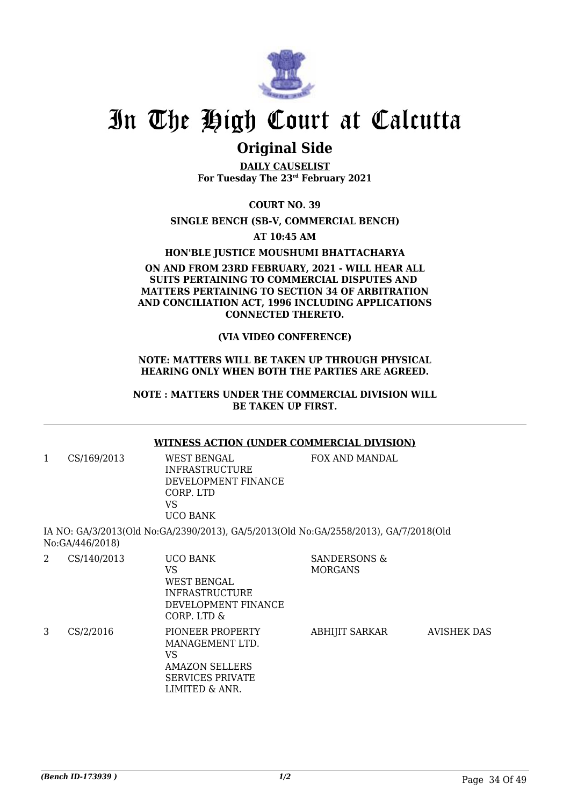

### **Original Side**

**DAILY CAUSELIST For Tuesday The 23rd February 2021**

**COURT NO. 39**

### **SINGLE BENCH (SB-V, COMMERCIAL BENCH)**

**AT 10:45 AM**

### **HON'BLE JUSTICE MOUSHUMI BHATTACHARYA**

### **ON AND FROM 23RD FEBRUARY, 2021 - WILL HEAR ALL SUITS PERTAINING TO COMMERCIAL DISPUTES AND MATTERS PERTAINING TO SECTION 34 OF ARBITRATION AND CONCILIATION ACT, 1996 INCLUDING APPLICATIONS CONNECTED THERETO.**

### **(VIA VIDEO CONFERENCE)**

#### **NOTE: MATTERS WILL BE TAKEN UP THROUGH PHYSICAL HEARING ONLY WHEN BOTH THE PARTIES ARE AGREED.**

#### **NOTE : MATTERS UNDER THE COMMERCIAL DIVISION WILL BE TAKEN UP FIRST.**

### **WITNESS ACTION (UNDER COMMERCIAL DIVISION)**

1 CS/169/2013 WEST BENGAL INFRASTRUCTURE DEVELOPMENT FINANCE CORP. LTD VS UCO BANK

FOX AND MANDAL

IA NO: GA/3/2013(Old No:GA/2390/2013), GA/5/2013(Old No:GA/2558/2013), GA/7/2018(Old No:GA/446/2018)

| 2 | CS/140/2013 | <b>UCO BANK</b><br>VS<br>WEST BENGAL<br><b>INFRASTRUCTURE</b><br>DEVELOPMENT FINANCE<br>CORP. LTD &             | <b>SANDERSONS &amp;</b><br><b>MORGANS</b> |                    |
|---|-------------|-----------------------------------------------------------------------------------------------------------------|-------------------------------------------|--------------------|
| 3 | CS/2/2016   | PIONEER PROPERTY<br>MANAGEMENT LTD.<br>VS<br><b>AMAZON SELLERS</b><br><b>SERVICES PRIVATE</b><br>LIMITED & ANR. | <b>ABHIJIT SARKAR</b>                     | <b>AVISHEK DAS</b> |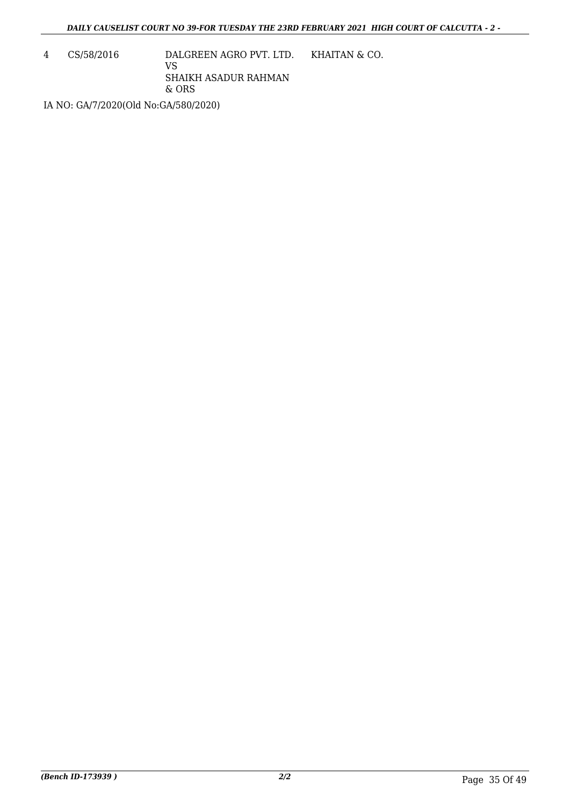4 CS/58/2016 DALGREEN AGRO PVT. LTD. VS SHAIKH ASADUR RAHMAN & ORS KHAITAN & CO.

IA NO: GA/7/2020(Old No:GA/580/2020)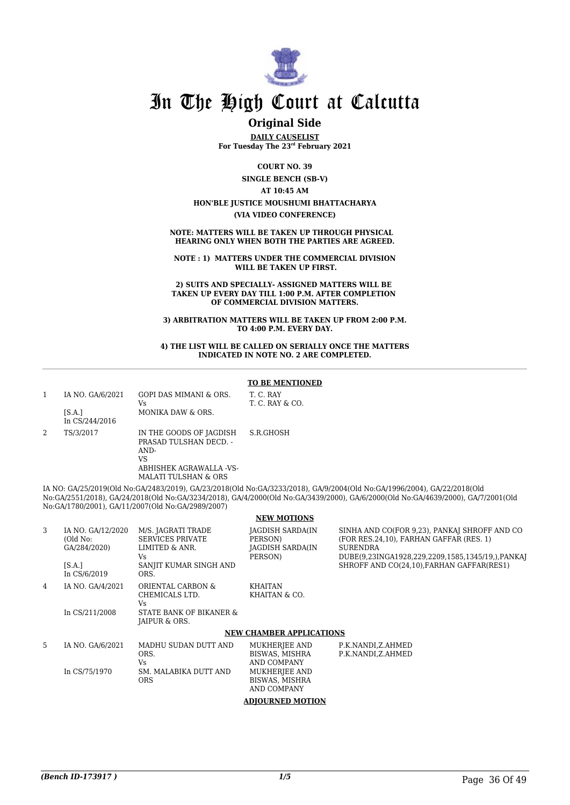

### **Original Side**

**DAILY CAUSELIST For Tuesday The 23rd February 2021**

**COURT NO. 39**

**SINGLE BENCH (SB-V)**

### **AT 10:45 AM**

### **HON'BLE JUSTICE MOUSHUMI BHATTACHARYA**

**(VIA VIDEO CONFERENCE)**

**NOTE: MATTERS WILL BE TAKEN UP THROUGH PHYSICAL HEARING ONLY WHEN BOTH THE PARTIES ARE AGREED.**

**NOTE : 1) MATTERS UNDER THE COMMERCIAL DIVISION WILL BE TAKEN UP FIRST.**

**2) SUITS AND SPECIALLY- ASSIGNED MATTERS WILL BE TAKEN UP EVERY DAY TILL 1:00 P.M. AFTER COMPLETION OF COMMERCIAL DIVISION MATTERS.**

**3) ARBITRATION MATTERS WILL BE TAKEN UP FROM 2:00 P.M. TO 4:00 P.M. EVERY DAY.**

#### **4) THE LIST WILL BE CALLED ON SERIALLY ONCE THE MATTERS INDICATED IN NOTE NO. 2 ARE COMPLETED.**

#### **TO BE MENTIONED**

CO.

|   | IA NO. GA/6/2021<br>[S.A.] | GOPI DAS MIMANI & ORS.<br>Vs<br>MONIKA DAW & ORS.                                          | T. C. RAY<br><b>T. C. RAY &amp;</b> |
|---|----------------------------|--------------------------------------------------------------------------------------------|-------------------------------------|
|   | In CS/244/2016             |                                                                                            |                                     |
| 2 | TS/3/2017                  | IN THE GOODS OF JAGDISH<br>PRASAD TULSHAN DECD. -<br>AND-<br>VS<br>ABHISHEK AGRAWALLA -VS- | S.R.GHOSH                           |
|   |                            | MALATI TULSHAN & ORS                                                                       |                                     |

IA NO: GA/25/2019(Old No:GA/2483/2019), GA/23/2018(Old No:GA/3233/2018), GA/9/2004(Old No:GA/1996/2004), GA/22/2018(Old No:GA/2551/2018), GA/24/2018(Old No:GA/3234/2018), GA/4/2000(Old No:GA/3439/2000), GA/6/2000(Old No:GA/4639/2000), GA/7/2001(Old No:GA/1780/2001), GA/11/2007(Old No:GA/2989/2007)

#### **NEW MOTIONS**

| 3  | IA NO. GA/12/2020<br>(Old No:<br>GA/284/2020)<br>[SA.]<br>In CS/6/2019 | M/S. JAGRATI TRADE<br><b>SERVICES PRIVATE</b><br>LIMITED & ANR.<br>Vs.<br>SANJIT KUMAR SINGH AND<br>ORS. | <b>JAGDISH SARDA(IN</b><br>PERSON)<br><b>JAGDISH SARDA(IN</b><br>PERSON)                         | SINHA AND CO(FOR 9.23), PANKAI SHROFF AND CO<br>(FOR RES.24.10). FARHAN GAFFAR (RES. 1)<br><b>SURENDRA</b><br>DUBE(9,23INGA1928,229,2209,1585,1345/19,),PANKAJ<br>SHROFF AND CO(24,10), FARHAN GAFFAR(RES1) |
|----|------------------------------------------------------------------------|----------------------------------------------------------------------------------------------------------|--------------------------------------------------------------------------------------------------|-------------------------------------------------------------------------------------------------------------------------------------------------------------------------------------------------------------|
| 4  | IA NO. GA/4/2021<br>In CS/211/2008                                     | ORIENTAL CARBON &<br>CHEMICALS LTD.<br>Vs.<br>STATE BANK OF BIKANER &<br>JAIPUR & ORS.                   | KHAITAN<br>KHAITAN & CO.                                                                         |                                                                                                                                                                                                             |
|    |                                                                        |                                                                                                          | <b>NEW CHAMBER APPLICATIONS</b>                                                                  |                                                                                                                                                                                                             |
| 5. | IA NO. GA/6/2021<br>In CS/75/1970                                      | MADHU SUDAN DUTT AND<br>ORS.<br>Vs.<br>SM. MALABIKA DUTT AND<br><b>ORS</b>                               | MUKHERJEE AND<br>BISWAS, MISHRA<br>AND COMPANY<br>MUKHERJEE AND<br>BISWAS, MISHRA<br>AND COMPANY | P.K.NANDI,Z.AHMED<br>P.K.NANDI,Z.AHMED                                                                                                                                                                      |

**ADJOURNED MOTION**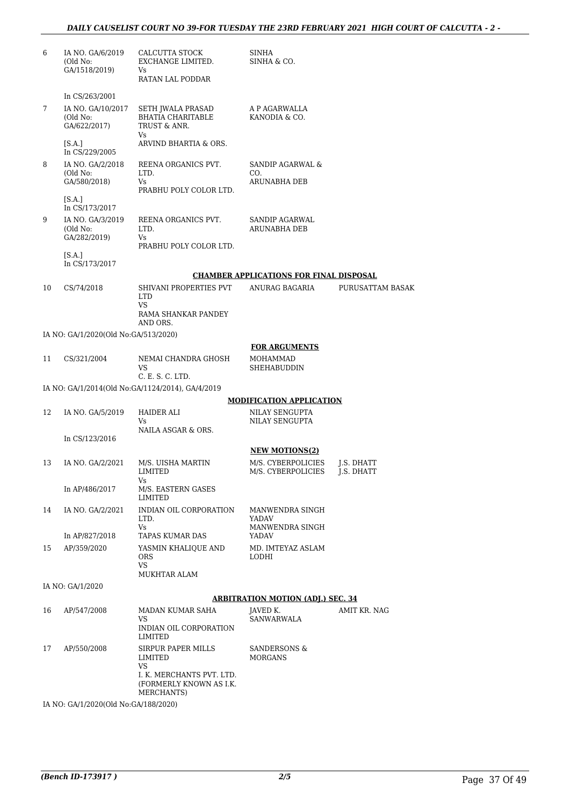| 6  | IA NO. GA/6/2019<br>(Old No:<br>GA/1518/2019)                     | CALCUTTA STOCK<br>EXCHANGE LIMITED.<br>Vs<br>RATAN LAL PODDAR      | SINHA<br>SINHA & CO.                                |                   |
|----|-------------------------------------------------------------------|--------------------------------------------------------------------|-----------------------------------------------------|-------------------|
|    |                                                                   |                                                                    |                                                     |                   |
| 7  | In $CS/263/2001$<br>IA NO. GA/10/2017<br>(Old No:<br>GA/622/2017) | SETH JWALA PRASAD<br>BHATIA CHARITABLE<br>TRUST & ANR.<br>Vs       | A P AGARWALLA<br>KANODIA & CO.                      |                   |
|    | [S.A.]<br>In CS/229/2005                                          | ARVIND BHARTIA & ORS.                                              |                                                     |                   |
| 8  | IA NO. GA/2/2018<br>(Old No:<br>GA/580/2018)                      | REENA ORGANICS PVT.<br>LTD.<br>Vs                                  | SANDIP AGARWAL &<br>CO.<br><b>ARUNABHA DEB</b>      |                   |
|    | [S.A.]<br>In CS/173/2017                                          | PRABHU POLY COLOR LTD.                                             |                                                     |                   |
| 9  | IA NO. GA/3/2019<br>(Old No:<br>GA/282/2019)                      | REENA ORGANICS PVT.<br>LTD.<br>Vs<br>PRABHU POLY COLOR LTD.        | SANDIP AGARWAL<br>ARUNABHA DEB                      |                   |
|    | [S.A.]<br>In CS/173/2017                                          |                                                                    |                                                     |                   |
|    |                                                                   |                                                                    | <b>CHAMBER APPLICATIONS FOR FINAL DISPOSAL</b>      |                   |
| 10 | CS/74/2018                                                        | SHIVANI PROPERTIES PVT<br><b>LTD</b><br>VS<br>RAMA SHANKAR PANDEY  | ANURAG BAGARIA                                      | PURUSATTAM BASAK  |
|    |                                                                   | AND ORS.                                                           |                                                     |                   |
|    | IA NO: GA/1/2020(Old No:GA/513/2020)                              |                                                                    | <b>FOR ARGUMENTS</b>                                |                   |
| 11 | CS/321/2004                                                       | NEMAI CHANDRA GHOSH<br>VS<br>C. E. S. C. LTD.                      | MOHAMMAD<br>SHEHABUDDIN                             |                   |
|    |                                                                   | IA NO: GA/1/2014(Old No:GA/1124/2014), GA/4/2019                   |                                                     |                   |
|    |                                                                   |                                                                    | <b>MODIFICATION APPLICATION</b>                     |                   |
| 12 | IA NO. GA/5/2019                                                  | HAIDER ALI<br>Vs<br>NAILA ASGAR & ORS.                             | NILAY SENGUPTA<br>NILAY SENGUPTA                    |                   |
|    | In CS/123/2016                                                    |                                                                    | <b>NEW MOTIONS(2)</b>                               |                   |
| 13 | IA NO. GA/2/2021                                                  | M/S. UISHA MARTIN<br>LIMITED<br>Vs                                 | M/S. CYBERPOLICIES<br>M/S. CYBERPOLICIES J.S. DHATT | <b>J.S. DHATT</b> |
|    | In AP/486/2017                                                    | M/S. EASTERN GASES<br>LIMITED                                      |                                                     |                   |
| 14 | IA NO. GA/2/2021                                                  | INDIAN OIL CORPORATION<br>LTD.<br>Vs                               | MANWENDRA SINGH<br>YADAV<br>MANWENDRA SINGH         |                   |
|    | In AP/827/2018                                                    | TAPAS KUMAR DAS                                                    | YADAV                                               |                   |
| 15 | AP/359/2020                                                       | YASMIN KHALIQUE AND<br>ORS<br>VS                                   | MD. IMTEYAZ ASLAM<br>LODHI                          |                   |
|    |                                                                   | <b>MUKHTAR ALAM</b>                                                |                                                     |                   |
|    | IA NO: GA/1/2020                                                  |                                                                    | <b>ARBITRATION MOTION (ADJ.) SEC. 34</b>            |                   |
| 16 | AP/547/2008                                                       | MADAN KUMAR SAHA                                                   | JAVED K.                                            | AMIT KR. NAG      |
|    |                                                                   | VS<br>INDIAN OIL CORPORATION<br>LIMITED                            | SANWARWALA                                          |                   |
| 17 | AP/550/2008                                                       | SIRPUR PAPER MILLS<br>LIMITED<br>VS                                | SANDERSONS &<br><b>MORGANS</b>                      |                   |
|    |                                                                   | I. K. MERCHANTS PVT. LTD.<br>(FORMERLY KNOWN AS I.K.<br>MERCHANTS) |                                                     |                   |

IA NO: GA/1/2020(Old No:GA/188/2020)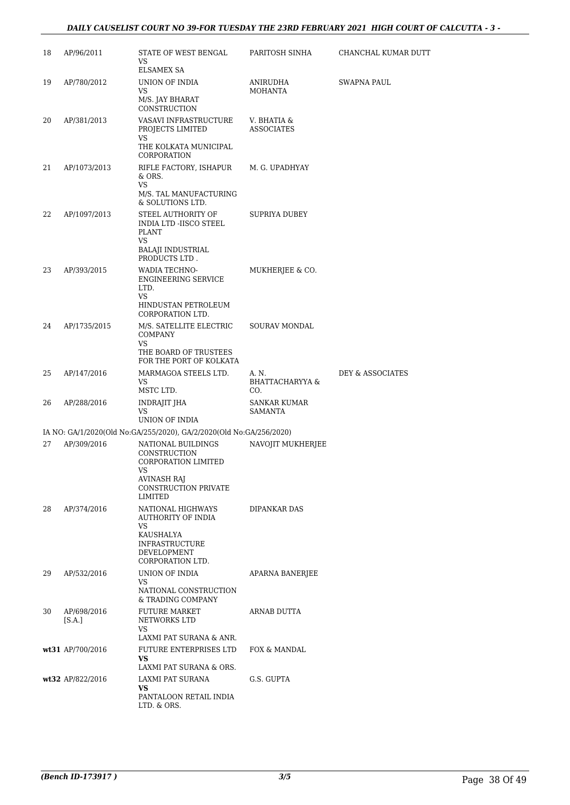### *DAILY CAUSELIST COURT NO 39-FOR TUESDAY THE 23RD FEBRUARY 2021 HIGH COURT OF CALCUTTA - 3 -*

| 18 | AP/96/2011            | STATE OF WEST BENGAL<br>VS<br><b>ELSAMEX SA</b>                                                                                           | PARITOSH SINHA                             | CHANCHAL KUMAR DUTT |
|----|-----------------------|-------------------------------------------------------------------------------------------------------------------------------------------|--------------------------------------------|---------------------|
| 19 | AP/780/2012           | UNION OF INDIA<br>VS<br>M/S. JAY BHARAT<br>CONSTRUCTION                                                                                   | ANIRUDHA<br><b>MOHANTA</b>                 | SWAPNA PAUL         |
| 20 | AP/381/2013           | VASAVI INFRASTRUCTURE<br>PROJECTS LIMITED<br>VS                                                                                           | V. BHATIA &<br><b>ASSOCIATES</b>           |                     |
|    |                       | THE KOLKATA MUNICIPAL<br>CORPORATION                                                                                                      |                                            |                     |
| 21 | AP/1073/2013          | RIFLE FACTORY, ISHAPUR<br>& ORS.<br>VS<br>M/S. TAL MANUFACTURING<br>& SOLUTIONS LTD.                                                      | M. G. UPADHYAY                             |                     |
| 22 | AP/1097/2013          | STEEL AUTHORITY OF<br>INDIA LTD -IISCO STEEL<br><b>PLANT</b><br>VS<br>BALAJI INDUSTRIAL<br>PRODUCTS LTD.                                  | SUPRIYA DUBEY                              |                     |
| 23 | AP/393/2015           | WADIA TECHNO-<br><b>ENGINEERING SERVICE</b><br>LTD.<br>VS<br>HINDUSTAN PETROLEUM<br>CORPORATION LTD.                                      | MUKHERJEE & CO.                            |                     |
| 24 | AP/1735/2015          | M/S. SATELLITE ELECTRIC<br><b>COMPANY</b><br><b>VS</b><br>THE BOARD OF TRUSTEES                                                           | <b>SOURAV MONDAL</b>                       |                     |
|    |                       | FOR THE PORT OF KOLKATA                                                                                                                   |                                            |                     |
| 25 | AP/147/2016           | MARMAGOA STEELS LTD.<br>VS<br>MSTC LTD.                                                                                                   | A. N.<br><b>BHATTACHARYYA &amp;</b><br>CO. | DEY & ASSOCIATES    |
| 26 | AP/288/2016           | INDRAJIT JHA<br>VS<br>UNION OF INDIA                                                                                                      | SANKAR KUMAR<br>SAMANTA                    |                     |
|    |                       | IA NO: GA/1/2020(Old No:GA/255/2020), GA/2/2020(Old No:GA/256/2020)                                                                       |                                            |                     |
| 27 | AP/309/2016           | NATIONAL BUILDINGS<br>CONSTRUCTION<br>CORPORATION LIMITED<br>vs<br><b>AVINASH RAJ</b><br>CONSTRUCTION PRIVATE                             | NAVOJIT MUKHERJEE                          |                     |
| 28 | AP/374/2016           | LIMITED<br>NATIONAL HIGHWAYS<br>AUTHORITY OF INDIA<br>VS.<br>KAUSHALYA<br><b>INFRASTRUCTURE</b><br><b>DEVELOPMENT</b><br>CORPORATION LTD. | DIPANKAR DAS                               |                     |
| 29 | AP/532/2016           | UNION OF INDIA<br>VS<br>NATIONAL CONSTRUCTION                                                                                             | APARNA BANERJEE                            |                     |
| 30 | AP/698/2016<br>[S.A.] | & TRADING COMPANY<br><b>FUTURE MARKET</b><br>NETWORKS LTD<br>VS<br>LAXMI PAT SURANA & ANR.                                                | ARNAB DUTTA                                |                     |
|    | wt31 AP/700/2016      | FUTURE ENTERPRISES LTD<br><b>VS</b><br>LAXMI PAT SURANA & ORS.                                                                            | FOX & MANDAL                               |                     |
|    | wt32 AP/822/2016      | LAXMI PAT SURANA<br>VS<br>PANTALOON RETAIL INDIA<br>LTD. & ORS.                                                                           | G.S. GUPTA                                 |                     |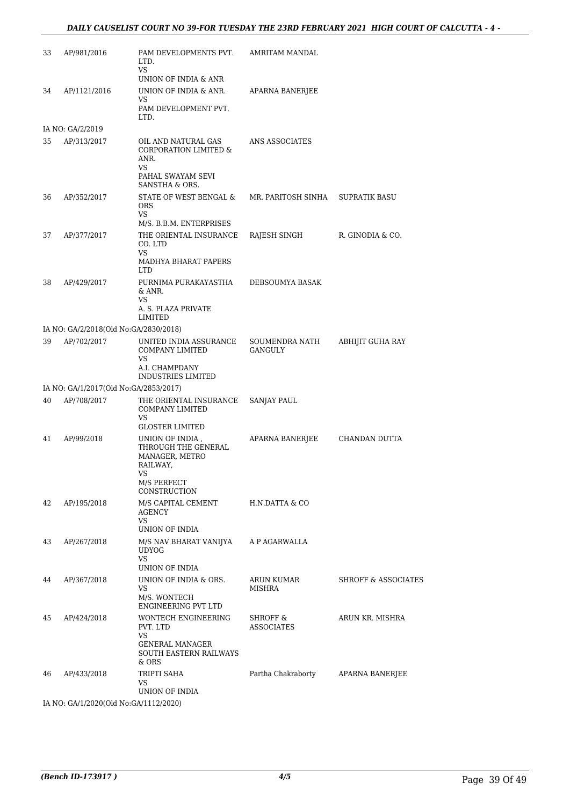| UNION OF INDIA & ANR.<br>AP/1121/2016<br>APARNA BANERJEE<br>34<br>VS<br>PAM DEVELOPMENT PVT.<br>LTD.<br>IA NO: GA/2/2019<br>35<br>AP/313/2017<br>OIL AND NATURAL GAS<br>ANS ASSOCIATES<br><b>CORPORATION LIMITED &amp;</b><br>ANR.<br>VS<br>PAHAL SWAYAM SEVI<br>SANSTHA & ORS.<br>STATE OF WEST BENGAL &<br>36<br>AP/352/2017<br>MR. PARITOSH SINHA<br><b>SUPRATIK BASU</b><br><b>ORS</b><br>VS<br>M/S. B.B.M. ENTERPRISES<br>THE ORIENTAL INSURANCE<br>RAJESH SINGH<br>37<br>AP/377/2017<br>R. GINODIA & CO.<br>CO. LTD<br>VS<br>MADHYA BHARAT PAPERS<br><b>LTD</b><br>38<br>AP/429/2017<br>PURNIMA PURAKAYASTHA<br>DEBSOUMYA BASAK<br>& ANR.<br>VS<br>A. S. PLAZA PRIVATE<br>LIMITED<br>IA NO: GA/2/2018(Old No:GA/2830/2018)<br>AP/702/2017<br>UNITED INDIA ASSURANCE<br>39<br>SOUMENDRA NATH<br>ABHIJIT GUHA RAY<br>COMPANY LIMITED<br>GANGULY<br><b>VS</b><br>A.I. CHAMPDANY<br><b>INDUSTRIES LIMITED</b><br>IA NO: GA/1/2017(Old No:GA/2853/2017)<br>AP/708/2017<br>40<br>THE ORIENTAL INSURANCE<br>SANJAY PAUL<br>COMPANY LIMITED<br>VS<br><b>GLOSTER LIMITED</b><br>APARNA BANERJEE<br>41<br>AP/99/2018<br>UNION OF INDIA,<br>CHANDAN DUTTA<br>THROUGH THE GENERAL<br>MANAGER, METRO<br>RAILWAY,<br>VS<br>M/S PERFECT<br>CONSTRUCTION<br>42<br>M/S CAPITAL CEMENT<br>AP/195/2018<br>H.N.DATTA & CO<br><b>AGENCY</b><br>VS<br>UNION OF INDIA<br>43<br>AP/267/2018<br>M/S NAV BHARAT VANIJYA<br>A P AGARWALLA<br><b>UDYOG</b><br>VS<br>UNION OF INDIA<br>UNION OF INDIA & ORS.<br>44<br>AP/367/2018<br>ARUN KUMAR<br><b>SHROFF &amp; ASSOCIATES</b><br>VS<br>MISHRA<br>M/S. WONTECH<br>ENGINEERING PVT LTD<br><b>WONTECH ENGINEERING</b><br>45<br>AP/424/2018<br>SHROFF &<br>ARUN KR. MISHRA<br>PVT. LTD<br>ASSOCIATES<br>VS<br><b>GENERAL MANAGER</b><br><b>SOUTH EASTERN RAILWAYS</b><br>& ORS<br>TRIPTI SAHA<br>Partha Chakraborty<br><b>APARNA BANERJEE</b><br>46<br>AP/433/2018<br>VS<br>UNION OF INDIA | 33 | AP/981/2016 | PAM DEVELOPMENTS PVT.<br>LTD.<br>VS | AMRITAM MANDAL |  |
|---------------------------------------------------------------------------------------------------------------------------------------------------------------------------------------------------------------------------------------------------------------------------------------------------------------------------------------------------------------------------------------------------------------------------------------------------------------------------------------------------------------------------------------------------------------------------------------------------------------------------------------------------------------------------------------------------------------------------------------------------------------------------------------------------------------------------------------------------------------------------------------------------------------------------------------------------------------------------------------------------------------------------------------------------------------------------------------------------------------------------------------------------------------------------------------------------------------------------------------------------------------------------------------------------------------------------------------------------------------------------------------------------------------------------------------------------------------------------------------------------------------------------------------------------------------------------------------------------------------------------------------------------------------------------------------------------------------------------------------------------------------------------------------------------------------------------------------------------------------------------------------------------------------------|----|-------------|-------------------------------------|----------------|--|
|                                                                                                                                                                                                                                                                                                                                                                                                                                                                                                                                                                                                                                                                                                                                                                                                                                                                                                                                                                                                                                                                                                                                                                                                                                                                                                                                                                                                                                                                                                                                                                                                                                                                                                                                                                                                                                                                                                                     |    |             | UNION OF INDIA & ANR                |                |  |
|                                                                                                                                                                                                                                                                                                                                                                                                                                                                                                                                                                                                                                                                                                                                                                                                                                                                                                                                                                                                                                                                                                                                                                                                                                                                                                                                                                                                                                                                                                                                                                                                                                                                                                                                                                                                                                                                                                                     |    |             |                                     |                |  |
|                                                                                                                                                                                                                                                                                                                                                                                                                                                                                                                                                                                                                                                                                                                                                                                                                                                                                                                                                                                                                                                                                                                                                                                                                                                                                                                                                                                                                                                                                                                                                                                                                                                                                                                                                                                                                                                                                                                     |    |             |                                     |                |  |
|                                                                                                                                                                                                                                                                                                                                                                                                                                                                                                                                                                                                                                                                                                                                                                                                                                                                                                                                                                                                                                                                                                                                                                                                                                                                                                                                                                                                                                                                                                                                                                                                                                                                                                                                                                                                                                                                                                                     |    |             |                                     |                |  |
|                                                                                                                                                                                                                                                                                                                                                                                                                                                                                                                                                                                                                                                                                                                                                                                                                                                                                                                                                                                                                                                                                                                                                                                                                                                                                                                                                                                                                                                                                                                                                                                                                                                                                                                                                                                                                                                                                                                     |    |             |                                     |                |  |
|                                                                                                                                                                                                                                                                                                                                                                                                                                                                                                                                                                                                                                                                                                                                                                                                                                                                                                                                                                                                                                                                                                                                                                                                                                                                                                                                                                                                                                                                                                                                                                                                                                                                                                                                                                                                                                                                                                                     |    |             |                                     |                |  |
|                                                                                                                                                                                                                                                                                                                                                                                                                                                                                                                                                                                                                                                                                                                                                                                                                                                                                                                                                                                                                                                                                                                                                                                                                                                                                                                                                                                                                                                                                                                                                                                                                                                                                                                                                                                                                                                                                                                     |    |             |                                     |                |  |
|                                                                                                                                                                                                                                                                                                                                                                                                                                                                                                                                                                                                                                                                                                                                                                                                                                                                                                                                                                                                                                                                                                                                                                                                                                                                                                                                                                                                                                                                                                                                                                                                                                                                                                                                                                                                                                                                                                                     |    |             |                                     |                |  |
|                                                                                                                                                                                                                                                                                                                                                                                                                                                                                                                                                                                                                                                                                                                                                                                                                                                                                                                                                                                                                                                                                                                                                                                                                                                                                                                                                                                                                                                                                                                                                                                                                                                                                                                                                                                                                                                                                                                     |    |             |                                     |                |  |
|                                                                                                                                                                                                                                                                                                                                                                                                                                                                                                                                                                                                                                                                                                                                                                                                                                                                                                                                                                                                                                                                                                                                                                                                                                                                                                                                                                                                                                                                                                                                                                                                                                                                                                                                                                                                                                                                                                                     |    |             |                                     |                |  |
|                                                                                                                                                                                                                                                                                                                                                                                                                                                                                                                                                                                                                                                                                                                                                                                                                                                                                                                                                                                                                                                                                                                                                                                                                                                                                                                                                                                                                                                                                                                                                                                                                                                                                                                                                                                                                                                                                                                     |    |             |                                     |                |  |
|                                                                                                                                                                                                                                                                                                                                                                                                                                                                                                                                                                                                                                                                                                                                                                                                                                                                                                                                                                                                                                                                                                                                                                                                                                                                                                                                                                                                                                                                                                                                                                                                                                                                                                                                                                                                                                                                                                                     |    |             |                                     |                |  |
|                                                                                                                                                                                                                                                                                                                                                                                                                                                                                                                                                                                                                                                                                                                                                                                                                                                                                                                                                                                                                                                                                                                                                                                                                                                                                                                                                                                                                                                                                                                                                                                                                                                                                                                                                                                                                                                                                                                     |    |             |                                     |                |  |
|                                                                                                                                                                                                                                                                                                                                                                                                                                                                                                                                                                                                                                                                                                                                                                                                                                                                                                                                                                                                                                                                                                                                                                                                                                                                                                                                                                                                                                                                                                                                                                                                                                                                                                                                                                                                                                                                                                                     |    |             |                                     |                |  |
|                                                                                                                                                                                                                                                                                                                                                                                                                                                                                                                                                                                                                                                                                                                                                                                                                                                                                                                                                                                                                                                                                                                                                                                                                                                                                                                                                                                                                                                                                                                                                                                                                                                                                                                                                                                                                                                                                                                     |    |             |                                     |                |  |
|                                                                                                                                                                                                                                                                                                                                                                                                                                                                                                                                                                                                                                                                                                                                                                                                                                                                                                                                                                                                                                                                                                                                                                                                                                                                                                                                                                                                                                                                                                                                                                                                                                                                                                                                                                                                                                                                                                                     |    |             |                                     |                |  |
|                                                                                                                                                                                                                                                                                                                                                                                                                                                                                                                                                                                                                                                                                                                                                                                                                                                                                                                                                                                                                                                                                                                                                                                                                                                                                                                                                                                                                                                                                                                                                                                                                                                                                                                                                                                                                                                                                                                     |    |             |                                     |                |  |
|                                                                                                                                                                                                                                                                                                                                                                                                                                                                                                                                                                                                                                                                                                                                                                                                                                                                                                                                                                                                                                                                                                                                                                                                                                                                                                                                                                                                                                                                                                                                                                                                                                                                                                                                                                                                                                                                                                                     |    |             |                                     |                |  |
|                                                                                                                                                                                                                                                                                                                                                                                                                                                                                                                                                                                                                                                                                                                                                                                                                                                                                                                                                                                                                                                                                                                                                                                                                                                                                                                                                                                                                                                                                                                                                                                                                                                                                                                                                                                                                                                                                                                     |    |             |                                     |                |  |
|                                                                                                                                                                                                                                                                                                                                                                                                                                                                                                                                                                                                                                                                                                                                                                                                                                                                                                                                                                                                                                                                                                                                                                                                                                                                                                                                                                                                                                                                                                                                                                                                                                                                                                                                                                                                                                                                                                                     |    |             |                                     |                |  |
|                                                                                                                                                                                                                                                                                                                                                                                                                                                                                                                                                                                                                                                                                                                                                                                                                                                                                                                                                                                                                                                                                                                                                                                                                                                                                                                                                                                                                                                                                                                                                                                                                                                                                                                                                                                                                                                                                                                     |    |             |                                     |                |  |
|                                                                                                                                                                                                                                                                                                                                                                                                                                                                                                                                                                                                                                                                                                                                                                                                                                                                                                                                                                                                                                                                                                                                                                                                                                                                                                                                                                                                                                                                                                                                                                                                                                                                                                                                                                                                                                                                                                                     |    |             |                                     |                |  |
|                                                                                                                                                                                                                                                                                                                                                                                                                                                                                                                                                                                                                                                                                                                                                                                                                                                                                                                                                                                                                                                                                                                                                                                                                                                                                                                                                                                                                                                                                                                                                                                                                                                                                                                                                                                                                                                                                                                     |    |             |                                     |                |  |
|                                                                                                                                                                                                                                                                                                                                                                                                                                                                                                                                                                                                                                                                                                                                                                                                                                                                                                                                                                                                                                                                                                                                                                                                                                                                                                                                                                                                                                                                                                                                                                                                                                                                                                                                                                                                                                                                                                                     |    |             |                                     |                |  |
|                                                                                                                                                                                                                                                                                                                                                                                                                                                                                                                                                                                                                                                                                                                                                                                                                                                                                                                                                                                                                                                                                                                                                                                                                                                                                                                                                                                                                                                                                                                                                                                                                                                                                                                                                                                                                                                                                                                     |    |             |                                     |                |  |
|                                                                                                                                                                                                                                                                                                                                                                                                                                                                                                                                                                                                                                                                                                                                                                                                                                                                                                                                                                                                                                                                                                                                                                                                                                                                                                                                                                                                                                                                                                                                                                                                                                                                                                                                                                                                                                                                                                                     |    |             |                                     |                |  |
|                                                                                                                                                                                                                                                                                                                                                                                                                                                                                                                                                                                                                                                                                                                                                                                                                                                                                                                                                                                                                                                                                                                                                                                                                                                                                                                                                                                                                                                                                                                                                                                                                                                                                                                                                                                                                                                                                                                     |    |             |                                     |                |  |
| IA NO: GA/1/2020(Old No:GA/1112/2020)                                                                                                                                                                                                                                                                                                                                                                                                                                                                                                                                                                                                                                                                                                                                                                                                                                                                                                                                                                                                                                                                                                                                                                                                                                                                                                                                                                                                                                                                                                                                                                                                                                                                                                                                                                                                                                                                               |    |             |                                     |                |  |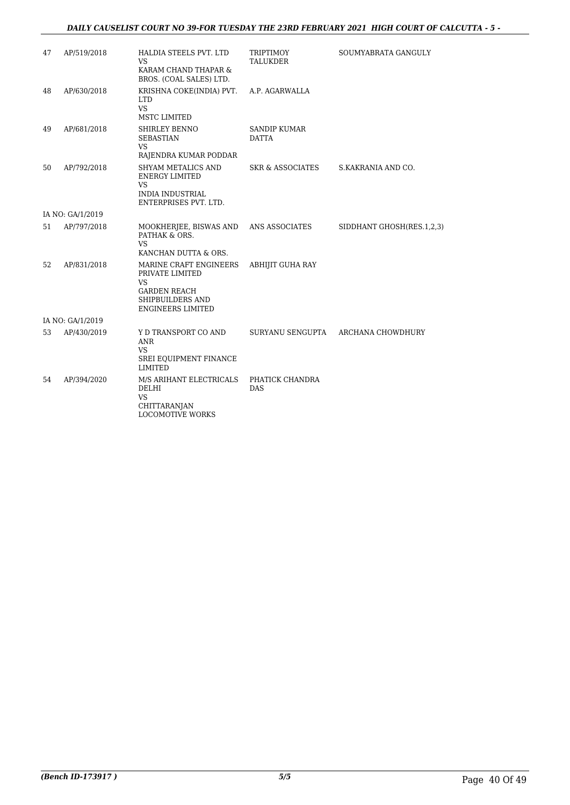### *DAILY CAUSELIST COURT NO 39-FOR TUESDAY THE 23RD FEBRUARY 2021 HIGH COURT OF CALCUTTA - 5 -*

| 47               | AP/519/2018      | <b>HALDIA STEELS PVT. LTD</b><br>VS                                                                                    | TRIPTIMOY<br><b>TALUKDER</b>        | SOUMYABRATA GANGULY       |  |  |
|------------------|------------------|------------------------------------------------------------------------------------------------------------------------|-------------------------------------|---------------------------|--|--|
|                  |                  | KARAM CHAND THAPAR &<br>BROS. (COAL SALES) LTD.                                                                        |                                     |                           |  |  |
| 48               | AP/630/2018      | KRISHNA COKE(INDIA) PVT.<br><b>LTD</b><br><b>VS</b><br>MSTC LIMITED                                                    | A.P. AGARWALLA                      |                           |  |  |
| 49               | AP/681/2018      | SHIRLEY BENNO<br><b>SEBASTIAN</b><br>VS<br>RAJENDRA KUMAR PODDAR                                                       | <b>SANDIP KUMAR</b><br><b>DATTA</b> |                           |  |  |
| 50               | AP/792/2018      | <b>SHYAM METALICS AND</b><br><b>ENERGY LIMITED</b><br><b>VS</b><br><b>INDIA INDUSTRIAL</b><br>ENTERPRISES PVT. LTD.    | SKR & ASSOCIATES                    | S.KAKRANIA AND CO.        |  |  |
|                  | IA NO: GA/1/2019 |                                                                                                                        |                                     |                           |  |  |
| 51               | AP/797/2018      | MOOKHERJEE, BISWAS AND<br>PATHAK & ORS.<br><b>VS</b><br>KANCHAN DUTTA & ORS.                                           | ANS ASSOCIATES                      | SIDDHANT GHOSH(RES.1,2,3) |  |  |
| 52               | AP/831/2018      | MARINE CRAFT ENGINEERS<br>PRIVATE LIMITED<br>VS<br><b>GARDEN REACH</b><br>SHIPBUILDERS AND<br><b>ENGINEERS LIMITED</b> | <b>ABHIJIT GUHA RAY</b>             |                           |  |  |
| IA NO: GA/1/2019 |                  |                                                                                                                        |                                     |                           |  |  |
| 53               | AP/430/2019      | Y D TRANSPORT CO AND<br>ANR<br><b>VS</b><br>SREI EQUIPMENT FINANCE<br><b>LIMITED</b>                                   | SURYANU SENGUPTA                    | ARCHANA CHOWDHURY         |  |  |
| 54               | AP/394/2020      | M/S ARIHANT ELECTRICALS<br>DELHI<br><b>VS</b><br><b>CHITTARANJAN</b><br>LOCOMOTIVE WORKS                               | PHATICK CHANDRA<br><b>DAS</b>       |                           |  |  |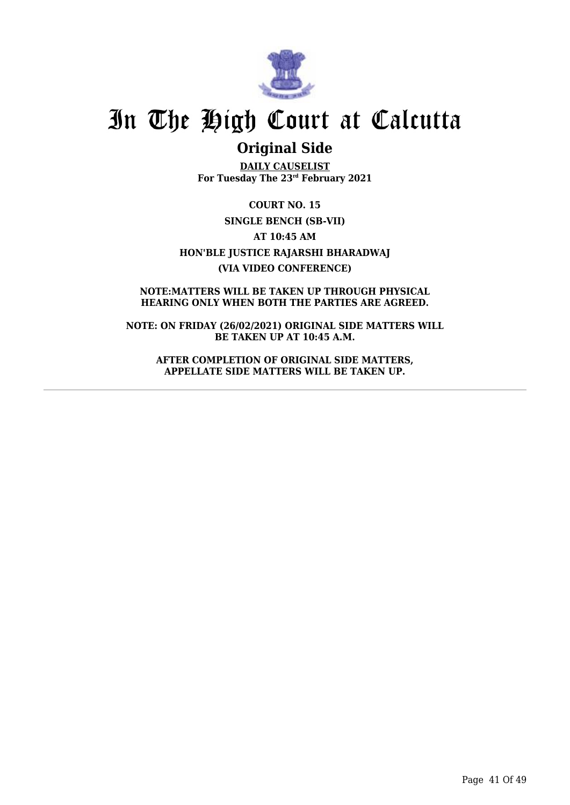

## **Original Side**

**DAILY CAUSELIST For Tuesday The 23rd February 2021**

**COURT NO. 15 SINGLE BENCH (SB-VII) AT 10:45 AM HON'BLE JUSTICE RAJARSHI BHARADWAJ (VIA VIDEO CONFERENCE)**

**NOTE:MATTERS WILL BE TAKEN UP THROUGH PHYSICAL HEARING ONLY WHEN BOTH THE PARTIES ARE AGREED.**

**NOTE: ON FRIDAY (26/02/2021) ORIGINAL SIDE MATTERS WILL BE TAKEN UP AT 10:45 A.M.**

**AFTER COMPLETION OF ORIGINAL SIDE MATTERS, APPELLATE SIDE MATTERS WILL BE TAKEN UP.**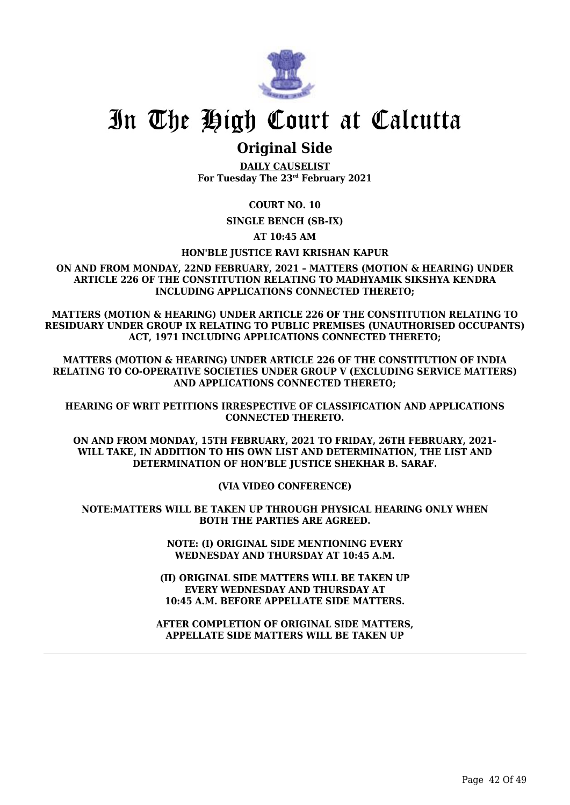

### **Original Side**

**DAILY CAUSELIST For Tuesday The 23rd February 2021**

**COURT NO. 10**

**SINGLE BENCH (SB-IX)**

**AT 10:45 AM**

### **HON'BLE JUSTICE RAVI KRISHAN KAPUR**

**ON AND FROM MONDAY, 22ND FEBRUARY, 2021 – MATTERS (MOTION & HEARING) UNDER ARTICLE 226 OF THE CONSTITUTION RELATING TO MADHYAMIK SIKSHYA KENDRA INCLUDING APPLICATIONS CONNECTED THERETO;**

**MATTERS (MOTION & HEARING) UNDER ARTICLE 226 OF THE CONSTITUTION RELATING TO RESIDUARY UNDER GROUP IX RELATING TO PUBLIC PREMISES (UNAUTHORISED OCCUPANTS) ACT, 1971 INCLUDING APPLICATIONS CONNECTED THERETO;**

**MATTERS (MOTION & HEARING) UNDER ARTICLE 226 OF THE CONSTITUTION OF INDIA RELATING TO CO-OPERATIVE SOCIETIES UNDER GROUP V (EXCLUDING SERVICE MATTERS) AND APPLICATIONS CONNECTED THERETO;**

**HEARING OF WRIT PETITIONS IRRESPECTIVE OF CLASSIFICATION AND APPLICATIONS CONNECTED THERETO.**

**ON AND FROM MONDAY, 15TH FEBRUARY, 2021 TO FRIDAY, 26TH FEBRUARY, 2021- WILL TAKE, IN ADDITION TO HIS OWN LIST AND DETERMINATION, THE LIST AND DETERMINATION OF HON'BLE JUSTICE SHEKHAR B. SARAF.**

**(VIA VIDEO CONFERENCE)**

**NOTE:MATTERS WILL BE TAKEN UP THROUGH PHYSICAL HEARING ONLY WHEN BOTH THE PARTIES ARE AGREED.**

> **NOTE: (I) ORIGINAL SIDE MENTIONING EVERY WEDNESDAY AND THURSDAY AT 10:45 A.M.**

**(II) ORIGINAL SIDE MATTERS WILL BE TAKEN UP EVERY WEDNESDAY AND THURSDAY AT 10:45 A.M. BEFORE APPELLATE SIDE MATTERS.**

**AFTER COMPLETION OF ORIGINAL SIDE MATTERS, APPELLATE SIDE MATTERS WILL BE TAKEN UP**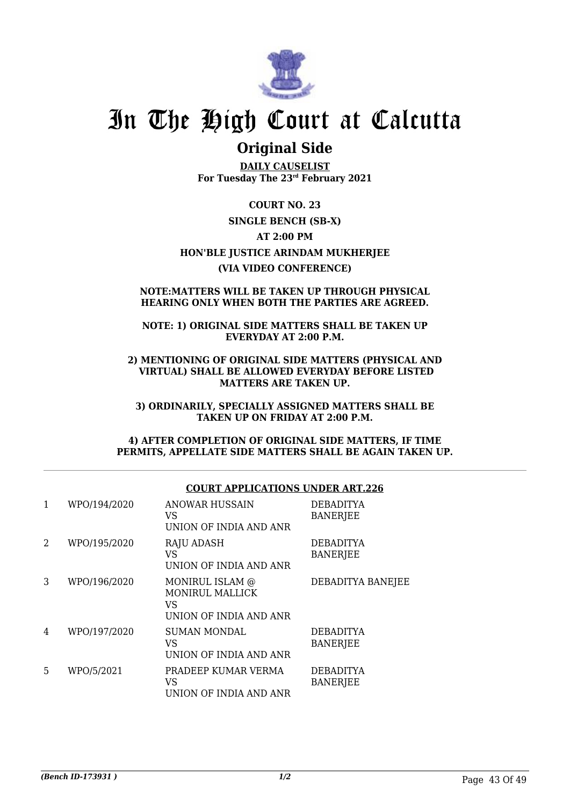

## **Original Side**

**DAILY CAUSELIST For Tuesday The 23rd February 2021**

**COURT NO. 23 SINGLE BENCH (SB-X) AT 2:00 PM HON'BLE JUSTICE ARINDAM MUKHERJEE (VIA VIDEO CONFERENCE)**

### **NOTE:MATTERS WILL BE TAKEN UP THROUGH PHYSICAL HEARING ONLY WHEN BOTH THE PARTIES ARE AGREED.**

### **NOTE: 1) ORIGINAL SIDE MATTERS SHALL BE TAKEN UP EVERYDAY AT 2:00 P.M.**

**2) MENTIONING OF ORIGINAL SIDE MATTERS (PHYSICAL AND VIRTUAL) SHALL BE ALLOWED EVERYDAY BEFORE LISTED MATTERS ARE TAKEN UP.**

**3) ORDINARILY, SPECIALLY ASSIGNED MATTERS SHALL BE TAKEN UP ON FRIDAY AT 2:00 P.M.**

**4) AFTER COMPLETION OF ORIGINAL SIDE MATTERS, IF TIME PERMITS, APPELLATE SIDE MATTERS SHALL BE AGAIN TAKEN UP.**

### **COURT APPLICATIONS UNDER ART.226**

| 1 | WPO/194/2020 | ANOWAR HUSSAIN<br>VS<br>UNION OF INDIA AND ANR                     | <b>DEBADITYA</b><br><b>BANERJEE</b> |
|---|--------------|--------------------------------------------------------------------|-------------------------------------|
| 2 | WPO/195/2020 | <b>RAJU ADASH</b><br>VS<br>UNION OF INDIA AND ANR                  | <b>DEBADITYA</b><br><b>BANERJEE</b> |
| 3 | WPO/196/2020 | MONIRUL ISLAM @<br>MONIRUL MALLICK<br>VS<br>UNION OF INDIA AND ANR | DEBADITYA BANEJEE                   |
| 4 | WPO/197/2020 | <b>SUMAN MONDAL</b><br>VS<br>UNION OF INDIA AND ANR                | <b>DEBADITYA</b><br><b>BANERJEE</b> |
| 5 | WPO/5/2021   | PRADEEP KUMAR VERMA<br>VS<br>UNION OF INDIA AND ANR                | <b>DEBADITYA</b><br><b>BANERJEE</b> |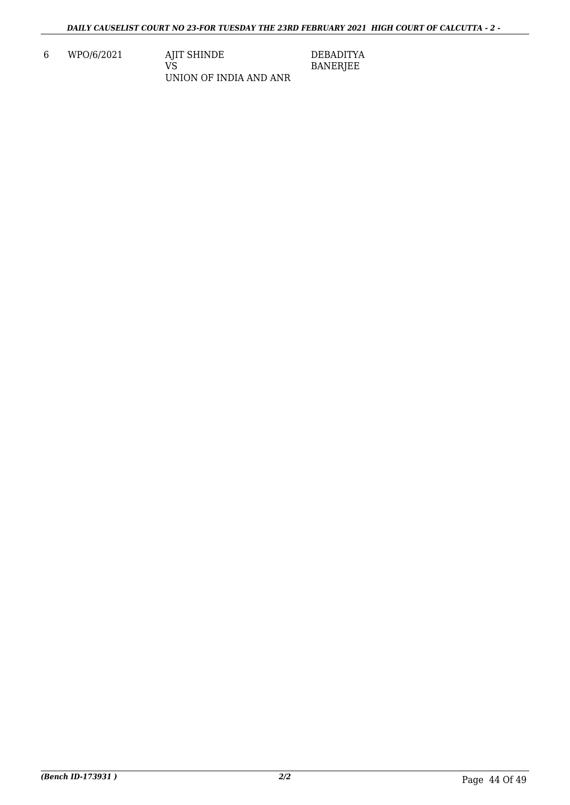6 WPO/6/2021 AJIT SHINDE VS UNION OF INDIA AND ANR DEBADITYA BANERJEE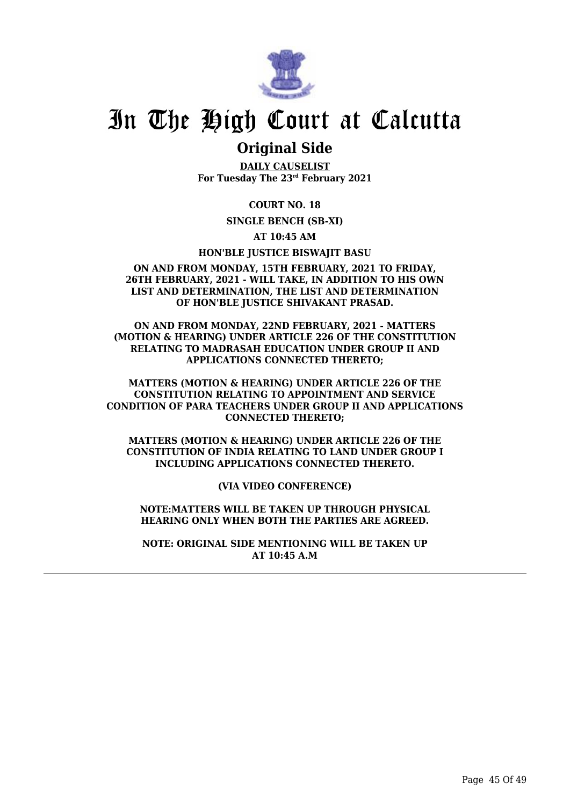

### **Original Side**

**DAILY CAUSELIST For Tuesday The 23rd February 2021**

**COURT NO. 18**

**SINGLE BENCH (SB-XI)**

**AT 10:45 AM**

**HON'BLE JUSTICE BISWAJIT BASU**

#### **ON AND FROM MONDAY, 15TH FEBRUARY, 2021 TO FRIDAY, 26TH FEBRUARY, 2021 - WILL TAKE, IN ADDITION TO HIS OWN LIST AND DETERMINATION, THE LIST AND DETERMINATION OF HON'BLE JUSTICE SHIVAKANT PRASAD.**

**ON AND FROM MONDAY, 22ND FEBRUARY, 2021 - MATTERS (MOTION & HEARING) UNDER ARTICLE 226 OF THE CONSTITUTION RELATING TO MADRASAH EDUCATION UNDER GROUP II AND APPLICATIONS CONNECTED THERETO;**

**MATTERS (MOTION & HEARING) UNDER ARTICLE 226 OF THE CONSTITUTION RELATING TO APPOINTMENT AND SERVICE CONDITION OF PARA TEACHERS UNDER GROUP II AND APPLICATIONS CONNECTED THERETO;**

**MATTERS (MOTION & HEARING) UNDER ARTICLE 226 OF THE CONSTITUTION OF INDIA RELATING TO LAND UNDER GROUP I INCLUDING APPLICATIONS CONNECTED THERETO.**

**(VIA VIDEO CONFERENCE)**

**NOTE:MATTERS WILL BE TAKEN UP THROUGH PHYSICAL HEARING ONLY WHEN BOTH THE PARTIES ARE AGREED.**

**NOTE: ORIGINAL SIDE MENTIONING WILL BE TAKEN UP AT 10:45 A.M**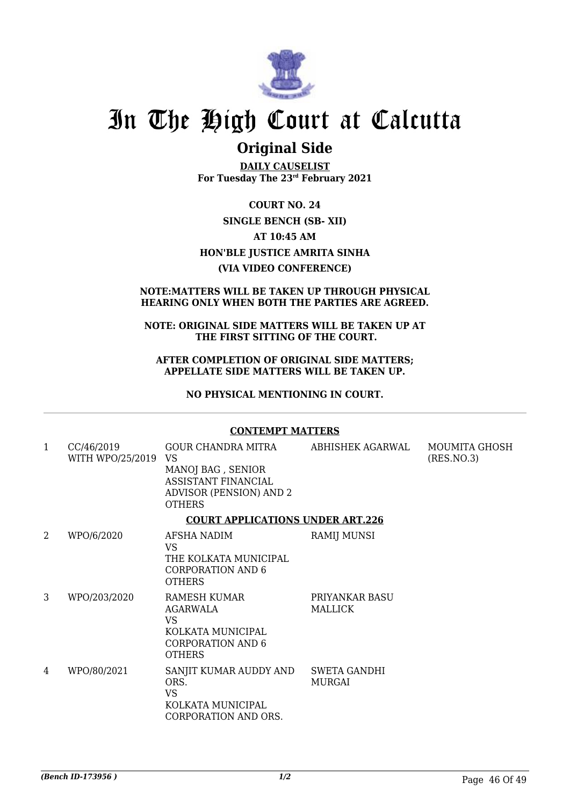

### **Original Side**

**DAILY CAUSELIST For Tuesday The 23rd February 2021**

**COURT NO. 24 SINGLE BENCH (SB- XII) AT 10:45 AM HON'BLE JUSTICE AMRITA SINHA (VIA VIDEO CONFERENCE)**

### **NOTE:MATTERS WILL BE TAKEN UP THROUGH PHYSICAL HEARING ONLY WHEN BOTH THE PARTIES ARE AGREED.**

### **NOTE: ORIGINAL SIDE MATTERS WILL BE TAKEN UP AT THE FIRST SITTING OF THE COURT.**

### **AFTER COMPLETION OF ORIGINAL SIDE MATTERS; APPELLATE SIDE MATTERS WILL BE TAKEN UP.**

**NO PHYSICAL MENTIONING IN COURT.**

### **CONTEMPT MATTERS**

| 1 | CC/46/2019<br>WITH WPO/25/2019 | GOUR CHANDRA MITRA<br>VS.<br>MANOJ BAG, SENIOR<br>ASSISTANT FINANCIAL<br><b>ADVISOR (PENSION) AND 2</b><br><b>OTHERS</b> | ABHISHEK AGARWAL              | MOUMITA GHOSH<br>(RES.NO.3) |
|---|--------------------------------|--------------------------------------------------------------------------------------------------------------------------|-------------------------------|-----------------------------|
|   |                                | <b>COURT APPLICATIONS UNDER ART.226</b>                                                                                  |                               |                             |
| 2 | WPO/6/2020                     | AFSHA NADIM<br><b>VS</b><br>THE KOLKATA MUNICIPAL<br><b>CORPORATION AND 6</b><br><b>OTHERS</b>                           | <b>RAMIJ MUNSI</b>            |                             |
| 3 | WPO/203/2020                   | RAMESH KUMAR<br>AGARWALA<br>VS<br>KOLKATA MUNICIPAL<br><b>CORPORATION AND 6</b><br><b>OTHERS</b>                         | PRIYANKAR BASU<br>MALLICK     |                             |
| 4 | WPO/80/2021                    | SANJIT KUMAR AUDDY AND<br>ORS.<br><b>VS</b><br>KOLKATA MUNICIPAL<br>CORPORATION AND ORS.                                 | <b>SWETA GANDHI</b><br>MURGAI |                             |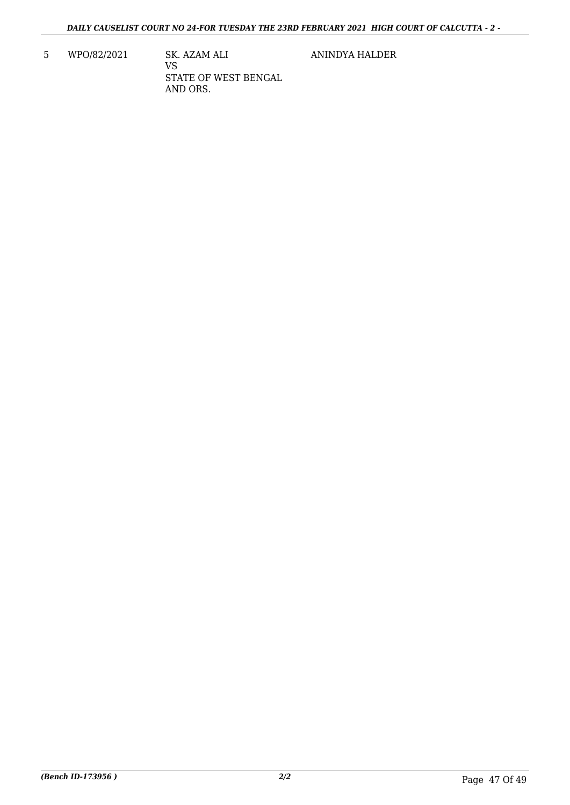5 WPO/82/2021 SK. AZAM ALI VS STATE OF WEST BENGAL AND ORS.

ANINDYA HALDER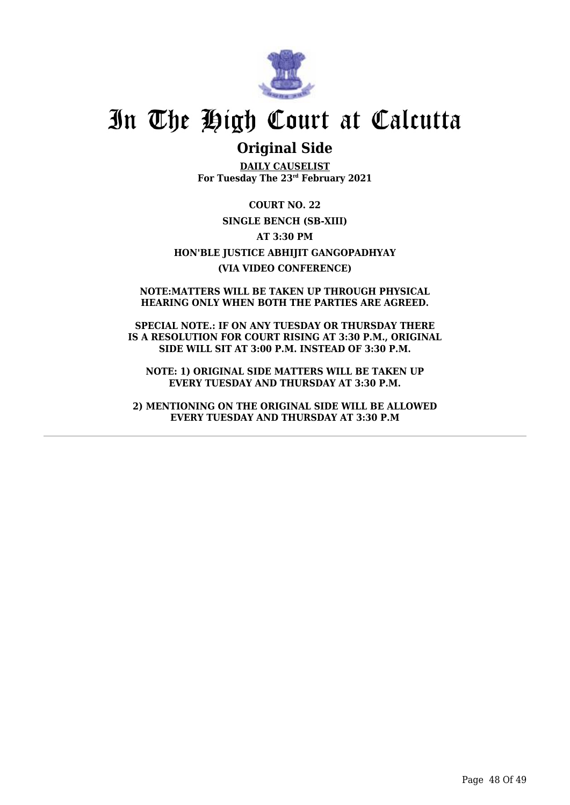

### **Original Side**

**DAILY CAUSELIST For Tuesday The 23rd February 2021**

**COURT NO. 22 SINGLE BENCH (SB-XIII) AT 3:30 PM HON'BLE JUSTICE ABHIJIT GANGOPADHYAY (VIA VIDEO CONFERENCE)**

**NOTE:MATTERS WILL BE TAKEN UP THROUGH PHYSICAL HEARING ONLY WHEN BOTH THE PARTIES ARE AGREED.**

**SPECIAL NOTE.: IF ON ANY TUESDAY OR THURSDAY THERE IS A RESOLUTION FOR COURT RISING AT 3:30 P.M., ORIGINAL SIDE WILL SIT AT 3:00 P.M. INSTEAD OF 3:30 P.M.**

**NOTE: 1) ORIGINAL SIDE MATTERS WILL BE TAKEN UP EVERY TUESDAY AND THURSDAY AT 3:30 P.M.**

**2) MENTIONING ON THE ORIGINAL SIDE WILL BE ALLOWED EVERY TUESDAY AND THURSDAY AT 3:30 P.M**